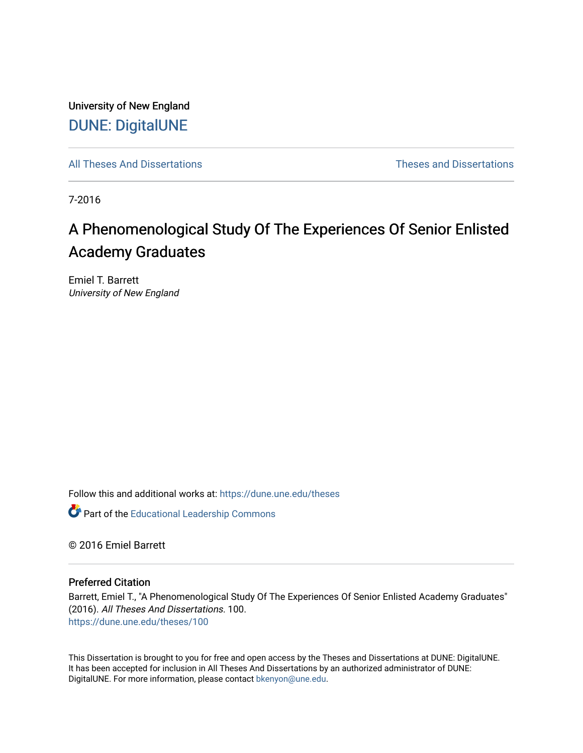University of New England [DUNE: DigitalUNE](https://dune.une.edu/) 

[All Theses And Dissertations](https://dune.une.edu/theses) [Theses and Dissertations](https://dune.une.edu/theses_dissertations) 

7-2016

# A Phenomenological Study Of The Experiences Of Senior Enlisted Academy Graduates

Emiel T. Barrett University of New England

Follow this and additional works at: [https://dune.une.edu/theses](https://dune.une.edu/theses?utm_source=dune.une.edu%2Ftheses%2F100&utm_medium=PDF&utm_campaign=PDFCoverPages) 

**Part of the Educational Leadership Commons** 

© 2016 Emiel Barrett

#### Preferred Citation

Barrett, Emiel T., "A Phenomenological Study Of The Experiences Of Senior Enlisted Academy Graduates" (2016). All Theses And Dissertations. 100. [https://dune.une.edu/theses/100](https://dune.une.edu/theses/100?utm_source=dune.une.edu%2Ftheses%2F100&utm_medium=PDF&utm_campaign=PDFCoverPages)

This Dissertation is brought to you for free and open access by the Theses and Dissertations at DUNE: DigitalUNE. It has been accepted for inclusion in All Theses And Dissertations by an authorized administrator of DUNE: DigitalUNE. For more information, please contact [bkenyon@une.edu.](mailto:bkenyon@une.edu)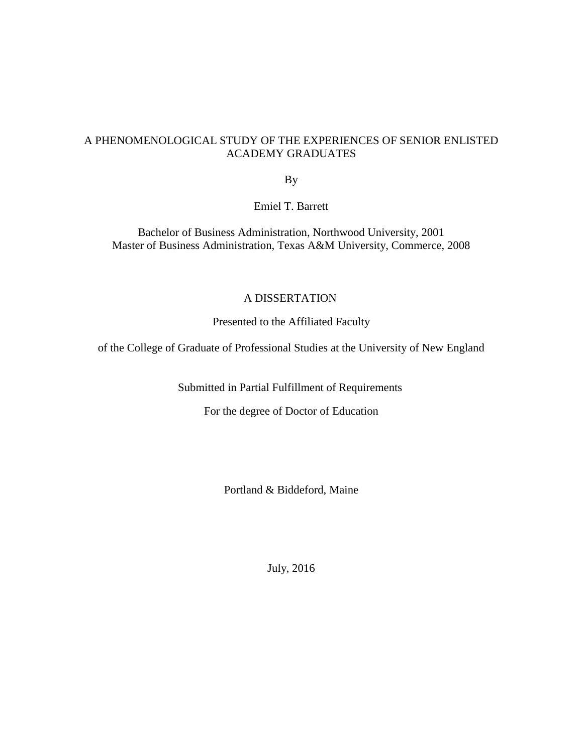## A PHENOMENOLOGICAL STUDY OF THE EXPERIENCES OF SENIOR ENLISTED ACADEMY GRADUATES

By

Emiel T. Barrett

Bachelor of Business Administration, Northwood University, 2001 Master of Business Administration, Texas A&M University, Commerce, 2008

### A DISSERTATION

Presented to the Affiliated Faculty

of the College of Graduate of Professional Studies at the University of New England

Submitted in Partial Fulfillment of Requirements

For the degree of Doctor of Education

Portland & Biddeford, Maine

July, 2016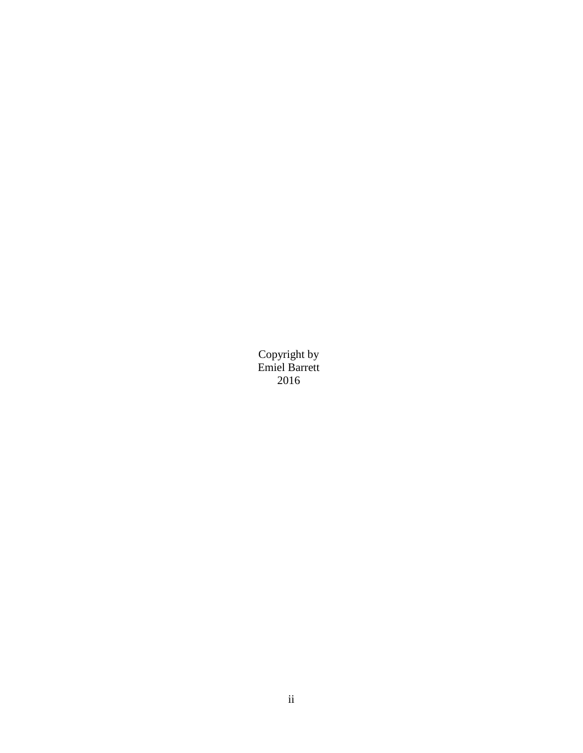Copyright by Emiel Barrett 2016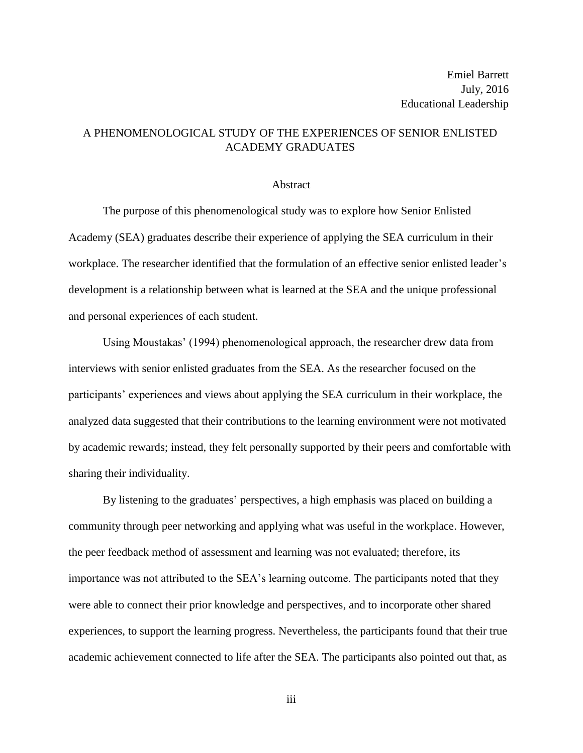## A PHENOMENOLOGICAL STUDY OF THE EXPERIENCES OF SENIOR ENLISTED ACADEMY GRADUATES

#### Abstract

The purpose of this phenomenological study was to explore how Senior Enlisted Academy (SEA) graduates describe their experience of applying the SEA curriculum in their workplace. The researcher identified that the formulation of an effective senior enlisted leader's development is a relationship between what is learned at the SEA and the unique professional and personal experiences of each student.

Using Moustakas' (1994) phenomenological approach, the researcher drew data from interviews with senior enlisted graduates from the SEA. As the researcher focused on the participants' experiences and views about applying the SEA curriculum in their workplace, the analyzed data suggested that their contributions to the learning environment were not motivated by academic rewards; instead, they felt personally supported by their peers and comfortable with sharing their individuality.

By listening to the graduates' perspectives, a high emphasis was placed on building a community through peer networking and applying what was useful in the workplace. However, the peer feedback method of assessment and learning was not evaluated; therefore, its importance was not attributed to the SEA's learning outcome. The participants noted that they were able to connect their prior knowledge and perspectives, and to incorporate other shared experiences, to support the learning progress. Nevertheless, the participants found that their true academic achievement connected to life after the SEA. The participants also pointed out that, as

iii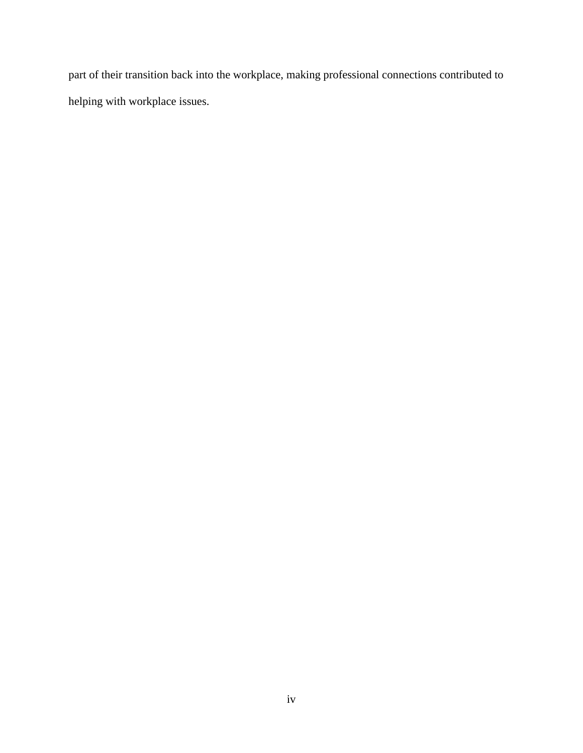part of their transition back into the workplace, making professional connections contributed to helping with workplace issues.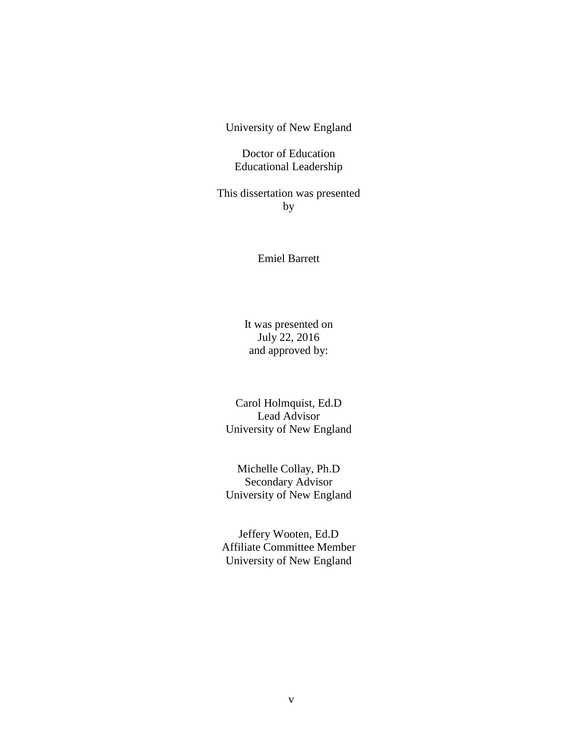University of New England

Doctor of Education Educational Leadership

This dissertation was presented by

Emiel Barrett

It was presented on July 22, 2016 and approved by:

Carol Holmquist, Ed.D Lead Advisor University of New England

Michelle Collay, Ph.D Secondary Advisor University of New England

Jeffery Wooten, Ed.D Affiliate Committee Member University of New England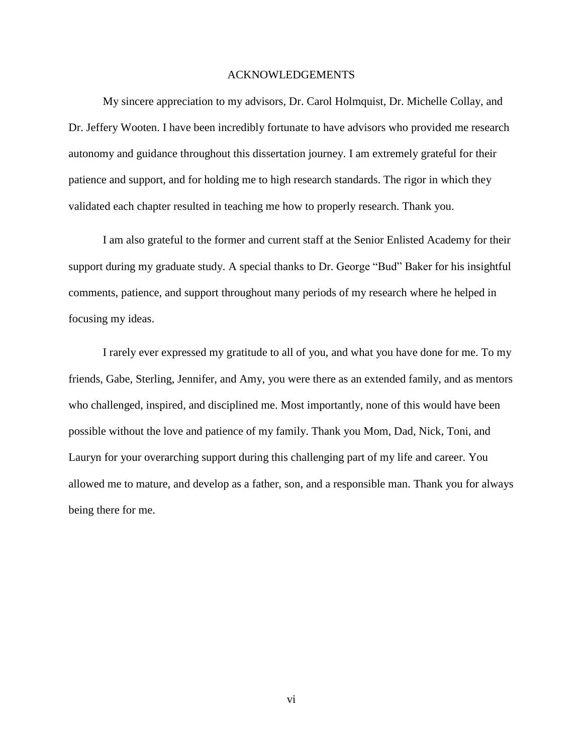#### ACKNOWLEDGEMENTS

My sincere appreciation to my advisors, Dr. Carol Holmquist, Dr. Michelle Collay, and Dr. Jeffery Wooten. I have been incredibly fortunate to have advisors who provided me research autonomy and guidance throughout this dissertation journey. I am extremely grateful for their patience and support, and for holding me to high research standards. The rigor in which they validated each chapter resulted in teaching me how to properly research. Thank you.

I am also grateful to the former and current staff at the Senior Enlisted Academy for their support during my graduate study. A special thanks to Dr. George "Bud" Baker for his insightful comments, patience, and support throughout many periods of my research where he helped in focusing my ideas.

I rarely ever expressed my gratitude to all of you, and what you have done for me. To my friends, Gabe, Sterling, Jennifer, and Amy, you were there as an extended family, and as mentors who challenged, inspired, and disciplined me. Most importantly, none of this would have been possible without the love and patience of my family. Thank you Mom, Dad, Nick, Toni, and Lauryn for your overarching support during this challenging part of my life and career. You allowed me to mature, and develop as a father, son, and a responsible man. Thank you for always being there for me.

vi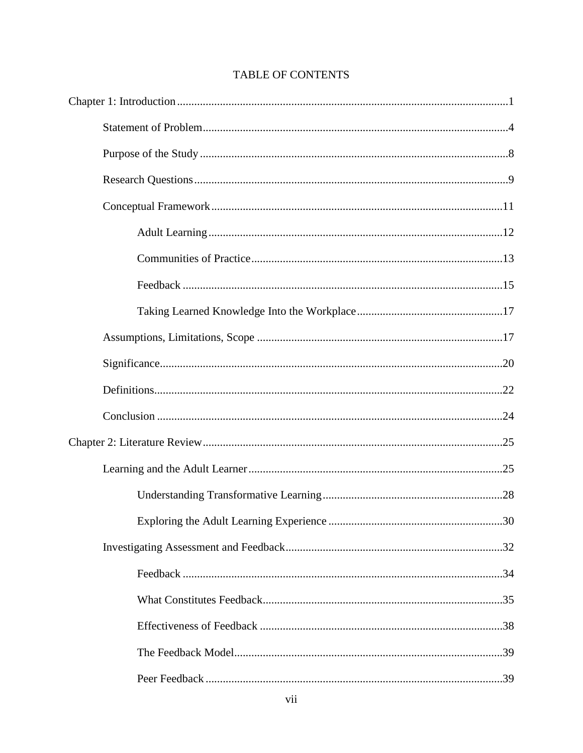# **TABLE OF CONTENTS**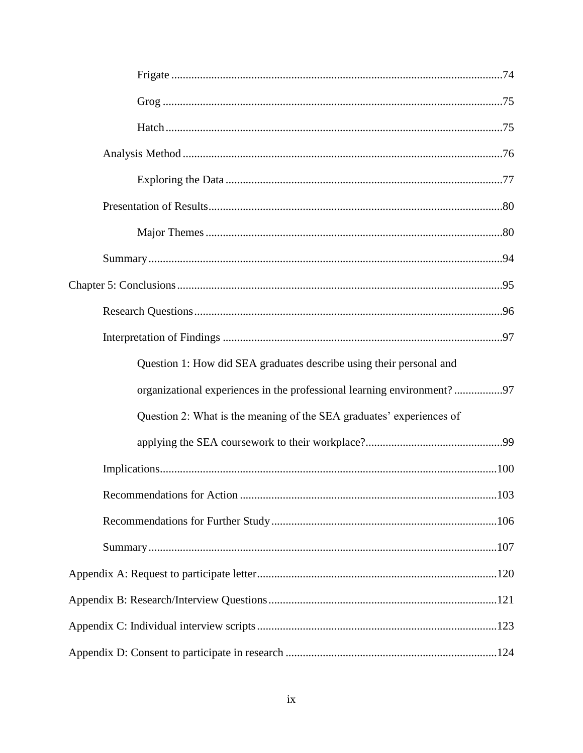| Question 1: How did SEA graduates describe using their personal and    |
|------------------------------------------------------------------------|
| organizational experiences in the professional learning environment?97 |
| Question 2: What is the meaning of the SEA graduates' experiences of   |
|                                                                        |
|                                                                        |
|                                                                        |
|                                                                        |
|                                                                        |
|                                                                        |
|                                                                        |
|                                                                        |
|                                                                        |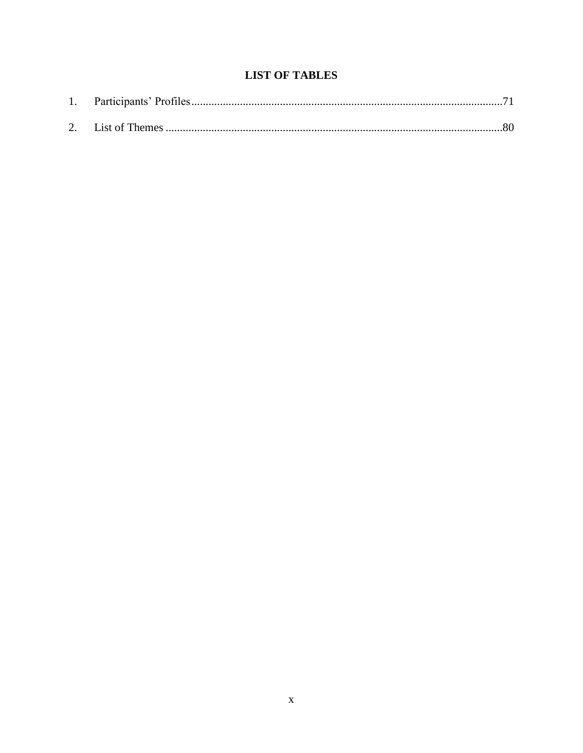# **LIST OF TABLES**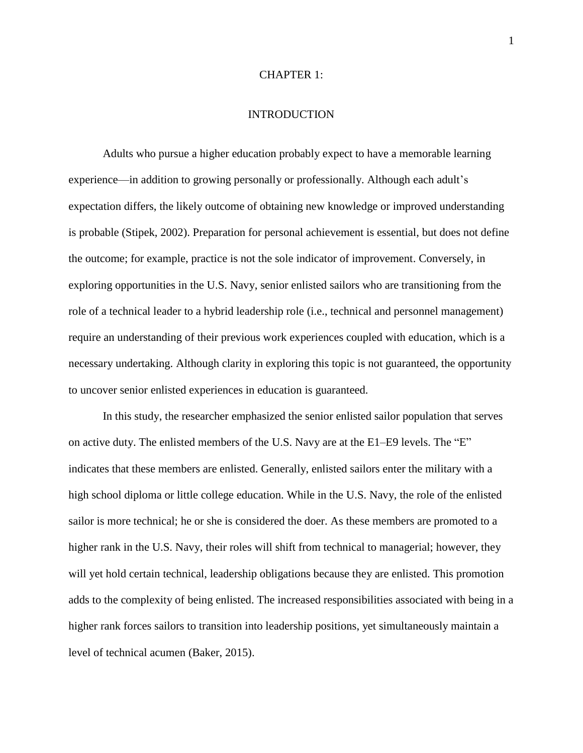#### CHAPTER 1:

#### INTRODUCTION

<span id="page-11-0"></span>Adults who pursue a higher education probably expect to have a memorable learning experience—in addition to growing personally or professionally. Although each adult's expectation differs, the likely outcome of obtaining new knowledge or improved understanding is probable (Stipek, 2002). Preparation for personal achievement is essential, but does not define the outcome; for example, practice is not the sole indicator of improvement. Conversely, in exploring opportunities in the U.S. Navy, senior enlisted sailors who are transitioning from the role of a technical leader to a hybrid leadership role (i.e., technical and personnel management) require an understanding of their previous work experiences coupled with education, which is a necessary undertaking. Although clarity in exploring this topic is not guaranteed, the opportunity to uncover senior enlisted experiences in education is guaranteed.

In this study, the researcher emphasized the senior enlisted sailor population that serves on active duty. The enlisted members of the U.S. Navy are at the E1–E9 levels. The "E" indicates that these members are enlisted. Generally, enlisted sailors enter the military with a high school diploma or little college education. While in the U.S. Navy, the role of the enlisted sailor is more technical; he or she is considered the doer. As these members are promoted to a higher rank in the U.S. Navy, their roles will shift from technical to managerial; however, they will yet hold certain technical, leadership obligations because they are enlisted. This promotion adds to the complexity of being enlisted. The increased responsibilities associated with being in a higher rank forces sailors to transition into leadership positions, yet simultaneously maintain a level of technical acumen (Baker, 2015).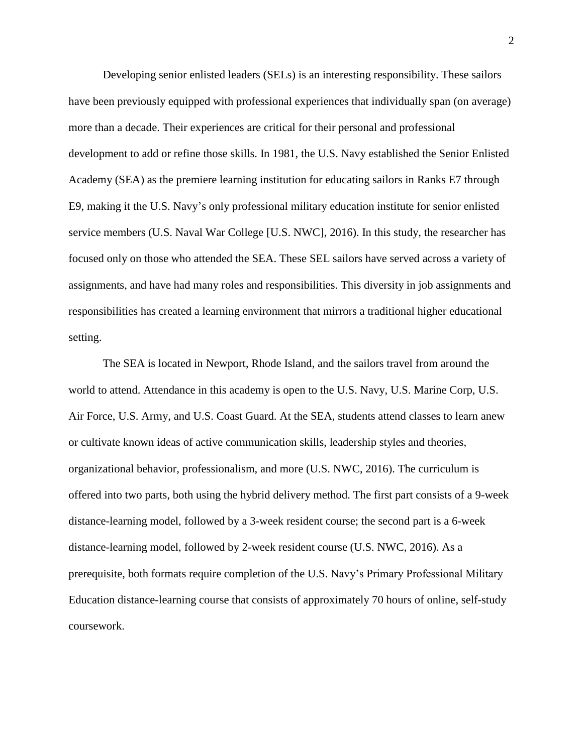Developing senior enlisted leaders (SELs) is an interesting responsibility. These sailors have been previously equipped with professional experiences that individually span (on average) more than a decade. Their experiences are critical for their personal and professional development to add or refine those skills. In 1981, the U.S. Navy established the Senior Enlisted Academy (SEA) as the premiere learning institution for educating sailors in Ranks E7 through E9, making it the U.S. Navy's only professional military education institute for senior enlisted service members (U.S. Naval War College [U.S. NWC], 2016). In this study, the researcher has focused only on those who attended the SEA. These SEL sailors have served across a variety of assignments, and have had many roles and responsibilities. This diversity in job assignments and responsibilities has created a learning environment that mirrors a traditional higher educational setting.

The SEA is located in Newport, Rhode Island, and the sailors travel from around the world to attend. Attendance in this academy is open to the U.S. Navy, U.S. Marine Corp, U.S. Air Force, U.S. Army, and U.S. Coast Guard. At the SEA, students attend classes to learn anew or cultivate known ideas of active communication skills, leadership styles and theories, organizational behavior, professionalism, and more (U.S. NWC, 2016). The curriculum is offered into two parts, both using the hybrid delivery method. The first part consists of a 9-week distance-learning model, followed by a 3-week resident course; the second part is a 6-week distance-learning model, followed by 2-week resident course (U.S. NWC, 2016). As a prerequisite, both formats require completion of the U.S. Navy's Primary Professional Military Education distance-learning course that consists of approximately 70 hours of online, self-study coursework.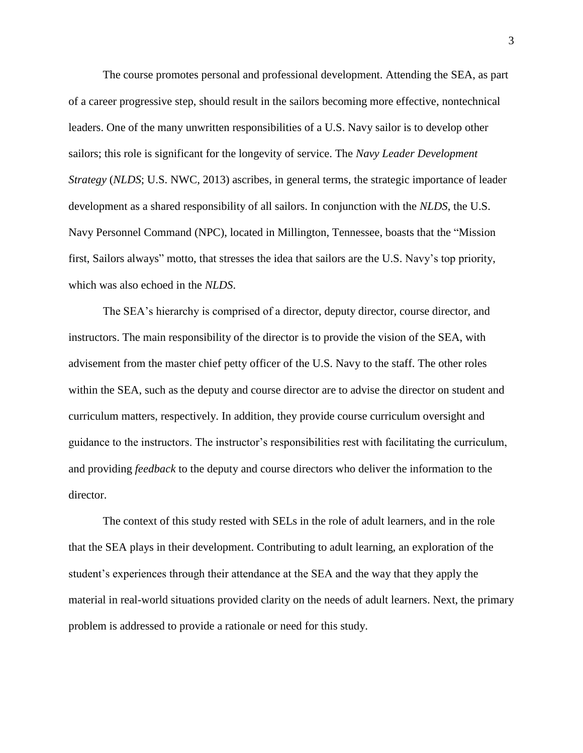The course promotes personal and professional development. Attending the SEA, as part of a career progressive step, should result in the sailors becoming more effective, nontechnical leaders. One of the many unwritten responsibilities of a U.S. Navy sailor is to develop other sailors; this role is significant for the longevity of service. The *Navy Leader Development Strategy* (*NLDS*; U.S. NWC, 2013) ascribes, in general terms, the strategic importance of leader development as a shared responsibility of all sailors. In conjunction with the *NLDS*, the U.S. Navy Personnel Command (NPC), located in Millington, Tennessee, boasts that the "Mission first, Sailors always" motto, that stresses the idea that sailors are the U.S. Navy's top priority, which was also echoed in the *NLDS*.

The SEA's hierarchy is comprised of a director, deputy director, course director, and instructors. The main responsibility of the director is to provide the vision of the SEA, with advisement from the master chief petty officer of the U.S. Navy to the staff. The other roles within the SEA, such as the deputy and course director are to advise the director on student and curriculum matters, respectively. In addition, they provide course curriculum oversight and guidance to the instructors. The instructor's responsibilities rest with facilitating the curriculum, and providing *feedback* to the deputy and course directors who deliver the information to the director.

The context of this study rested with SELs in the role of adult learners, and in the role that the SEA plays in their development. Contributing to adult learning, an exploration of the student's experiences through their attendance at the SEA and the way that they apply the material in real-world situations provided clarity on the needs of adult learners. Next, the primary problem is addressed to provide a rationale or need for this study.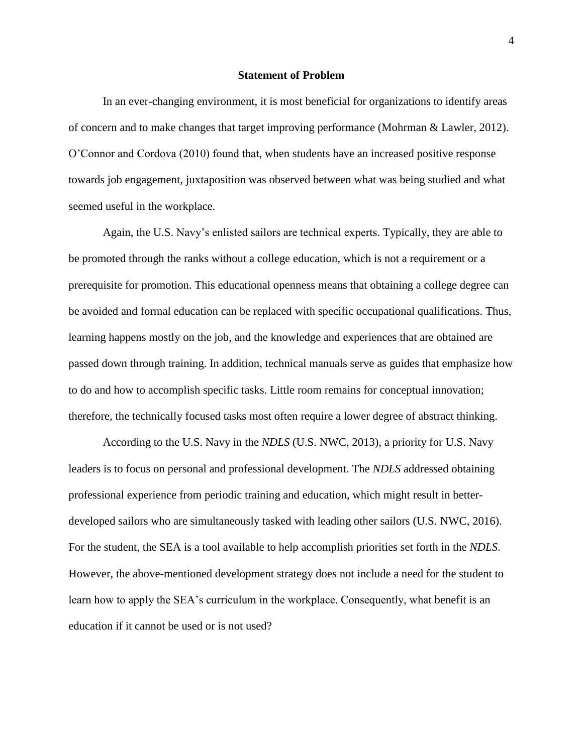#### **Statement of Problem**

<span id="page-14-0"></span>In an ever-changing environment, it is most beneficial for organizations to identify areas of concern and to make changes that target improving performance (Mohrman & Lawler, 2012). O'Connor and Cordova (2010) found that, when students have an increased positive response towards job engagement, juxtaposition was observed between what was being studied and what seemed useful in the workplace.

Again, the U.S. Navy's enlisted sailors are technical experts. Typically, they are able to be promoted through the ranks without a college education, which is not a requirement or a prerequisite for promotion. This educational openness means that obtaining a college degree can be avoided and formal education can be replaced with specific occupational qualifications. Thus, learning happens mostly on the job, and the knowledge and experiences that are obtained are passed down through training. In addition, technical manuals serve as guides that emphasize how to do and how to accomplish specific tasks. Little room remains for conceptual innovation; therefore, the technically focused tasks most often require a lower degree of abstract thinking.

According to the U.S. Navy in the *NDLS* (U.S. NWC, 2013), a priority for U.S. Navy leaders is to focus on personal and professional development. The *NDLS* addressed obtaining professional experience from periodic training and education, which might result in betterdeveloped sailors who are simultaneously tasked with leading other sailors (U.S. NWC, 2016). For the student, the SEA is a tool available to help accomplish priorities set forth in the *NDLS*. However, the above-mentioned development strategy does not include a need for the student to learn how to apply the SEA's curriculum in the workplace. Consequently, what benefit is an education if it cannot be used or is not used?

4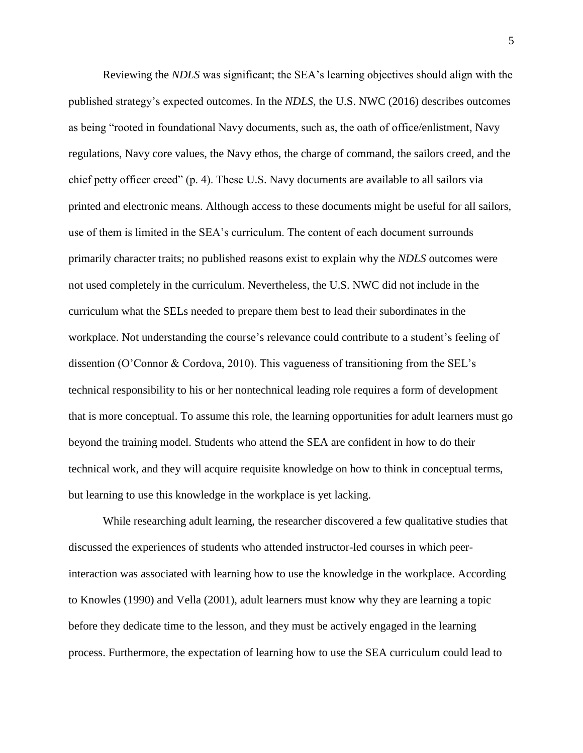Reviewing the *NDLS* was significant; the SEA's learning objectives should align with the published strategy's expected outcomes. In the *NDLS*, the U.S. NWC (2016) describes outcomes as being "rooted in foundational Navy documents, such as, the oath of office/enlistment, Navy regulations, Navy core values, the Navy ethos, the charge of command, the sailors creed, and the chief petty officer creed" (p. 4). These U.S. Navy documents are available to all sailors via printed and electronic means. Although access to these documents might be useful for all sailors, use of them is limited in the SEA's curriculum. The content of each document surrounds primarily character traits; no published reasons exist to explain why the *NDLS* outcomes were not used completely in the curriculum. Nevertheless, the U.S. NWC did not include in the curriculum what the SELs needed to prepare them best to lead their subordinates in the workplace. Not understanding the course's relevance could contribute to a student's feeling of dissention (O'Connor & Cordova, 2010). This vagueness of transitioning from the SEL's technical responsibility to his or her nontechnical leading role requires a form of development that is more conceptual. To assume this role, the learning opportunities for adult learners must go beyond the training model. Students who attend the SEA are confident in how to do their technical work, and they will acquire requisite knowledge on how to think in conceptual terms, but learning to use this knowledge in the workplace is yet lacking.

While researching adult learning, the researcher discovered a few qualitative studies that discussed the experiences of students who attended instructor-led courses in which peerinteraction was associated with learning how to use the knowledge in the workplace. According to Knowles (1990) and Vella (2001), adult learners must know why they are learning a topic before they dedicate time to the lesson, and they must be actively engaged in the learning process. Furthermore, the expectation of learning how to use the SEA curriculum could lead to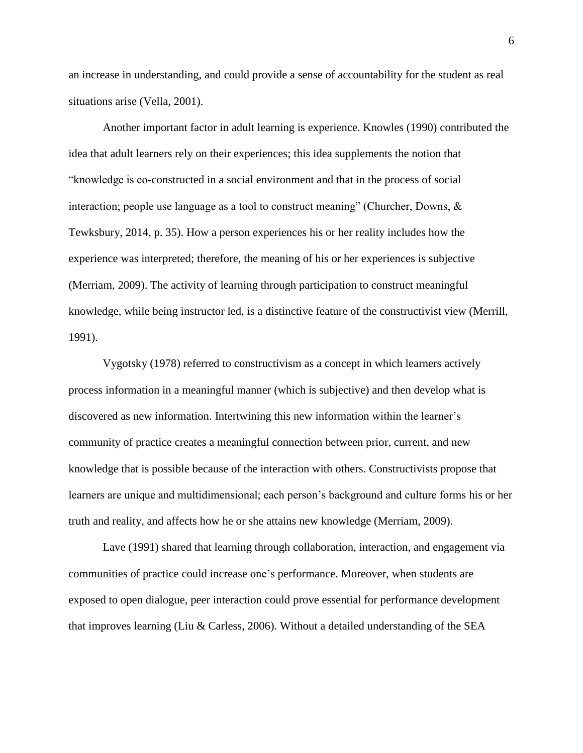an increase in understanding, and could provide a sense of accountability for the student as real situations arise (Vella, 2001).

Another important factor in adult learning is experience. Knowles (1990) contributed the idea that adult learners rely on their experiences; this idea supplements the notion that "knowledge is co-constructed in a social environment and that in the process of social interaction; people use language as a tool to construct meaning" (Churcher, Downs, & Tewksbury, 2014, p. 35). How a person experiences his or her reality includes how the experience was interpreted; therefore, the meaning of his or her experiences is subjective (Merriam, 2009). The activity of learning through participation to construct meaningful knowledge, while being instructor led, is a distinctive feature of the constructivist view (Merrill, 1991).

Vygotsky (1978) referred to constructivism as a concept in which learners actively process information in a meaningful manner (which is subjective) and then develop what is discovered as new information. Intertwining this new information within the learner's community of practice creates a meaningful connection between prior, current, and new knowledge that is possible because of the interaction with others. Constructivists propose that learners are unique and multidimensional; each person's background and culture forms his or her truth and reality, and affects how he or she attains new knowledge (Merriam, 2009).

Lave (1991) shared that learning through collaboration, interaction, and engagement via communities of practice could increase one's performance. Moreover, when students are exposed to open dialogue, peer interaction could prove essential for performance development that improves learning (Liu & Carless, 2006). Without a detailed understanding of the SEA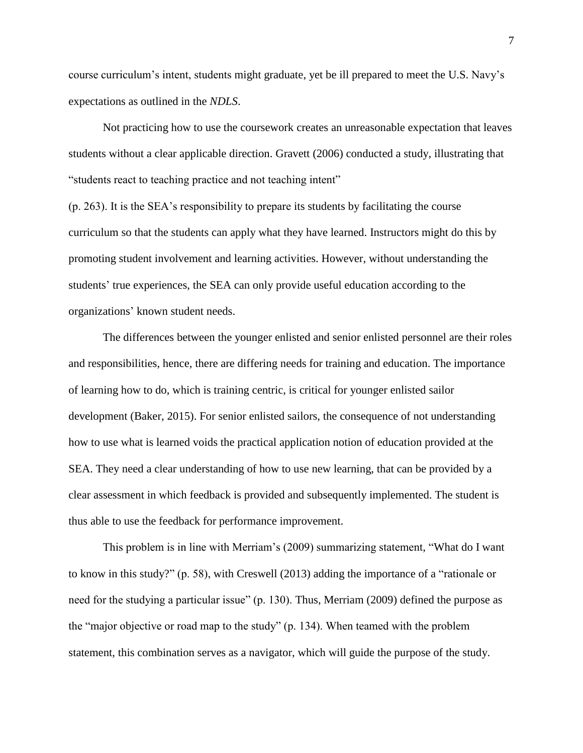course curriculum's intent, students might graduate, yet be ill prepared to meet the U.S. Navy's expectations as outlined in the *NDLS*.

Not practicing how to use the coursework creates an unreasonable expectation that leaves students without a clear applicable direction. Gravett (2006) conducted a study, illustrating that "students react to teaching practice and not teaching intent"

(p. 263). It is the SEA's responsibility to prepare its students by facilitating the course curriculum so that the students can apply what they have learned. Instructors might do this by promoting student involvement and learning activities. However, without understanding the students' true experiences, the SEA can only provide useful education according to the organizations' known student needs.

The differences between the younger enlisted and senior enlisted personnel are their roles and responsibilities, hence, there are differing needs for training and education. The importance of learning how to do, which is training centric, is critical for younger enlisted sailor development (Baker, 2015). For senior enlisted sailors, the consequence of not understanding how to use what is learned voids the practical application notion of education provided at the SEA. They need a clear understanding of how to use new learning, that can be provided by a clear assessment in which feedback is provided and subsequently implemented. The student is thus able to use the feedback for performance improvement.

This problem is in line with Merriam's (2009) summarizing statement, "What do I want to know in this study?" (p. 58), with Creswell (2013) adding the importance of a "rationale or need for the studying a particular issue" (p. 130). Thus, Merriam (2009) defined the purpose as the "major objective or road map to the study" (p. 134). When teamed with the problem statement, this combination serves as a navigator, which will guide the purpose of the study.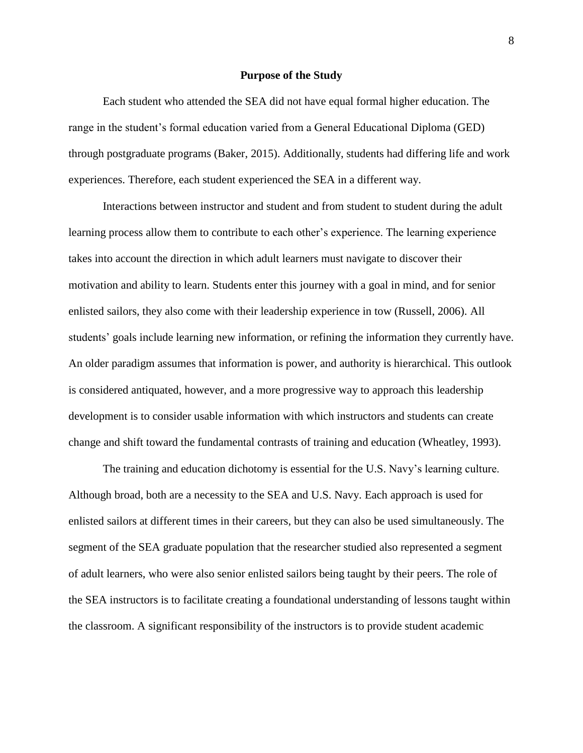#### **Purpose of the Study**

<span id="page-18-0"></span>Each student who attended the SEA did not have equal formal higher education. The range in the student's formal education varied from a General Educational Diploma (GED) through postgraduate programs (Baker, 2015). Additionally, students had differing life and work experiences. Therefore, each student experienced the SEA in a different way.

Interactions between instructor and student and from student to student during the adult learning process allow them to contribute to each other's experience. The learning experience takes into account the direction in which adult learners must navigate to discover their motivation and ability to learn. Students enter this journey with a goal in mind, and for senior enlisted sailors, they also come with their leadership experience in tow (Russell, 2006). All students' goals include learning new information, or refining the information they currently have. An older paradigm assumes that information is power, and authority is hierarchical. This outlook is considered antiquated, however, and a more progressive way to approach this leadership development is to consider usable information with which instructors and students can create change and shift toward the fundamental contrasts of training and education (Wheatley, 1993).

The training and education dichotomy is essential for the U.S. Navy's learning culture. Although broad, both are a necessity to the SEA and U.S. Navy. Each approach is used for enlisted sailors at different times in their careers, but they can also be used simultaneously. The segment of the SEA graduate population that the researcher studied also represented a segment of adult learners, who were also senior enlisted sailors being taught by their peers. The role of the SEA instructors is to facilitate creating a foundational understanding of lessons taught within the classroom. A significant responsibility of the instructors is to provide student academic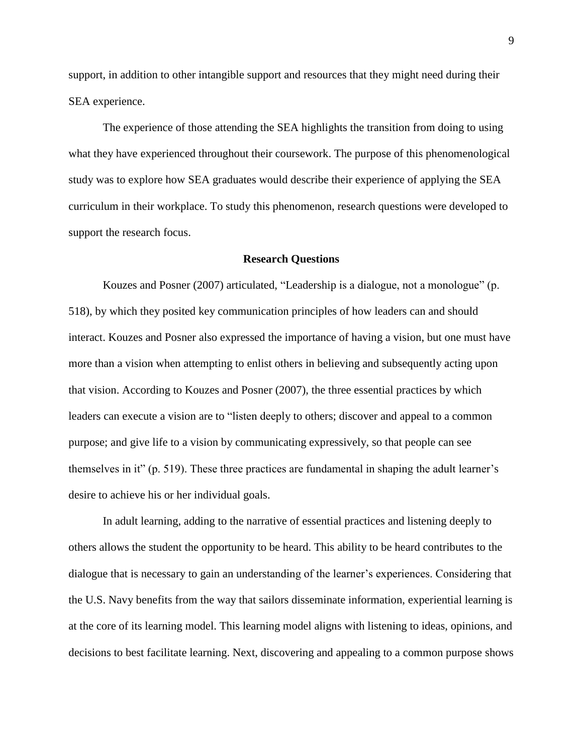support, in addition to other intangible support and resources that they might need during their SEA experience.

The experience of those attending the SEA highlights the transition from doing to using what they have experienced throughout their coursework. The purpose of this phenomenological study was to explore how SEA graduates would describe their experience of applying the SEA curriculum in their workplace. To study this phenomenon, research questions were developed to support the research focus.

#### **Research Questions**

<span id="page-19-0"></span>Kouzes and Posner (2007) articulated, "Leadership is a dialogue, not a monologue" (p. 518), by which they posited key communication principles of how leaders can and should interact. Kouzes and Posner also expressed the importance of having a vision, but one must have more than a vision when attempting to enlist others in believing and subsequently acting upon that vision. According to Kouzes and Posner (2007), the three essential practices by which leaders can execute a vision are to "listen deeply to others; discover and appeal to a common purpose; and give life to a vision by communicating expressively, so that people can see themselves in it" (p. 519). These three practices are fundamental in shaping the adult learner's desire to achieve his or her individual goals.

In adult learning, adding to the narrative of essential practices and listening deeply to others allows the student the opportunity to be heard. This ability to be heard contributes to the dialogue that is necessary to gain an understanding of the learner's experiences. Considering that the U.S. Navy benefits from the way that sailors disseminate information, experiential learning is at the core of its learning model. This learning model aligns with listening to ideas, opinions, and decisions to best facilitate learning. Next, discovering and appealing to a common purpose shows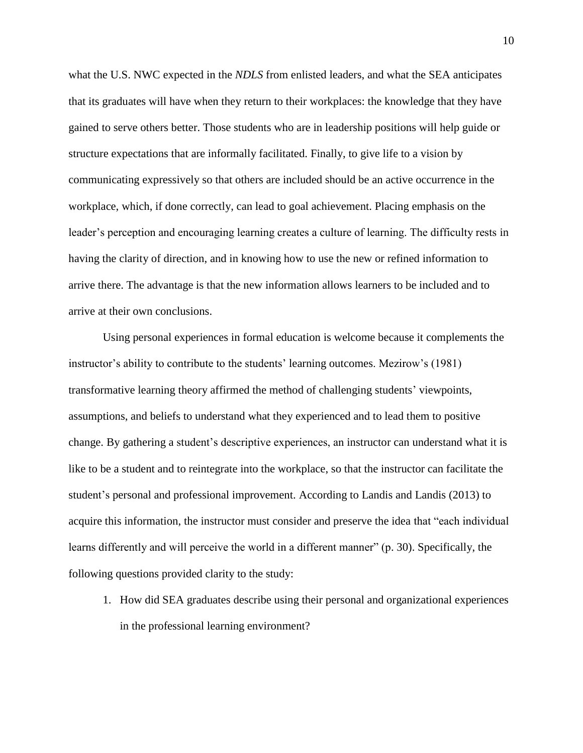what the U.S. NWC expected in the *NDLS* from enlisted leaders, and what the SEA anticipates that its graduates will have when they return to their workplaces: the knowledge that they have gained to serve others better. Those students who are in leadership positions will help guide or structure expectations that are informally facilitated. Finally, to give life to a vision by communicating expressively so that others are included should be an active occurrence in the workplace, which, if done correctly, can lead to goal achievement. Placing emphasis on the leader's perception and encouraging learning creates a culture of learning. The difficulty rests in having the clarity of direction, and in knowing how to use the new or refined information to arrive there. The advantage is that the new information allows learners to be included and to arrive at their own conclusions.

Using personal experiences in formal education is welcome because it complements the instructor's ability to contribute to the students' learning outcomes. Mezirow's (1981) transformative learning theory affirmed the method of challenging students' viewpoints, assumptions, and beliefs to understand what they experienced and to lead them to positive change. By gathering a student's descriptive experiences, an instructor can understand what it is like to be a student and to reintegrate into the workplace, so that the instructor can facilitate the student's personal and professional improvement. According to Landis and Landis (2013) to acquire this information, the instructor must consider and preserve the idea that "each individual learns differently and will perceive the world in a different manner" (p. 30). Specifically, the following questions provided clarity to the study:

1. How did SEA graduates describe using their personal and organizational experiences in the professional learning environment?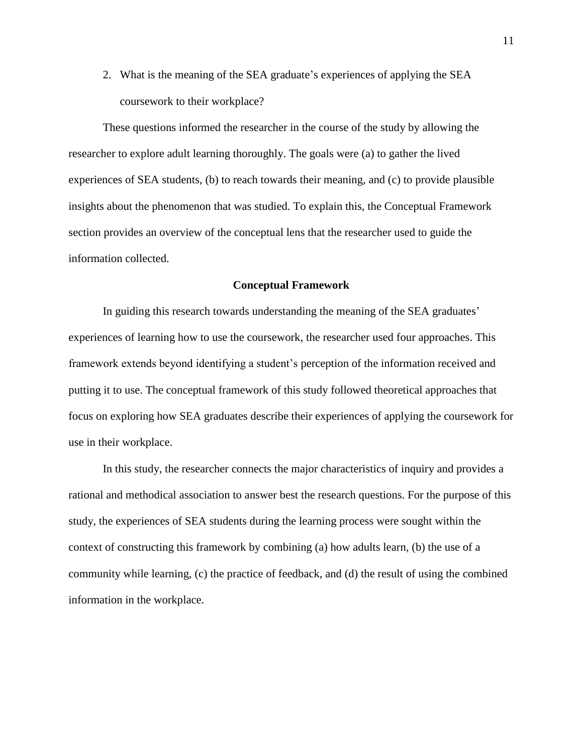2. What is the meaning of the SEA graduate's experiences of applying the SEA coursework to their workplace?

These questions informed the researcher in the course of the study by allowing the researcher to explore adult learning thoroughly. The goals were (a) to gather the lived experiences of SEA students, (b) to reach towards their meaning, and (c) to provide plausible insights about the phenomenon that was studied. To explain this, the Conceptual Framework section provides an overview of the conceptual lens that the researcher used to guide the information collected.

#### **Conceptual Framework**

<span id="page-21-0"></span>In guiding this research towards understanding the meaning of the SEA graduates' experiences of learning how to use the coursework, the researcher used four approaches. This framework extends beyond identifying a student's perception of the information received and putting it to use. The conceptual framework of this study followed theoretical approaches that focus on exploring how SEA graduates describe their experiences of applying the coursework for use in their workplace.

In this study, the researcher connects the major characteristics of inquiry and provides a rational and methodical association to answer best the research questions. For the purpose of this study, the experiences of SEA students during the learning process were sought within the context of constructing this framework by combining (a) how adults learn, (b) the use of a community while learning, (c) the practice of feedback, and (d) the result of using the combined information in the workplace.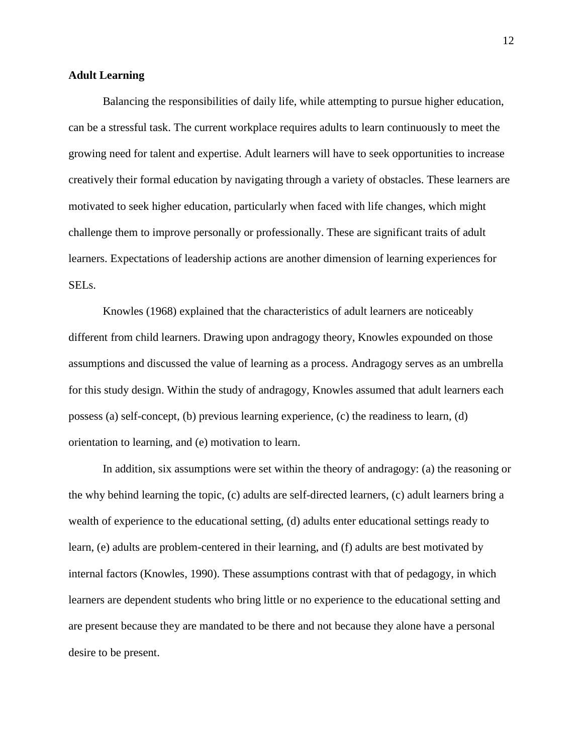#### <span id="page-22-0"></span>**Adult Learning**

Balancing the responsibilities of daily life, while attempting to pursue higher education, can be a stressful task. The current workplace requires adults to learn continuously to meet the growing need for talent and expertise. Adult learners will have to seek opportunities to increase creatively their formal education by navigating through a variety of obstacles. These learners are motivated to seek higher education, particularly when faced with life changes, which might challenge them to improve personally or professionally. These are significant traits of adult learners. Expectations of leadership actions are another dimension of learning experiences for SELs.

Knowles (1968) explained that the characteristics of adult learners are noticeably different from child learners. Drawing upon andragogy theory, Knowles expounded on those assumptions and discussed the value of learning as a process. Andragogy serves as an umbrella for this study design. Within the study of andragogy, Knowles assumed that adult learners each possess (a) self-concept, (b) previous learning experience, (c) the readiness to learn, (d) orientation to learning, and (e) motivation to learn.

In addition, six assumptions were set within the theory of andragogy: (a) the reasoning or the why behind learning the topic, (c) adults are self-directed learners, (c) adult learners bring a wealth of experience to the educational setting, (d) adults enter educational settings ready to learn, (e) adults are problem-centered in their learning, and (f) adults are best motivated by internal factors (Knowles, 1990). These assumptions contrast with that of pedagogy, in which learners are dependent students who bring little or no experience to the educational setting and are present because they are mandated to be there and not because they alone have a personal desire to be present.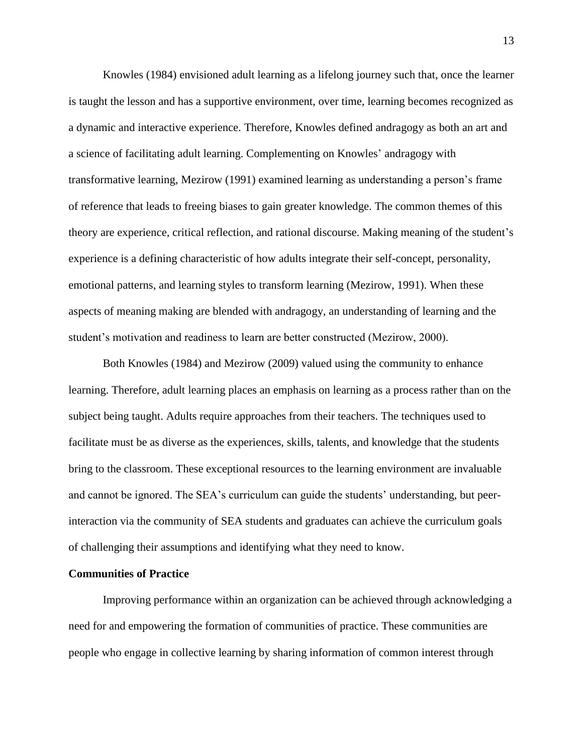Knowles (1984) envisioned adult learning as a lifelong journey such that, once the learner is taught the lesson and has a supportive environment, over time, learning becomes recognized as a dynamic and interactive experience. Therefore, Knowles defined andragogy as both an art and a science of facilitating adult learning. Complementing on Knowles' andragogy with transformative learning, Mezirow (1991) examined learning as understanding a person's frame of reference that leads to freeing biases to gain greater knowledge. The common themes of this theory are experience, critical reflection, and rational discourse. Making meaning of the student's experience is a defining characteristic of how adults integrate their self-concept, personality, emotional patterns, and learning styles to transform learning (Mezirow, 1991). When these aspects of meaning making are blended with andragogy, an understanding of learning and the student's motivation and readiness to learn are better constructed (Mezirow, 2000).

Both Knowles (1984) and Mezirow (2009) valued using the community to enhance learning. Therefore, adult learning places an emphasis on learning as a process rather than on the subject being taught. Adults require approaches from their teachers. The techniques used to facilitate must be as diverse as the experiences, skills, talents, and knowledge that the students bring to the classroom. These exceptional resources to the learning environment are invaluable and cannot be ignored. The SEA's curriculum can guide the students' understanding, but peerinteraction via the community of SEA students and graduates can achieve the curriculum goals of challenging their assumptions and identifying what they need to know.

#### <span id="page-23-0"></span>**Communities of Practice**

Improving performance within an organization can be achieved through acknowledging a need for and empowering the formation of communities of practice. These communities are people who engage in collective learning by sharing information of common interest through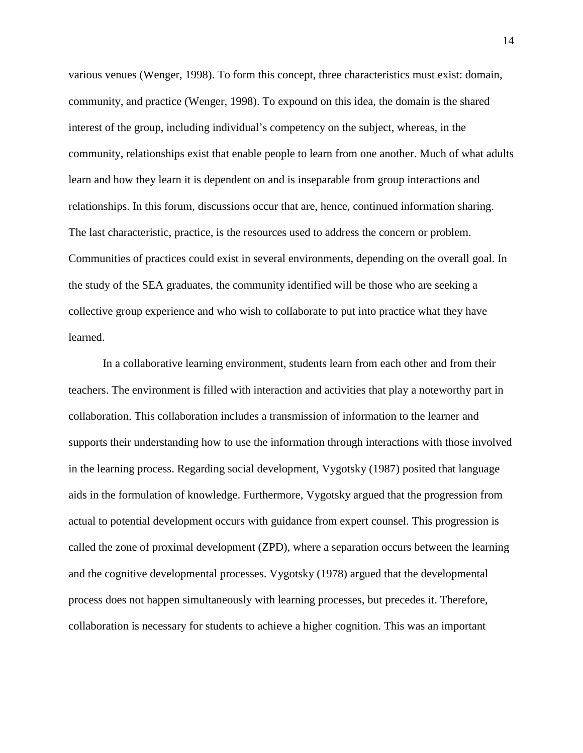various venues (Wenger, 1998). To form this concept, three characteristics must exist: domain, community, and practice (Wenger, 1998). To expound on this idea, the domain is the shared interest of the group, including individual's competency on the subject, whereas, in the community, relationships exist that enable people to learn from one another. Much of what adults learn and how they learn it is dependent on and is inseparable from group interactions and relationships. In this forum, discussions occur that are, hence, continued information sharing. The last characteristic, practice, is the resources used to address the concern or problem. Communities of practices could exist in several environments, depending on the overall goal. In the study of the SEA graduates, the community identified will be those who are seeking a collective group experience and who wish to collaborate to put into practice what they have learned.

In a collaborative learning environment, students learn from each other and from their teachers. The environment is filled with interaction and activities that play a noteworthy part in collaboration. This collaboration includes a transmission of information to the learner and supports their understanding how to use the information through interactions with those involved in the learning process. Regarding social development, Vygotsky (1987) posited that language aids in the formulation of knowledge. Furthermore, Vygotsky argued that the progression from actual to potential development occurs with guidance from expert counsel. This progression is called the zone of proximal development (ZPD), where a separation occurs between the learning and the cognitive developmental processes. Vygotsky (1978) argued that the developmental process does not happen simultaneously with learning processes, but precedes it. Therefore, collaboration is necessary for students to achieve a higher cognition. This was an important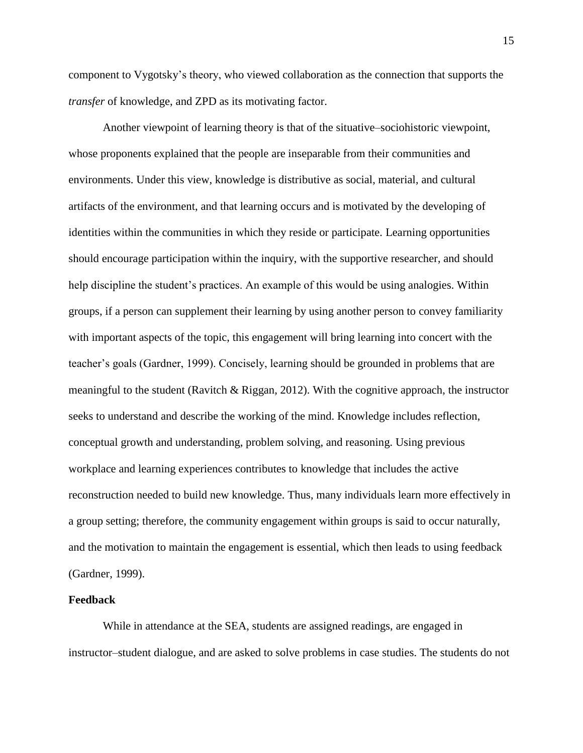component to Vygotsky's theory, who viewed collaboration as the connection that supports the *transfer* of knowledge, and ZPD as its motivating factor.

Another viewpoint of learning theory is that of the situative–sociohistoric viewpoint, whose proponents explained that the people are inseparable from their communities and environments. Under this view, knowledge is distributive as social, material, and cultural artifacts of the environment, and that learning occurs and is motivated by the developing of identities within the communities in which they reside or participate. Learning opportunities should encourage participation within the inquiry, with the supportive researcher, and should help discipline the student's practices. An example of this would be using analogies. Within groups, if a person can supplement their learning by using another person to convey familiarity with important aspects of the topic, this engagement will bring learning into concert with the teacher's goals (Gardner, 1999). Concisely, learning should be grounded in problems that are meaningful to the student (Ravitch & Riggan, 2012). With the cognitive approach, the instructor seeks to understand and describe the working of the mind. Knowledge includes reflection, conceptual growth and understanding, problem solving, and reasoning. Using previous workplace and learning experiences contributes to knowledge that includes the active reconstruction needed to build new knowledge. Thus, many individuals learn more effectively in a group setting; therefore, the community engagement within groups is said to occur naturally, and the motivation to maintain the engagement is essential, which then leads to using feedback (Gardner, 1999).

#### <span id="page-25-0"></span>**Feedback**

While in attendance at the SEA, students are assigned readings, are engaged in instructor–student dialogue, and are asked to solve problems in case studies. The students do not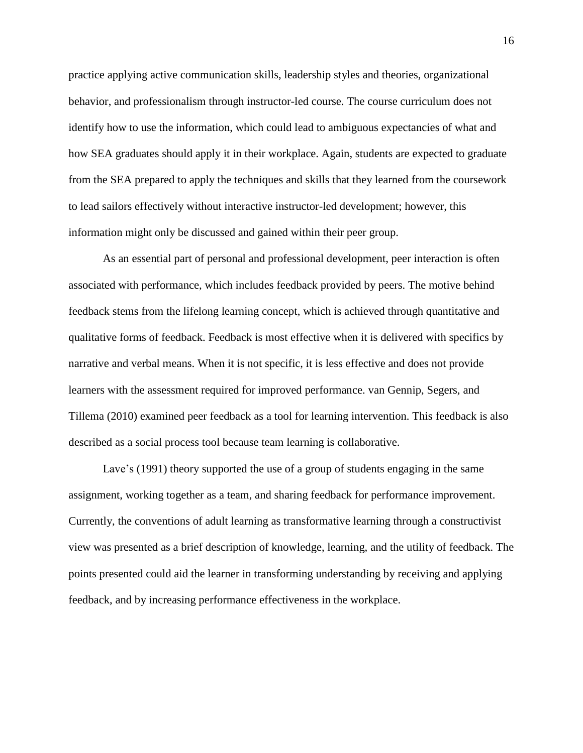practice applying active communication skills, leadership styles and theories, organizational behavior, and professionalism through instructor-led course. The course curriculum does not identify how to use the information, which could lead to ambiguous expectancies of what and how SEA graduates should apply it in their workplace. Again, students are expected to graduate from the SEA prepared to apply the techniques and skills that they learned from the coursework to lead sailors effectively without interactive instructor-led development; however, this information might only be discussed and gained within their peer group.

As an essential part of personal and professional development, peer interaction is often associated with performance, which includes feedback provided by peers. The motive behind feedback stems from the lifelong learning concept, which is achieved through quantitative and qualitative forms of feedback. Feedback is most effective when it is delivered with specifics by narrative and verbal means. When it is not specific, it is less effective and does not provide learners with the assessment required for improved performance. van Gennip, Segers, and Tillema (2010) examined peer feedback as a tool for learning intervention. This feedback is also described as a social process tool because team learning is collaborative.

Lave's (1991) theory supported the use of a group of students engaging in the same assignment, working together as a team, and sharing feedback for performance improvement. Currently, the conventions of adult learning as transformative learning through a constructivist view was presented as a brief description of knowledge, learning, and the utility of feedback. The points presented could aid the learner in transforming understanding by receiving and applying feedback, and by increasing performance effectiveness in the workplace.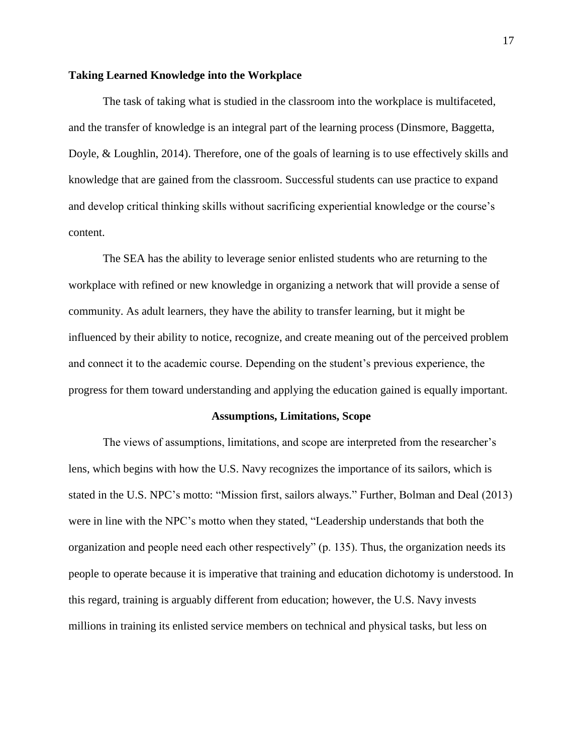#### <span id="page-27-0"></span>**Taking Learned Knowledge into the Workplace**

The task of taking what is studied in the classroom into the workplace is multifaceted, and the transfer of knowledge is an integral part of the learning process (Dinsmore, Baggetta, Doyle, & Loughlin, 2014). Therefore, one of the goals of learning is to use effectively skills and knowledge that are gained from the classroom. Successful students can use practice to expand and develop critical thinking skills without sacrificing experiential knowledge or the course's content.

The SEA has the ability to leverage senior enlisted students who are returning to the workplace with refined or new knowledge in organizing a network that will provide a sense of community. As adult learners, they have the ability to transfer learning, but it might be influenced by their ability to notice, recognize, and create meaning out of the perceived problem and connect it to the academic course. Depending on the student's previous experience, the progress for them toward understanding and applying the education gained is equally important.

#### **Assumptions, Limitations, Scope**

<span id="page-27-1"></span>The views of assumptions, limitations, and scope are interpreted from the researcher's lens, which begins with how the U.S. Navy recognizes the importance of its sailors, which is stated in the U.S. NPC's motto: "Mission first, sailors always." Further, Bolman and Deal (2013) were in line with the NPC's motto when they stated, "Leadership understands that both the organization and people need each other respectively" (p. 135). Thus, the organization needs its people to operate because it is imperative that training and education dichotomy is understood. In this regard, training is arguably different from education; however, the U.S. Navy invests millions in training its enlisted service members on technical and physical tasks, but less on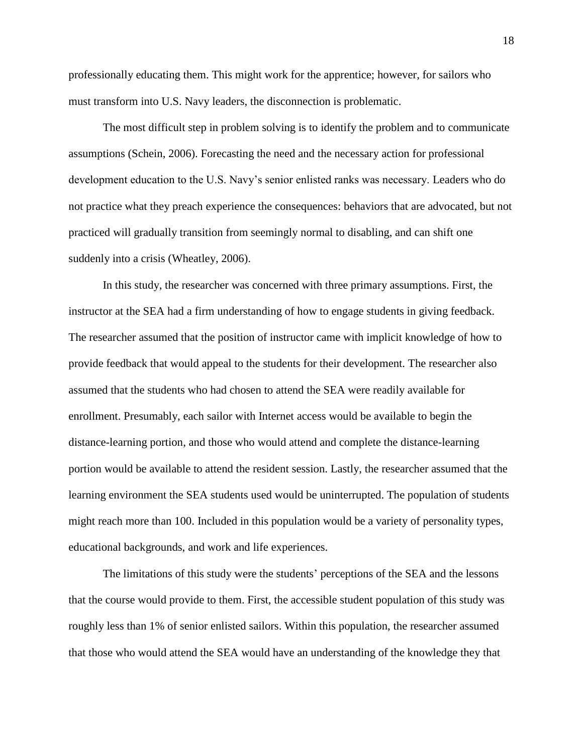professionally educating them. This might work for the apprentice; however, for sailors who must transform into U.S. Navy leaders, the disconnection is problematic.

The most difficult step in problem solving is to identify the problem and to communicate assumptions (Schein, 2006). Forecasting the need and the necessary action for professional development education to the U.S. Navy's senior enlisted ranks was necessary. Leaders who do not practice what they preach experience the consequences: behaviors that are advocated, but not practiced will gradually transition from seemingly normal to disabling, and can shift one suddenly into a crisis (Wheatley, 2006).

In this study, the researcher was concerned with three primary assumptions. First, the instructor at the SEA had a firm understanding of how to engage students in giving feedback. The researcher assumed that the position of instructor came with implicit knowledge of how to provide feedback that would appeal to the students for their development. The researcher also assumed that the students who had chosen to attend the SEA were readily available for enrollment. Presumably, each sailor with Internet access would be available to begin the distance-learning portion, and those who would attend and complete the distance-learning portion would be available to attend the resident session. Lastly, the researcher assumed that the learning environment the SEA students used would be uninterrupted. The population of students might reach more than 100. Included in this population would be a variety of personality types, educational backgrounds, and work and life experiences.

The limitations of this study were the students' perceptions of the SEA and the lessons that the course would provide to them. First, the accessible student population of this study was roughly less than 1% of senior enlisted sailors. Within this population, the researcher assumed that those who would attend the SEA would have an understanding of the knowledge they that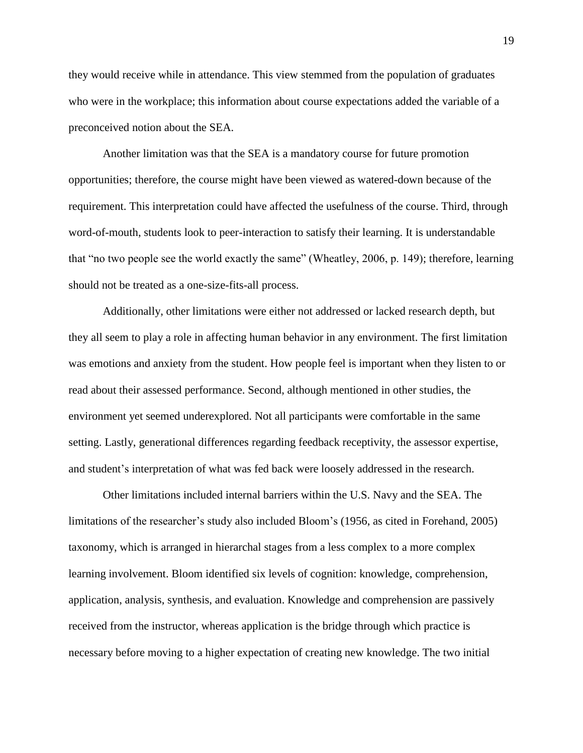they would receive while in attendance. This view stemmed from the population of graduates who were in the workplace; this information about course expectations added the variable of a preconceived notion about the SEA.

Another limitation was that the SEA is a mandatory course for future promotion opportunities; therefore, the course might have been viewed as watered-down because of the requirement. This interpretation could have affected the usefulness of the course. Third, through word-of-mouth, students look to peer-interaction to satisfy their learning. It is understandable that "no two people see the world exactly the same" (Wheatley, 2006, p. 149); therefore, learning should not be treated as a one-size-fits-all process.

Additionally, other limitations were either not addressed or lacked research depth, but they all seem to play a role in affecting human behavior in any environment. The first limitation was emotions and anxiety from the student. How people feel is important when they listen to or read about their assessed performance. Second, although mentioned in other studies, the environment yet seemed underexplored. Not all participants were comfortable in the same setting. Lastly, generational differences regarding feedback receptivity, the assessor expertise, and student's interpretation of what was fed back were loosely addressed in the research.

Other limitations included internal barriers within the U.S. Navy and the SEA. The limitations of the researcher's study also included Bloom's (1956, as cited in Forehand, 2005) taxonomy, which is arranged in hierarchal stages from a less complex to a more complex learning involvement. Bloom identified six levels of cognition: knowledge, comprehension, application, analysis, synthesis, and evaluation. Knowledge and comprehension are passively received from the instructor, whereas application is the bridge through which practice is necessary before moving to a higher expectation of creating new knowledge. The two initial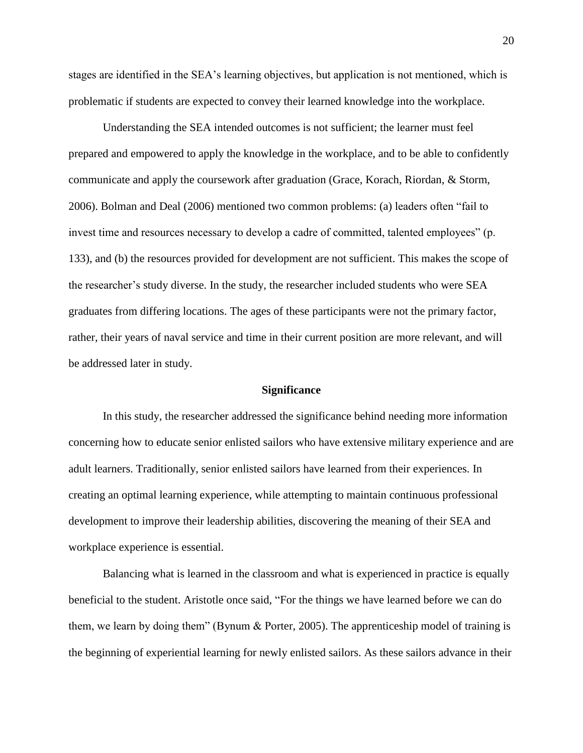stages are identified in the SEA's learning objectives, but application is not mentioned, which is problematic if students are expected to convey their learned knowledge into the workplace.

Understanding the SEA intended outcomes is not sufficient; the learner must feel prepared and empowered to apply the knowledge in the workplace, and to be able to confidently communicate and apply the coursework after graduation (Grace, Korach, Riordan, & Storm, 2006). Bolman and Deal (2006) mentioned two common problems: (a) leaders often "fail to invest time and resources necessary to develop a cadre of committed, talented employees" (p. 133), and (b) the resources provided for development are not sufficient. This makes the scope of the researcher's study diverse. In the study, the researcher included students who were SEA graduates from differing locations. The ages of these participants were not the primary factor, rather, their years of naval service and time in their current position are more relevant, and will be addressed later in study.

#### **Significance**

<span id="page-30-0"></span>In this study, the researcher addressed the significance behind needing more information concerning how to educate senior enlisted sailors who have extensive military experience and are adult learners. Traditionally, senior enlisted sailors have learned from their experiences. In creating an optimal learning experience, while attempting to maintain continuous professional development to improve their leadership abilities, discovering the meaning of their SEA and workplace experience is essential.

Balancing what is learned in the classroom and what is experienced in practice is equally beneficial to the student. Aristotle once said, "For the things we have learned before we can do them, we learn by doing them" (Bynum & Porter, 2005). The apprenticeship model of training is the beginning of experiential learning for newly enlisted sailors. As these sailors advance in their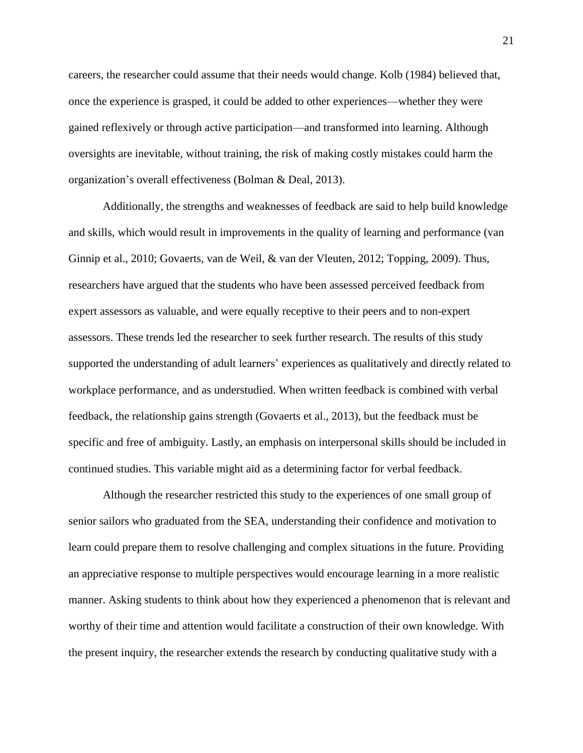careers, the researcher could assume that their needs would change. Kolb (1984) believed that, once the experience is grasped, it could be added to other experiences—whether they were gained reflexively or through active participation—and transformed into learning. Although oversights are inevitable, without training, the risk of making costly mistakes could harm the organization's overall effectiveness (Bolman & Deal, 2013).

Additionally, the strengths and weaknesses of feedback are said to help build knowledge and skills, which would result in improvements in the quality of learning and performance (van Ginnip et al., 2010; Govaerts, van de Weil, & van der Vleuten, 2012; Topping, 2009). Thus, researchers have argued that the students who have been assessed perceived feedback from expert assessors as valuable, and were equally receptive to their peers and to non-expert assessors. These trends led the researcher to seek further research. The results of this study supported the understanding of adult learners' experiences as qualitatively and directly related to workplace performance, and as understudied. When written feedback is combined with verbal feedback, the relationship gains strength (Govaerts et al., 2013), but the feedback must be specific and free of ambiguity. Lastly, an emphasis on interpersonal skills should be included in continued studies. This variable might aid as a determining factor for verbal feedback.

Although the researcher restricted this study to the experiences of one small group of senior sailors who graduated from the SEA, understanding their confidence and motivation to learn could prepare them to resolve challenging and complex situations in the future. Providing an appreciative response to multiple perspectives would encourage learning in a more realistic manner. Asking students to think about how they experienced a phenomenon that is relevant and worthy of their time and attention would facilitate a construction of their own knowledge. With the present inquiry, the researcher extends the research by conducting qualitative study with a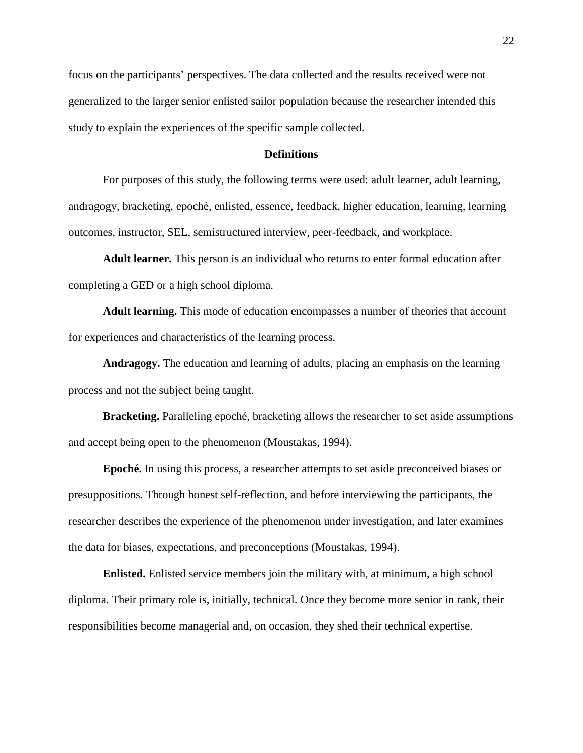focus on the participants' perspectives. The data collected and the results received were not generalized to the larger senior enlisted sailor population because the researcher intended this study to explain the experiences of the specific sample collected.

#### **Definitions**

<span id="page-32-0"></span>For purposes of this study, the following terms were used: adult learner, adult learning, andragogy, bracketing, epochè, enlisted, essence, feedback, higher education, learning, learning outcomes, instructor, SEL, semistructured interview, peer-feedback, and workplace.

**Adult learner.** This person is an individual who returns to enter formal education after completing a GED or a high school diploma.

**Adult learning.** This mode of education encompasses a number of theories that account for experiences and characteristics of the learning process.

**Andragogy.** The education and learning of adults, placing an emphasis on the learning process and not the subject being taught.

**Bracketing.** Paralleling epoché, bracketing allows the researcher to set aside assumptions and accept being open to the phenomenon (Moustakas, 1994).

**Epoché.** In using this process, a researcher attempts to set aside preconceived biases or presuppositions. Through honest self-reflection, and before interviewing the participants, the researcher describes the experience of the phenomenon under investigation, and later examines the data for biases, expectations, and preconceptions (Moustakas, 1994).

**Enlisted.** Enlisted service members join the military with, at minimum, a high school diploma. Their primary role is, initially, technical. Once they become more senior in rank, their responsibilities become managerial and, on occasion, they shed their technical expertise.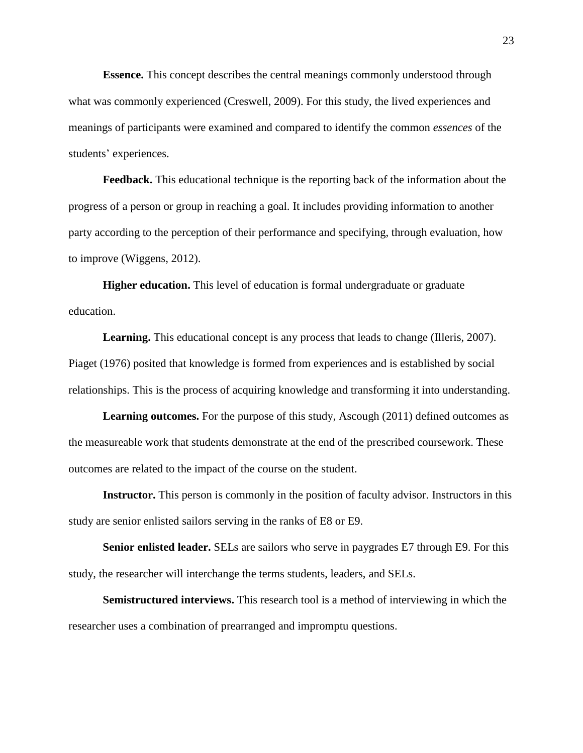**Essence.** This concept describes the central meanings commonly understood through what was commonly experienced (Creswell, 2009). For this study, the lived experiences and meanings of participants were examined and compared to identify the common *essences* of the students' experiences.

**Feedback.** This educational technique is the reporting back of the information about the progress of a person or group in reaching a goal. It includes providing information to another party according to the perception of their performance and specifying, through evaluation, how to improve (Wiggens, 2012).

**Higher education.** This level of education is formal undergraduate or graduate education.

Learning. This educational concept is any process that leads to change (Illeris, 2007). Piaget (1976) posited that knowledge is formed from experiences and is established by social relationships. This is the process of acquiring knowledge and transforming it into understanding.

**Learning outcomes.** For the purpose of this study, Ascough (2011) defined outcomes as the measureable work that students demonstrate at the end of the prescribed coursework. These outcomes are related to the impact of the course on the student.

**Instructor.** This person is commonly in the position of faculty advisor. Instructors in this study are senior enlisted sailors serving in the ranks of E8 or E9.

**Senior enlisted leader.** SELs are sailors who serve in paygrades E7 through E9. For this study, the researcher will interchange the terms students, leaders, and SELs.

**Semistructured interviews.** This research tool is a method of interviewing in which the researcher uses a combination of prearranged and impromptu questions.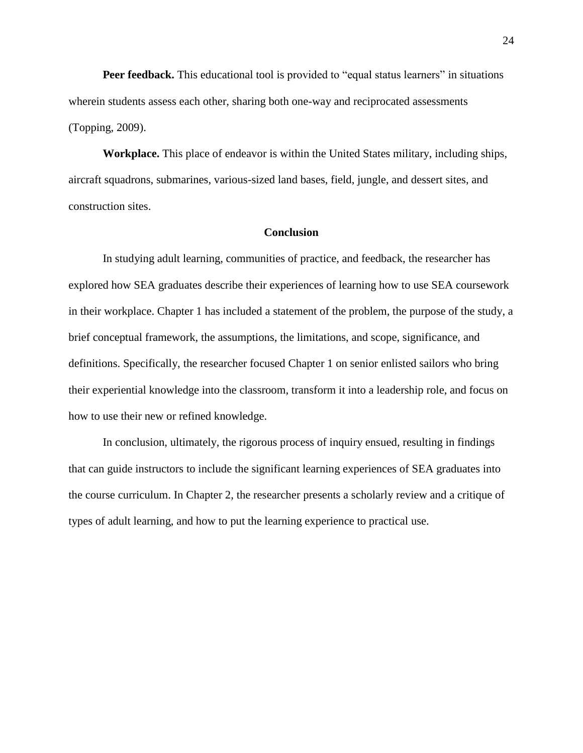**Peer feedback.** This educational tool is provided to "equal status learners" in situations wherein students assess each other, sharing both one-way and reciprocated assessments (Topping, 2009).

**Workplace.** This place of endeavor is within the United States military, including ships, aircraft squadrons, submarines, various-sized land bases, field, jungle, and dessert sites, and construction sites.

#### **Conclusion**

<span id="page-34-0"></span>In studying adult learning, communities of practice, and feedback, the researcher has explored how SEA graduates describe their experiences of learning how to use SEA coursework in their workplace. Chapter 1 has included a statement of the problem, the purpose of the study, a brief conceptual framework, the assumptions, the limitations, and scope, significance, and definitions. Specifically, the researcher focused Chapter 1 on senior enlisted sailors who bring their experiential knowledge into the classroom, transform it into a leadership role, and focus on how to use their new or refined knowledge.

In conclusion, ultimately, the rigorous process of inquiry ensued, resulting in findings that can guide instructors to include the significant learning experiences of SEA graduates into the course curriculum. In Chapter 2, the researcher presents a scholarly review and a critique of types of adult learning, and how to put the learning experience to practical use.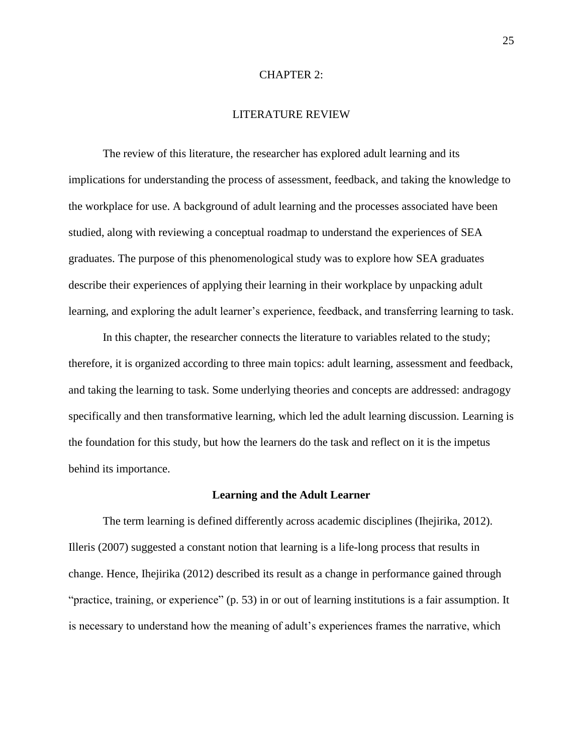#### CHAPTER 2:

#### LITERATURE REVIEW

<span id="page-35-0"></span>The review of this literature, the researcher has explored adult learning and its implications for understanding the process of assessment, feedback, and taking the knowledge to the workplace for use. A background of adult learning and the processes associated have been studied, along with reviewing a conceptual roadmap to understand the experiences of SEA graduates. The purpose of this phenomenological study was to explore how SEA graduates describe their experiences of applying their learning in their workplace by unpacking adult learning, and exploring the adult learner's experience, feedback, and transferring learning to task.

In this chapter, the researcher connects the literature to variables related to the study; therefore, it is organized according to three main topics: adult learning, assessment and feedback, and taking the learning to task. Some underlying theories and concepts are addressed: andragogy specifically and then transformative learning, which led the adult learning discussion. Learning is the foundation for this study, but how the learners do the task and reflect on it is the impetus behind its importance.

#### **Learning and the Adult Learner**

<span id="page-35-1"></span>The term learning is defined differently across academic disciplines (Ihejirika, 2012). Illeris (2007) suggested a constant notion that learning is a life-long process that results in change. Hence, Ihejirika (2012) described its result as a change in performance gained through "practice, training, or experience" (p. 53) in or out of learning institutions is a fair assumption. It is necessary to understand how the meaning of adult's experiences frames the narrative, which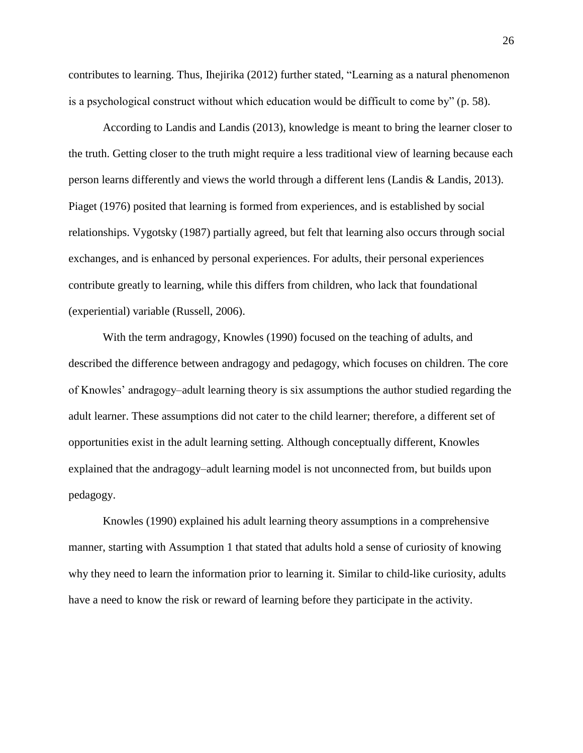contributes to learning. Thus, Ihejirika (2012) further stated, "Learning as a natural phenomenon is a psychological construct without which education would be difficult to come by" (p. 58).

According to Landis and Landis (2013), knowledge is meant to bring the learner closer to the truth. Getting closer to the truth might require a less traditional view of learning because each person learns differently and views the world through a different lens (Landis & Landis, 2013). Piaget (1976) posited that learning is formed from experiences, and is established by social relationships. Vygotsky (1987) partially agreed, but felt that learning also occurs through social exchanges, and is enhanced by personal experiences. For adults, their personal experiences contribute greatly to learning, while this differs from children, who lack that foundational (experiential) variable (Russell, 2006).

With the term andragogy, Knowles (1990) focused on the teaching of adults, and described the difference between andragogy and pedagogy, which focuses on children. The core of Knowles' andragogy–adult learning theory is six assumptions the author studied regarding the adult learner. These assumptions did not cater to the child learner; therefore, a different set of opportunities exist in the adult learning setting. Although conceptually different, Knowles explained that the andragogy–adult learning model is not unconnected from, but builds upon pedagogy.

Knowles (1990) explained his adult learning theory assumptions in a comprehensive manner, starting with Assumption 1 that stated that adults hold a sense of curiosity of knowing why they need to learn the information prior to learning it. Similar to child-like curiosity, adults have a need to know the risk or reward of learning before they participate in the activity.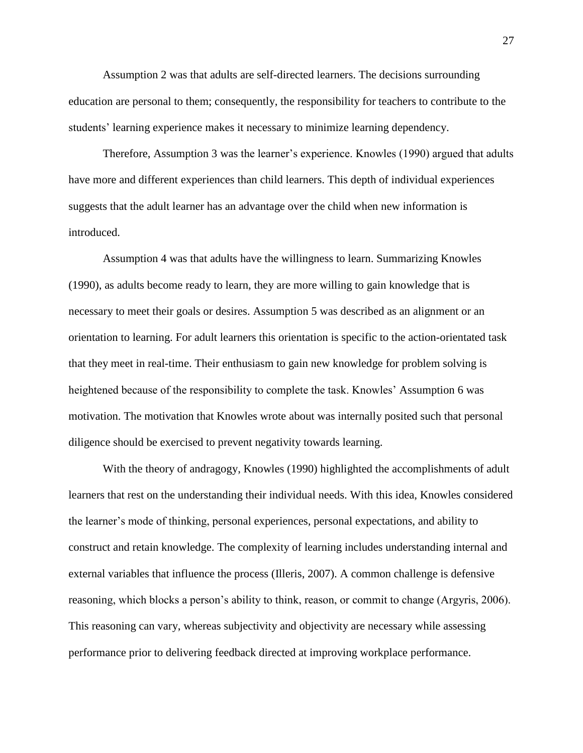Assumption 2 was that adults are self-directed learners. The decisions surrounding education are personal to them; consequently, the responsibility for teachers to contribute to the students' learning experience makes it necessary to minimize learning dependency.

Therefore, Assumption 3 was the learner's experience. Knowles (1990) argued that adults have more and different experiences than child learners. This depth of individual experiences suggests that the adult learner has an advantage over the child when new information is introduced.

Assumption 4 was that adults have the willingness to learn. Summarizing Knowles (1990), as adults become ready to learn, they are more willing to gain knowledge that is necessary to meet their goals or desires. Assumption 5 was described as an alignment or an orientation to learning. For adult learners this orientation is specific to the action-orientated task that they meet in real-time. Their enthusiasm to gain new knowledge for problem solving is heightened because of the responsibility to complete the task. Knowles' Assumption 6 was motivation. The motivation that Knowles wrote about was internally posited such that personal diligence should be exercised to prevent negativity towards learning.

With the theory of andragogy, Knowles (1990) highlighted the accomplishments of adult learners that rest on the understanding their individual needs. With this idea, Knowles considered the learner's mode of thinking, personal experiences, personal expectations, and ability to construct and retain knowledge. The complexity of learning includes understanding internal and external variables that influence the process (Illeris, 2007). A common challenge is defensive reasoning, which blocks a person's ability to think, reason, or commit to change (Argyris, 2006). This reasoning can vary, whereas subjectivity and objectivity are necessary while assessing performance prior to delivering feedback directed at improving workplace performance.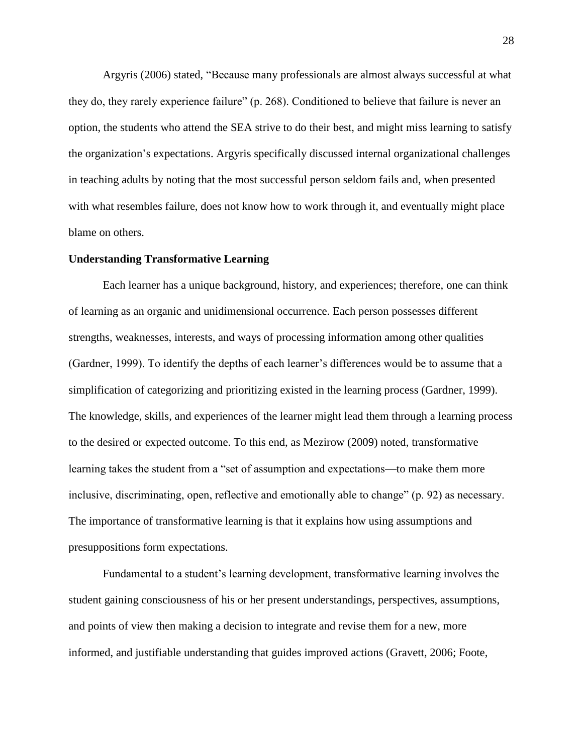Argyris (2006) stated, "Because many professionals are almost always successful at what they do, they rarely experience failure" (p. 268). Conditioned to believe that failure is never an option, the students who attend the SEA strive to do their best, and might miss learning to satisfy the organization's expectations. Argyris specifically discussed internal organizational challenges in teaching adults by noting that the most successful person seldom fails and, when presented with what resembles failure, does not know how to work through it, and eventually might place blame on others.

## **Understanding Transformative Learning**

Each learner has a unique background, history, and experiences; therefore, one can think of learning as an organic and unidimensional occurrence. Each person possesses different strengths, weaknesses, interests, and ways of processing information among other qualities (Gardner, 1999). To identify the depths of each learner's differences would be to assume that a simplification of categorizing and prioritizing existed in the learning process (Gardner, 1999). The knowledge, skills, and experiences of the learner might lead them through a learning process to the desired or expected outcome. To this end, as Mezirow (2009) noted, transformative learning takes the student from a "set of assumption and expectations—to make them more inclusive, discriminating, open, reflective and emotionally able to change" (p. 92) as necessary. The importance of transformative learning is that it explains how using assumptions and presuppositions form expectations.

Fundamental to a student's learning development, transformative learning involves the student gaining consciousness of his or her present understandings, perspectives, assumptions, and points of view then making a decision to integrate and revise them for a new, more informed, and justifiable understanding that guides improved actions (Gravett, 2006; Foote,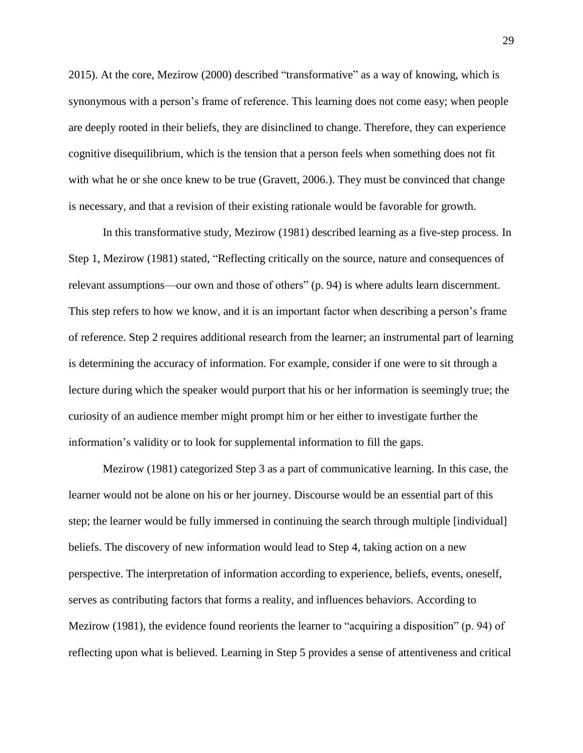2015). At the core, Mezirow (2000) described "transformative" as a way of knowing, which is synonymous with a person's frame of reference. This learning does not come easy; when people are deeply rooted in their beliefs, they are disinclined to change. Therefore, they can experience cognitive disequilibrium, which is the tension that a person feels when something does not fit with what he or she once knew to be true (Gravett, 2006.). They must be convinced that change is necessary, and that a revision of their existing rationale would be favorable for growth.

In this transformative study, Mezirow (1981) described learning as a five-step process. In Step 1, Mezirow (1981) stated, "Reflecting critically on the source, nature and consequences of relevant assumptions—our own and those of others" (p. 94) is where adults learn discernment. This step refers to how we know, and it is an important factor when describing a person's frame of reference. Step 2 requires additional research from the learner; an instrumental part of learning is determining the accuracy of information. For example, consider if one were to sit through a lecture during which the speaker would purport that his or her information is seemingly true; the curiosity of an audience member might prompt him or her either to investigate further the information's validity or to look for supplemental information to fill the gaps.

Mezirow (1981) categorized Step 3 as a part of communicative learning. In this case, the learner would not be alone on his or her journey. Discourse would be an essential part of this step; the learner would be fully immersed in continuing the search through multiple [individual] beliefs. The discovery of new information would lead to Step 4, taking action on a new perspective. The interpretation of information according to experience, beliefs, events, oneself, serves as contributing factors that forms a reality, and influences behaviors. According to Mezirow (1981), the evidence found reorients the learner to "acquiring a disposition" (p. 94) of reflecting upon what is believed. Learning in Step 5 provides a sense of attentiveness and critical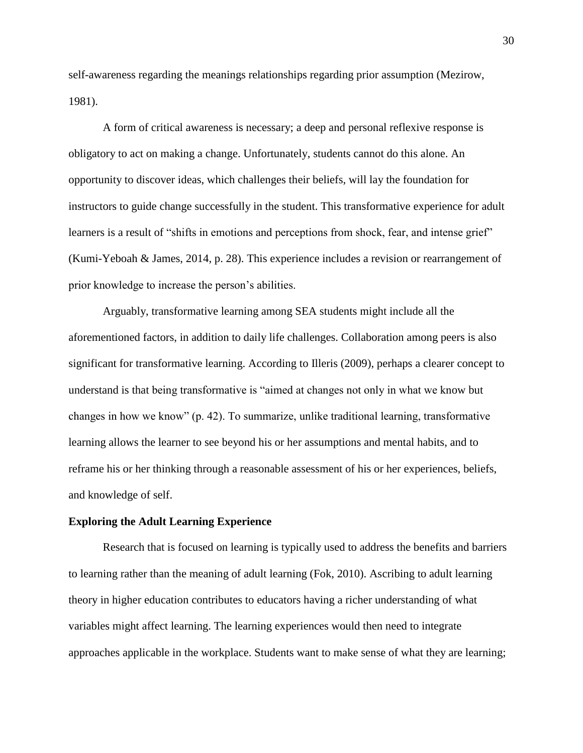self-awareness regarding the meanings relationships regarding prior assumption (Mezirow, 1981).

A form of critical awareness is necessary; a deep and personal reflexive response is obligatory to act on making a change. Unfortunately, students cannot do this alone. An opportunity to discover ideas, which challenges their beliefs, will lay the foundation for instructors to guide change successfully in the student. This transformative experience for adult learners is a result of "shifts in emotions and perceptions from shock, fear, and intense grief" (Kumi-Yeboah & James, 2014, p. 28). This experience includes a revision or rearrangement of prior knowledge to increase the person's abilities.

Arguably, transformative learning among SEA students might include all the aforementioned factors, in addition to daily life challenges. Collaboration among peers is also significant for transformative learning. According to Illeris (2009), perhaps a clearer concept to understand is that being transformative is "aimed at changes not only in what we know but changes in how we know" (p. 42). To summarize, unlike traditional learning, transformative learning allows the learner to see beyond his or her assumptions and mental habits, and to reframe his or her thinking through a reasonable assessment of his or her experiences, beliefs, and knowledge of self.

#### **Exploring the Adult Learning Experience**

Research that is focused on learning is typically used to address the benefits and barriers to learning rather than the meaning of adult learning (Fok, 2010). Ascribing to adult learning theory in higher education contributes to educators having a richer understanding of what variables might affect learning. The learning experiences would then need to integrate approaches applicable in the workplace. Students want to make sense of what they are learning;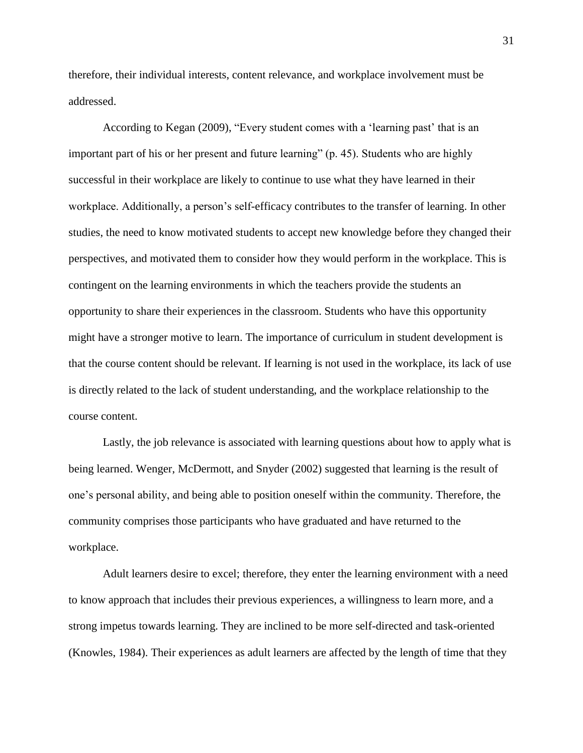therefore, their individual interests, content relevance, and workplace involvement must be addressed.

According to Kegan (2009), "Every student comes with a 'learning past' that is an important part of his or her present and future learning" (p. 45). Students who are highly successful in their workplace are likely to continue to use what they have learned in their workplace. Additionally, a person's self-efficacy contributes to the transfer of learning. In other studies, the need to know motivated students to accept new knowledge before they changed their perspectives, and motivated them to consider how they would perform in the workplace. This is contingent on the learning environments in which the teachers provide the students an opportunity to share their experiences in the classroom. Students who have this opportunity might have a stronger motive to learn. The importance of curriculum in student development is that the course content should be relevant. If learning is not used in the workplace, its lack of use is directly related to the lack of student understanding, and the workplace relationship to the course content.

Lastly, the job relevance is associated with learning questions about how to apply what is being learned. Wenger, McDermott, and Snyder (2002) suggested that learning is the result of one's personal ability, and being able to position oneself within the community. Therefore, the community comprises those participants who have graduated and have returned to the workplace.

Adult learners desire to excel; therefore, they enter the learning environment with a need to know approach that includes their previous experiences, a willingness to learn more, and a strong impetus towards learning. They are inclined to be more self-directed and task-oriented (Knowles, 1984). Their experiences as adult learners are affected by the length of time that they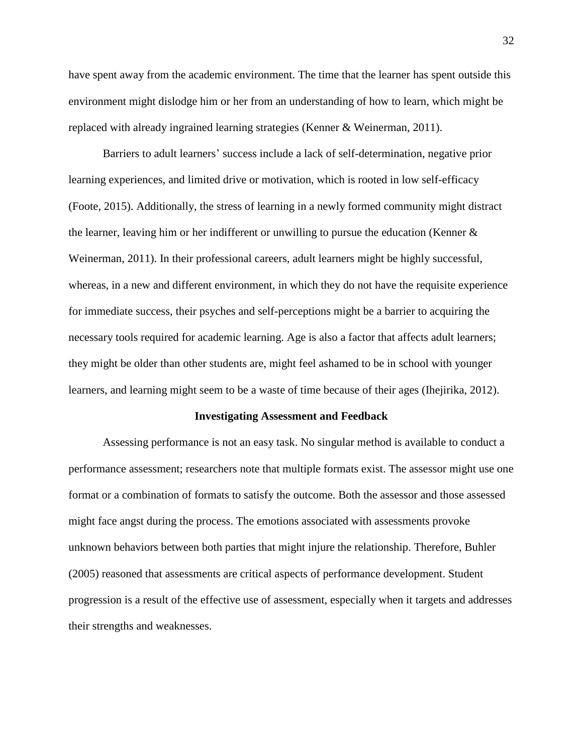have spent away from the academic environment. The time that the learner has spent outside this environment might dislodge him or her from an understanding of how to learn, which might be replaced with already ingrained learning strategies (Kenner & Weinerman, 2011).

Barriers to adult learners' success include a lack of self-determination, negative prior learning experiences, and limited drive or motivation, which is rooted in low self-efficacy (Foote, 2015). Additionally, the stress of learning in a newly formed community might distract the learner, leaving him or her indifferent or unwilling to pursue the education (Kenner & Weinerman, 2011). In their professional careers, adult learners might be highly successful, whereas, in a new and different environment, in which they do not have the requisite experience for immediate success, their psyches and self-perceptions might be a barrier to acquiring the necessary tools required for academic learning. Age is also a factor that affects adult learners; they might be older than other students are, might feel ashamed to be in school with younger learners, and learning might seem to be a waste of time because of their ages (Ihejirika, 2012).

#### **Investigating Assessment and Feedback**

Assessing performance is not an easy task. No singular method is available to conduct a performance assessment; researchers note that multiple formats exist. The assessor might use one format or a combination of formats to satisfy the outcome. Both the assessor and those assessed might face angst during the process. The emotions associated with assessments provoke unknown behaviors between both parties that might injure the relationship. Therefore, Buhler (2005) reasoned that assessments are critical aspects of performance development. Student progression is a result of the effective use of assessment, especially when it targets and addresses their strengths and weaknesses.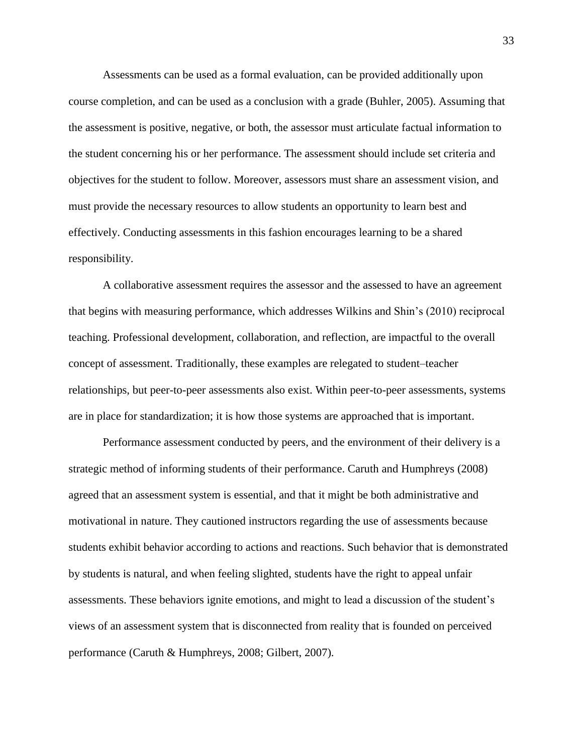Assessments can be used as a formal evaluation, can be provided additionally upon course completion, and can be used as a conclusion with a grade (Buhler, 2005). Assuming that the assessment is positive, negative, or both, the assessor must articulate factual information to the student concerning his or her performance. The assessment should include set criteria and objectives for the student to follow. Moreover, assessors must share an assessment vision, and must provide the necessary resources to allow students an opportunity to learn best and effectively. Conducting assessments in this fashion encourages learning to be a shared responsibility.

A collaborative assessment requires the assessor and the assessed to have an agreement that begins with measuring performance, which addresses Wilkins and Shin's (2010) reciprocal teaching. Professional development, collaboration, and reflection, are impactful to the overall concept of assessment. Traditionally, these examples are relegated to student–teacher relationships, but peer-to-peer assessments also exist. Within peer-to-peer assessments, systems are in place for standardization; it is how those systems are approached that is important.

Performance assessment conducted by peers, and the environment of their delivery is a strategic method of informing students of their performance. Caruth and Humphreys (2008) agreed that an assessment system is essential, and that it might be both administrative and motivational in nature. They cautioned instructors regarding the use of assessments because students exhibit behavior according to actions and reactions. Such behavior that is demonstrated by students is natural, and when feeling slighted, students have the right to appeal unfair assessments. These behaviors ignite emotions, and might to lead a discussion of the student's views of an assessment system that is disconnected from reality that is founded on perceived performance (Caruth & Humphreys, 2008; Gilbert, 2007).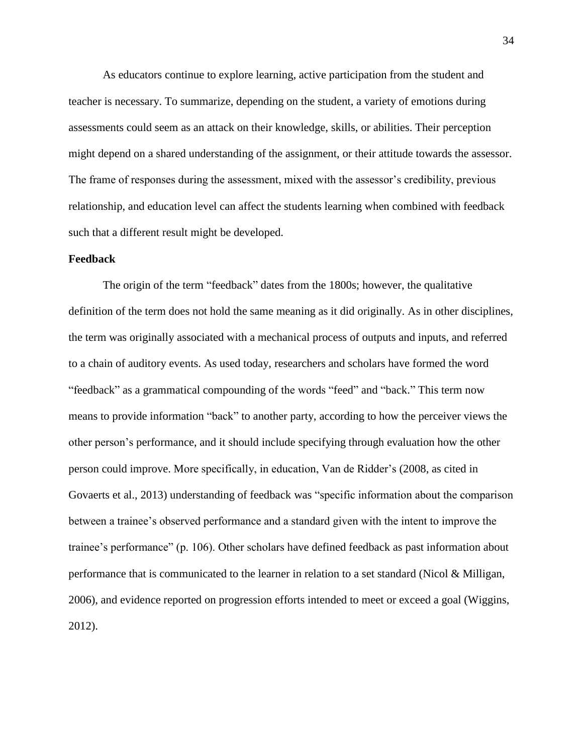As educators continue to explore learning, active participation from the student and teacher is necessary. To summarize, depending on the student, a variety of emotions during assessments could seem as an attack on their knowledge, skills, or abilities. Their perception might depend on a shared understanding of the assignment, or their attitude towards the assessor. The frame of responses during the assessment, mixed with the assessor's credibility, previous relationship, and education level can affect the students learning when combined with feedback such that a different result might be developed.

### **Feedback**

The origin of the term "feedback" dates from the 1800s; however, the qualitative definition of the term does not hold the same meaning as it did originally. As in other disciplines, the term was originally associated with a mechanical process of outputs and inputs, and referred to a chain of auditory events. As used today, researchers and scholars have formed the word "feedback" as a grammatical compounding of the words "feed" and "back." This term now means to provide information "back" to another party, according to how the perceiver views the other person's performance, and it should include specifying through evaluation how the other person could improve. More specifically, in education, Van de Ridder's (2008, as cited in Govaerts et al., 2013) understanding of feedback was "specific information about the comparison between a trainee's observed performance and a standard given with the intent to improve the trainee's performance" (p. 106). Other scholars have defined feedback as past information about performance that is communicated to the learner in relation to a set standard (Nicol & Milligan, 2006), and evidence reported on progression efforts intended to meet or exceed a goal (Wiggins, 2012).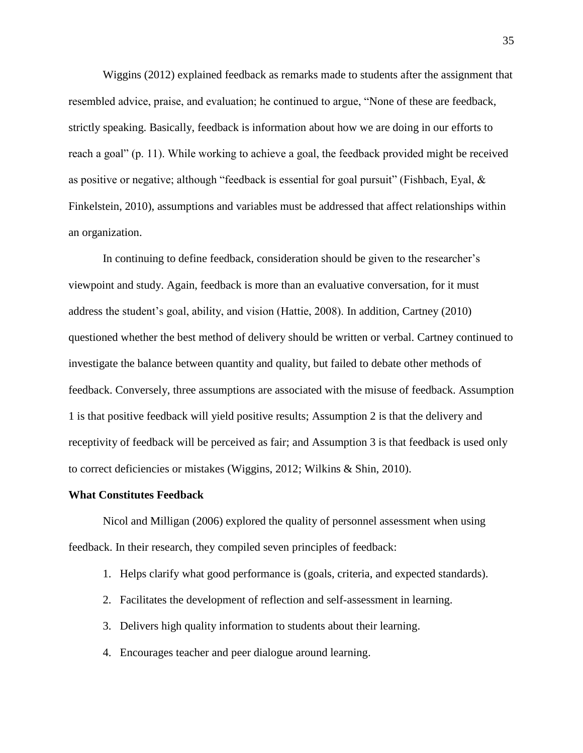Wiggins (2012) explained feedback as remarks made to students after the assignment that resembled advice, praise, and evaluation; he continued to argue, "None of these are feedback, strictly speaking. Basically, feedback is information about how we are doing in our efforts to reach a goal" (p. 11). While working to achieve a goal, the feedback provided might be received as positive or negative; although "feedback is essential for goal pursuit" (Fishbach, Eyal, & Finkelstein, 2010), assumptions and variables must be addressed that affect relationships within an organization.

In continuing to define feedback, consideration should be given to the researcher's viewpoint and study. Again, feedback is more than an evaluative conversation, for it must address the student's goal, ability, and vision (Hattie, 2008). In addition, Cartney (2010) questioned whether the best method of delivery should be written or verbal. Cartney continued to investigate the balance between quantity and quality, but failed to debate other methods of feedback. Conversely, three assumptions are associated with the misuse of feedback. Assumption 1 is that positive feedback will yield positive results; Assumption 2 is that the delivery and receptivity of feedback will be perceived as fair; and Assumption 3 is that feedback is used only to correct deficiencies or mistakes (Wiggins, 2012; Wilkins & Shin, 2010).

### **What Constitutes Feedback**

Nicol and Milligan (2006) explored the quality of personnel assessment when using feedback. In their research, they compiled seven principles of feedback:

- 1. Helps clarify what good performance is (goals, criteria, and expected standards).
- 2. Facilitates the development of reflection and self-assessment in learning.
- 3. Delivers high quality information to students about their learning.
- 4. Encourages teacher and peer dialogue around learning.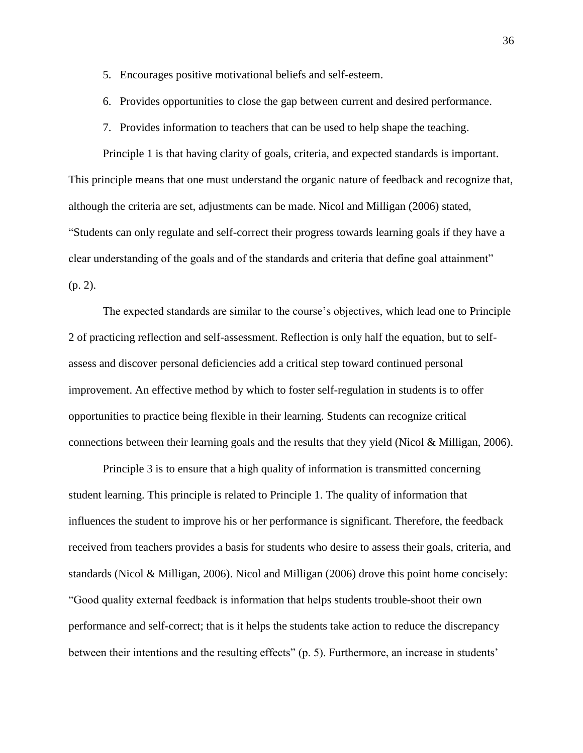- 5. Encourages positive motivational beliefs and self-esteem.
- 6. Provides opportunities to close the gap between current and desired performance.
- 7. Provides information to teachers that can be used to help shape the teaching.

Principle 1 is that having clarity of goals, criteria, and expected standards is important. This principle means that one must understand the organic nature of feedback and recognize that, although the criteria are set, adjustments can be made. Nicol and Milligan (2006) stated, "Students can only regulate and self-correct their progress towards learning goals if they have a clear understanding of the goals and of the standards and criteria that define goal attainment" (p. 2).

The expected standards are similar to the course's objectives, which lead one to Principle 2 of practicing reflection and self-assessment. Reflection is only half the equation, but to selfassess and discover personal deficiencies add a critical step toward continued personal improvement. An effective method by which to foster self-regulation in students is to offer opportunities to practice being flexible in their learning. Students can recognize critical connections between their learning goals and the results that they yield (Nicol & Milligan, 2006).

Principle 3 is to ensure that a high quality of information is transmitted concerning student learning. This principle is related to Principle 1. The quality of information that influences the student to improve his or her performance is significant. Therefore, the feedback received from teachers provides a basis for students who desire to assess their goals, criteria, and standards (Nicol & Milligan, 2006). Nicol and Milligan (2006) drove this point home concisely: "Good quality external feedback is information that helps students trouble-shoot their own performance and self-correct; that is it helps the students take action to reduce the discrepancy between their intentions and the resulting effects" (p. 5). Furthermore, an increase in students'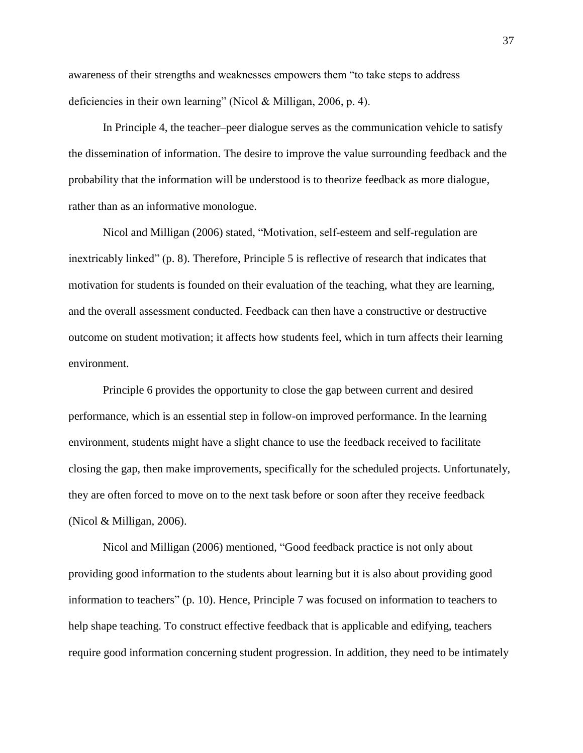awareness of their strengths and weaknesses empowers them "to take steps to address deficiencies in their own learning" (Nicol & Milligan, 2006, p. 4).

In Principle 4, the teacher–peer dialogue serves as the communication vehicle to satisfy the dissemination of information. The desire to improve the value surrounding feedback and the probability that the information will be understood is to theorize feedback as more dialogue, rather than as an informative monologue.

Nicol and Milligan (2006) stated, "Motivation, self-esteem and self-regulation are inextricably linked" (p. 8). Therefore, Principle 5 is reflective of research that indicates that motivation for students is founded on their evaluation of the teaching, what they are learning, and the overall assessment conducted. Feedback can then have a constructive or destructive outcome on student motivation; it affects how students feel, which in turn affects their learning environment.

Principle 6 provides the opportunity to close the gap between current and desired performance, which is an essential step in follow-on improved performance. In the learning environment, students might have a slight chance to use the feedback received to facilitate closing the gap, then make improvements, specifically for the scheduled projects. Unfortunately, they are often forced to move on to the next task before or soon after they receive feedback (Nicol & Milligan, 2006).

Nicol and Milligan (2006) mentioned, "Good feedback practice is not only about providing good information to the students about learning but it is also about providing good information to teachers" (p. 10). Hence, Principle 7 was focused on information to teachers to help shape teaching. To construct effective feedback that is applicable and edifying, teachers require good information concerning student progression. In addition, they need to be intimately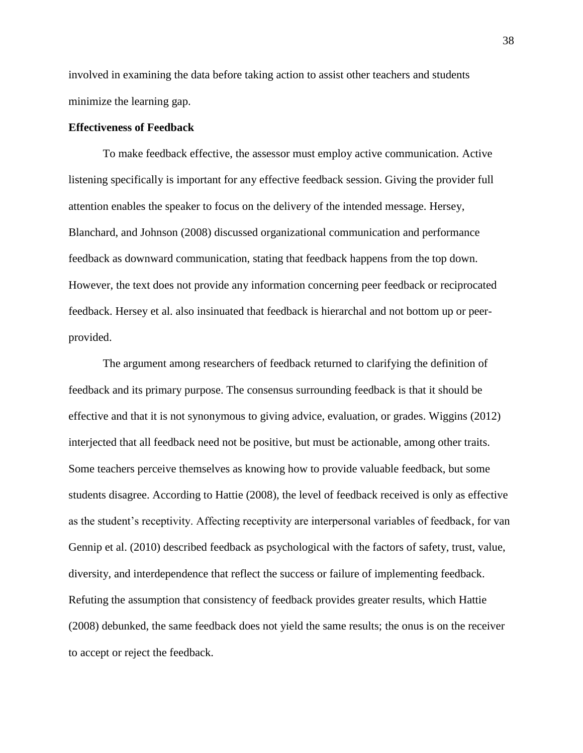involved in examining the data before taking action to assist other teachers and students minimize the learning gap.

# **Effectiveness of Feedback**

To make feedback effective, the assessor must employ active communication. Active listening specifically is important for any effective feedback session. Giving the provider full attention enables the speaker to focus on the delivery of the intended message. Hersey, Blanchard, and Johnson (2008) discussed organizational communication and performance feedback as downward communication, stating that feedback happens from the top down. However, the text does not provide any information concerning peer feedback or reciprocated feedback. Hersey et al. also insinuated that feedback is hierarchal and not bottom up or peerprovided.

The argument among researchers of feedback returned to clarifying the definition of feedback and its primary purpose. The consensus surrounding feedback is that it should be effective and that it is not synonymous to giving advice, evaluation, or grades. Wiggins (2012) interjected that all feedback need not be positive, but must be actionable, among other traits. Some teachers perceive themselves as knowing how to provide valuable feedback, but some students disagree. According to Hattie (2008), the level of feedback received is only as effective as the student's receptivity. Affecting receptivity are interpersonal variables of feedback, for van Gennip et al. (2010) described feedback as psychological with the factors of safety, trust, value, diversity, and interdependence that reflect the success or failure of implementing feedback. Refuting the assumption that consistency of feedback provides greater results, which Hattie (2008) debunked, the same feedback does not yield the same results; the onus is on the receiver to accept or reject the feedback.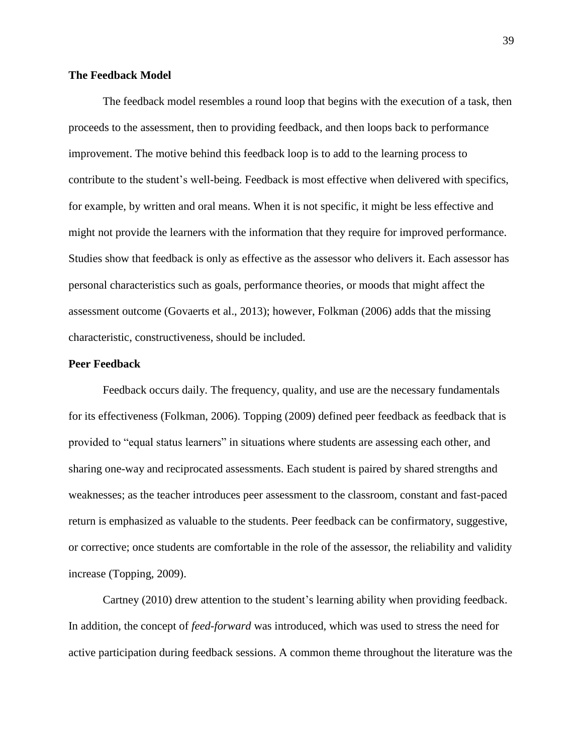## **The Feedback Model**

The feedback model resembles a round loop that begins with the execution of a task, then proceeds to the assessment, then to providing feedback, and then loops back to performance improvement. The motive behind this feedback loop is to add to the learning process to contribute to the student's well-being. Feedback is most effective when delivered with specifics, for example, by written and oral means. When it is not specific, it might be less effective and might not provide the learners with the information that they require for improved performance. Studies show that feedback is only as effective as the assessor who delivers it. Each assessor has personal characteristics such as goals, performance theories, or moods that might affect the assessment outcome (Govaerts et al., 2013); however, Folkman (2006) adds that the missing characteristic, constructiveness, should be included.

## **Peer Feedback**

Feedback occurs daily. The frequency, quality, and use are the necessary fundamentals for its effectiveness (Folkman, 2006). Topping (2009) defined peer feedback as feedback that is provided to "equal status learners" in situations where students are assessing each other, and sharing one-way and reciprocated assessments. Each student is paired by shared strengths and weaknesses; as the teacher introduces peer assessment to the classroom, constant and fast-paced return is emphasized as valuable to the students. Peer feedback can be confirmatory, suggestive, or corrective; once students are comfortable in the role of the assessor, the reliability and validity increase (Topping, 2009).

Cartney (2010) drew attention to the student's learning ability when providing feedback. In addition, the concept of *feed-forward* was introduced, which was used to stress the need for active participation during feedback sessions. A common theme throughout the literature was the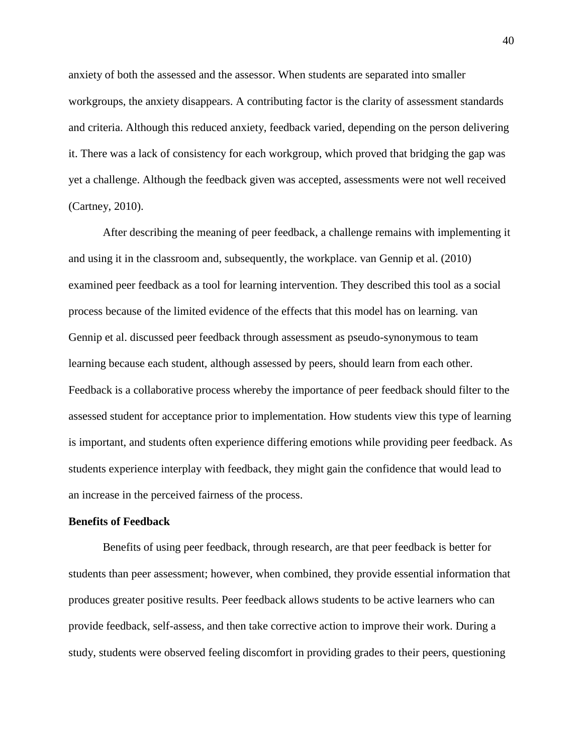anxiety of both the assessed and the assessor. When students are separated into smaller workgroups, the anxiety disappears. A contributing factor is the clarity of assessment standards and criteria. Although this reduced anxiety, feedback varied, depending on the person delivering it. There was a lack of consistency for each workgroup, which proved that bridging the gap was yet a challenge. Although the feedback given was accepted, assessments were not well received (Cartney, 2010).

After describing the meaning of peer feedback, a challenge remains with implementing it and using it in the classroom and, subsequently, the workplace. van Gennip et al. (2010) examined peer feedback as a tool for learning intervention. They described this tool as a social process because of the limited evidence of the effects that this model has on learning. van Gennip et al. discussed peer feedback through assessment as pseudo-synonymous to team learning because each student, although assessed by peers, should learn from each other. Feedback is a collaborative process whereby the importance of peer feedback should filter to the assessed student for acceptance prior to implementation. How students view this type of learning is important, and students often experience differing emotions while providing peer feedback. As students experience interplay with feedback, they might gain the confidence that would lead to an increase in the perceived fairness of the process.

### **Benefits of Feedback**

Benefits of using peer feedback, through research, are that peer feedback is better for students than peer assessment; however, when combined, they provide essential information that produces greater positive results. Peer feedback allows students to be active learners who can provide feedback, self-assess, and then take corrective action to improve their work. During a study, students were observed feeling discomfort in providing grades to their peers, questioning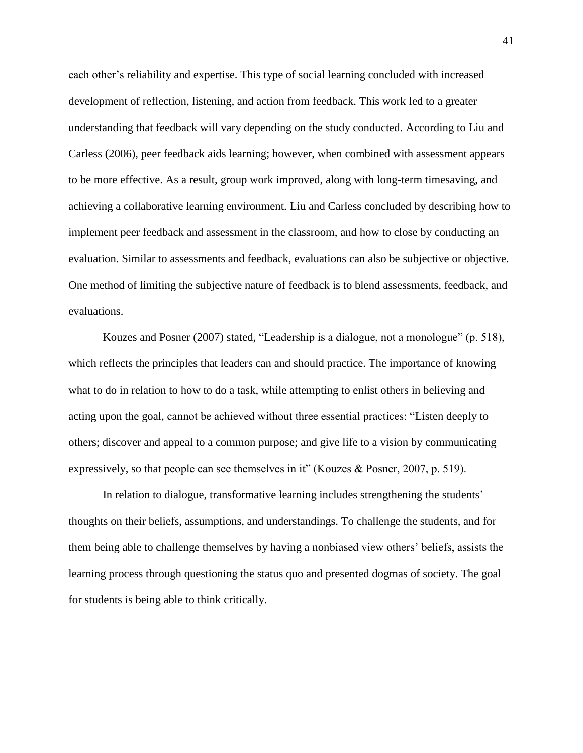each other's reliability and expertise. This type of social learning concluded with increased development of reflection, listening, and action from feedback. This work led to a greater understanding that feedback will vary depending on the study conducted. According to Liu and Carless (2006), peer feedback aids learning; however, when combined with assessment appears to be more effective. As a result, group work improved, along with long-term timesaving, and achieving a collaborative learning environment. Liu and Carless concluded by describing how to implement peer feedback and assessment in the classroom, and how to close by conducting an evaluation. Similar to assessments and feedback, evaluations can also be subjective or objective. One method of limiting the subjective nature of feedback is to blend assessments, feedback, and evaluations.

Kouzes and Posner (2007) stated, "Leadership is a dialogue, not a monologue" (p. 518), which reflects the principles that leaders can and should practice. The importance of knowing what to do in relation to how to do a task, while attempting to enlist others in believing and acting upon the goal, cannot be achieved without three essential practices: "Listen deeply to others; discover and appeal to a common purpose; and give life to a vision by communicating expressively, so that people can see themselves in it" (Kouzes & Posner, 2007, p. 519).

In relation to dialogue, transformative learning includes strengthening the students' thoughts on their beliefs, assumptions, and understandings. To challenge the students, and for them being able to challenge themselves by having a nonbiased view others' beliefs, assists the learning process through questioning the status quo and presented dogmas of society. The goal for students is being able to think critically.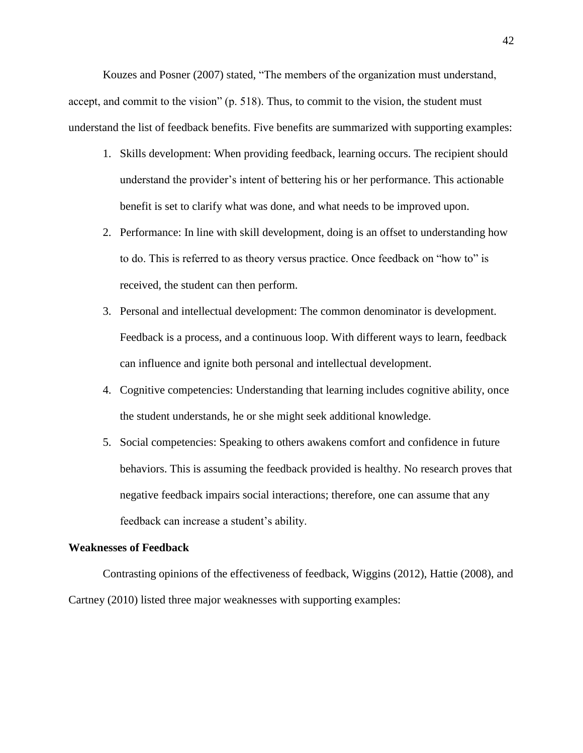Kouzes and Posner (2007) stated, "The members of the organization must understand, accept, and commit to the vision" (p. 518). Thus, to commit to the vision, the student must understand the list of feedback benefits. Five benefits are summarized with supporting examples:

- 1. Skills development: When providing feedback, learning occurs. The recipient should understand the provider's intent of bettering his or her performance. This actionable benefit is set to clarify what was done, and what needs to be improved upon.
- 2. Performance: In line with skill development, doing is an offset to understanding how to do. This is referred to as theory versus practice. Once feedback on "how to" is received, the student can then perform.
- 3. Personal and intellectual development: The common denominator is development. Feedback is a process, and a continuous loop. With different ways to learn, feedback can influence and ignite both personal and intellectual development.
- 4. Cognitive competencies: Understanding that learning includes cognitive ability, once the student understands, he or she might seek additional knowledge.
- 5. Social competencies: Speaking to others awakens comfort and confidence in future behaviors. This is assuming the feedback provided is healthy. No research proves that negative feedback impairs social interactions; therefore, one can assume that any feedback can increase a student's ability.

### **Weaknesses of Feedback**

Contrasting opinions of the effectiveness of feedback, Wiggins (2012), Hattie (2008), and Cartney (2010) listed three major weaknesses with supporting examples: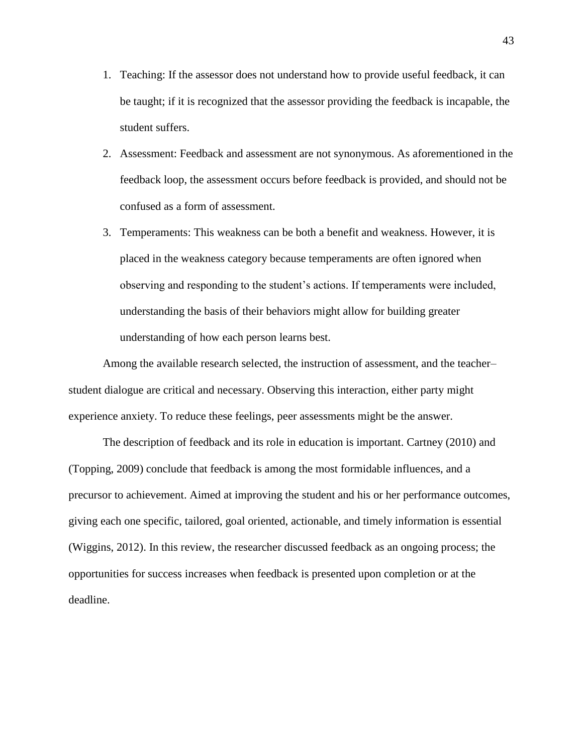- 1. Teaching: If the assessor does not understand how to provide useful feedback, it can be taught; if it is recognized that the assessor providing the feedback is incapable, the student suffers.
- 2. Assessment: Feedback and assessment are not synonymous. As aforementioned in the feedback loop, the assessment occurs before feedback is provided, and should not be confused as a form of assessment.
- 3. Temperaments: This weakness can be both a benefit and weakness. However, it is placed in the weakness category because temperaments are often ignored when observing and responding to the student's actions. If temperaments were included, understanding the basis of their behaviors might allow for building greater understanding of how each person learns best.

Among the available research selected, the instruction of assessment, and the teacher– student dialogue are critical and necessary. Observing this interaction, either party might experience anxiety. To reduce these feelings, peer assessments might be the answer.

The description of feedback and its role in education is important. Cartney (2010) and (Topping, 2009) conclude that feedback is among the most formidable influences, and a precursor to achievement. Aimed at improving the student and his or her performance outcomes, giving each one specific, tailored, goal oriented, actionable, and timely information is essential (Wiggins, 2012). In this review, the researcher discussed feedback as an ongoing process; the opportunities for success increases when feedback is presented upon completion or at the deadline.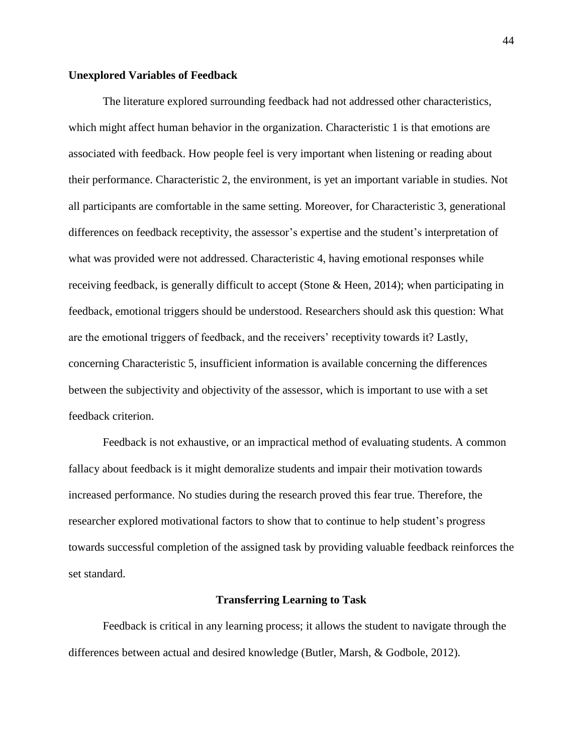## **Unexplored Variables of Feedback**

The literature explored surrounding feedback had not addressed other characteristics, which might affect human behavior in the organization. Characteristic 1 is that emotions are associated with feedback. How people feel is very important when listening or reading about their performance. Characteristic 2, the environment, is yet an important variable in studies. Not all participants are comfortable in the same setting. Moreover, for Characteristic 3, generational differences on feedback receptivity, the assessor's expertise and the student's interpretation of what was provided were not addressed. Characteristic 4, having emotional responses while receiving feedback, is generally difficult to accept (Stone & Heen, 2014); when participating in feedback, emotional triggers should be understood. Researchers should ask this question: What are the emotional triggers of feedback, and the receivers' receptivity towards it? Lastly, concerning Characteristic 5, insufficient information is available concerning the differences between the subjectivity and objectivity of the assessor, which is important to use with a set feedback criterion.

Feedback is not exhaustive, or an impractical method of evaluating students. A common fallacy about feedback is it might demoralize students and impair their motivation towards increased performance. No studies during the research proved this fear true. Therefore, the researcher explored motivational factors to show that to continue to help student's progress towards successful completion of the assigned task by providing valuable feedback reinforces the set standard.

#### **Transferring Learning to Task**

Feedback is critical in any learning process; it allows the student to navigate through the differences between actual and desired knowledge (Butler, Marsh, & Godbole, 2012).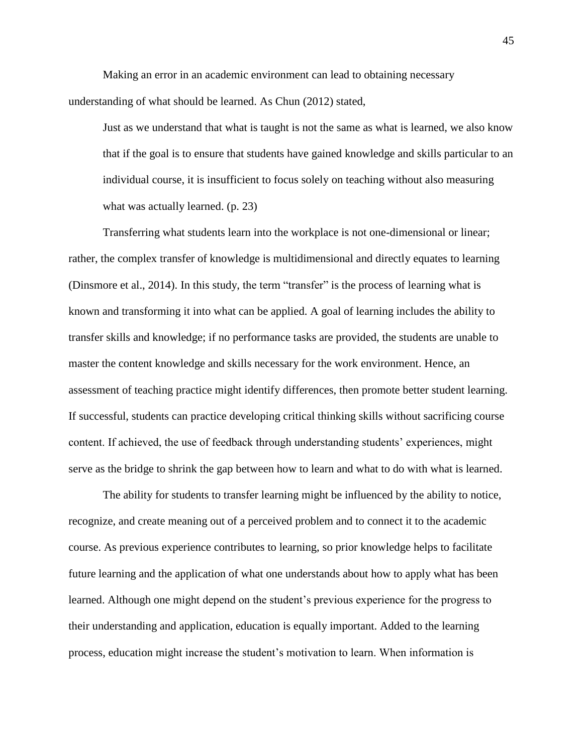Making an error in an academic environment can lead to obtaining necessary understanding of what should be learned. As Chun (2012) stated,

Just as we understand that what is taught is not the same as what is learned, we also know that if the goal is to ensure that students have gained knowledge and skills particular to an individual course, it is insufficient to focus solely on teaching without also measuring what was actually learned. (p. 23)

Transferring what students learn into the workplace is not one-dimensional or linear; rather, the complex transfer of knowledge is multidimensional and directly equates to learning (Dinsmore et al., 2014). In this study, the term "transfer" is the process of learning what is known and transforming it into what can be applied. A goal of learning includes the ability to transfer skills and knowledge; if no performance tasks are provided, the students are unable to master the content knowledge and skills necessary for the work environment. Hence, an assessment of teaching practice might identify differences, then promote better student learning. If successful, students can practice developing critical thinking skills without sacrificing course content. If achieved, the use of feedback through understanding students' experiences, might serve as the bridge to shrink the gap between how to learn and what to do with what is learned.

The ability for students to transfer learning might be influenced by the ability to notice, recognize, and create meaning out of a perceived problem and to connect it to the academic course. As previous experience contributes to learning, so prior knowledge helps to facilitate future learning and the application of what one understands about how to apply what has been learned. Although one might depend on the student's previous experience for the progress to their understanding and application, education is equally important. Added to the learning process, education might increase the student's motivation to learn. When information is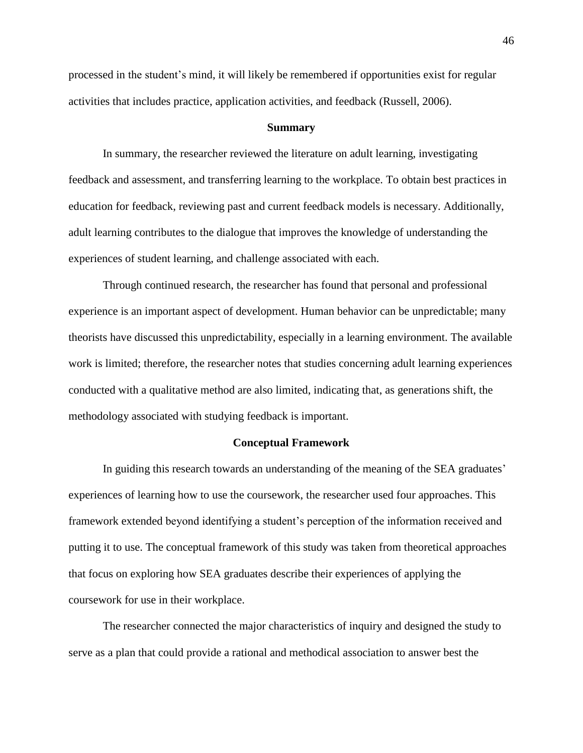processed in the student's mind, it will likely be remembered if opportunities exist for regular activities that includes practice, application activities, and feedback (Russell, 2006).

#### **Summary**

In summary, the researcher reviewed the literature on adult learning, investigating feedback and assessment, and transferring learning to the workplace. To obtain best practices in education for feedback, reviewing past and current feedback models is necessary. Additionally, adult learning contributes to the dialogue that improves the knowledge of understanding the experiences of student learning, and challenge associated with each.

Through continued research, the researcher has found that personal and professional experience is an important aspect of development. Human behavior can be unpredictable; many theorists have discussed this unpredictability, especially in a learning environment. The available work is limited; therefore, the researcher notes that studies concerning adult learning experiences conducted with a qualitative method are also limited, indicating that, as generations shift, the methodology associated with studying feedback is important.

#### **Conceptual Framework**

In guiding this research towards an understanding of the meaning of the SEA graduates' experiences of learning how to use the coursework, the researcher used four approaches. This framework extended beyond identifying a student's perception of the information received and putting it to use. The conceptual framework of this study was taken from theoretical approaches that focus on exploring how SEA graduates describe their experiences of applying the coursework for use in their workplace.

The researcher connected the major characteristics of inquiry and designed the study to serve as a plan that could provide a rational and methodical association to answer best the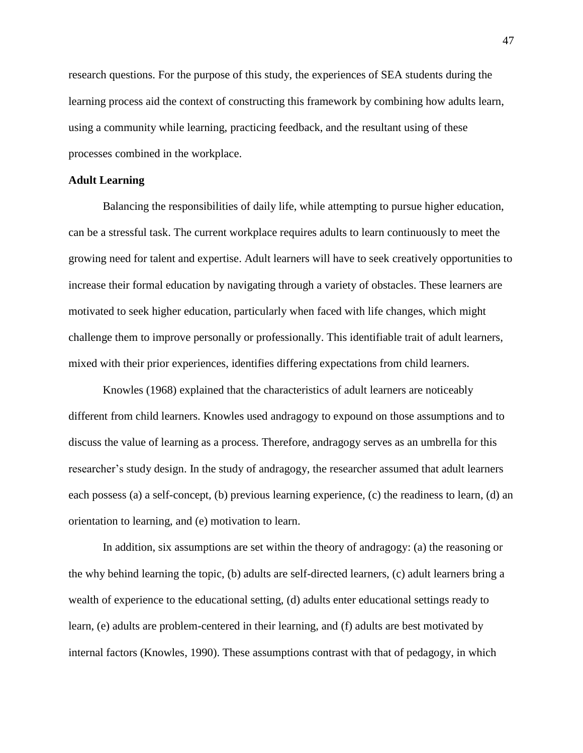research questions. For the purpose of this study, the experiences of SEA students during the learning process aid the context of constructing this framework by combining how adults learn, using a community while learning, practicing feedback, and the resultant using of these processes combined in the workplace.

## **Adult Learning**

Balancing the responsibilities of daily life, while attempting to pursue higher education, can be a stressful task. The current workplace requires adults to learn continuously to meet the growing need for talent and expertise. Adult learners will have to seek creatively opportunities to increase their formal education by navigating through a variety of obstacles. These learners are motivated to seek higher education, particularly when faced with life changes, which might challenge them to improve personally or professionally. This identifiable trait of adult learners, mixed with their prior experiences, identifies differing expectations from child learners.

Knowles (1968) explained that the characteristics of adult learners are noticeably different from child learners. Knowles used andragogy to expound on those assumptions and to discuss the value of learning as a process. Therefore, andragogy serves as an umbrella for this researcher's study design. In the study of andragogy, the researcher assumed that adult learners each possess (a) a self-concept, (b) previous learning experience, (c) the readiness to learn, (d) an orientation to learning, and (e) motivation to learn.

In addition, six assumptions are set within the theory of andragogy: (a) the reasoning or the why behind learning the topic, (b) adults are self-directed learners, (c) adult learners bring a wealth of experience to the educational setting, (d) adults enter educational settings ready to learn, (e) adults are problem-centered in their learning, and (f) adults are best motivated by internal factors (Knowles, 1990). These assumptions contrast with that of pedagogy, in which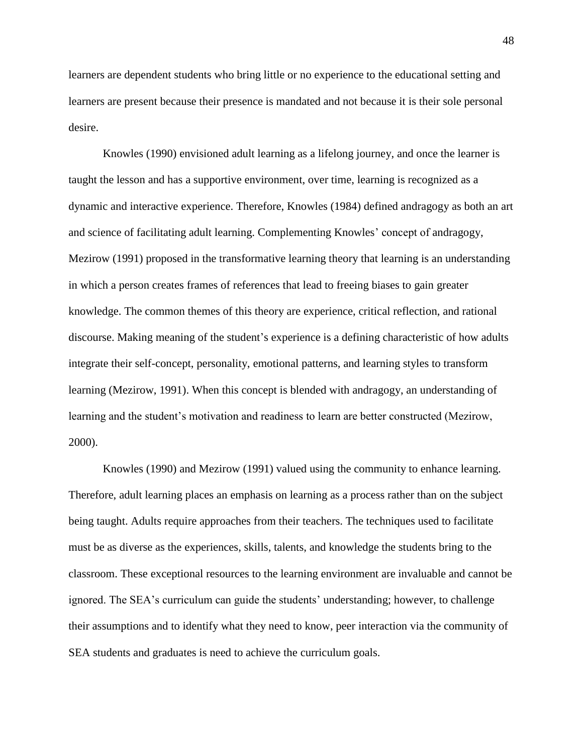learners are dependent students who bring little or no experience to the educational setting and learners are present because their presence is mandated and not because it is their sole personal desire.

Knowles (1990) envisioned adult learning as a lifelong journey, and once the learner is taught the lesson and has a supportive environment, over time, learning is recognized as a dynamic and interactive experience. Therefore, Knowles (1984) defined andragogy as both an art and science of facilitating adult learning. Complementing Knowles' concept of andragogy, Mezirow (1991) proposed in the transformative learning theory that learning is an understanding in which a person creates frames of references that lead to freeing biases to gain greater knowledge. The common themes of this theory are experience, critical reflection, and rational discourse. Making meaning of the student's experience is a defining characteristic of how adults integrate their self-concept, personality, emotional patterns, and learning styles to transform learning (Mezirow, 1991). When this concept is blended with andragogy, an understanding of learning and the student's motivation and readiness to learn are better constructed (Mezirow, 2000).

Knowles (1990) and Mezirow (1991) valued using the community to enhance learning. Therefore, adult learning places an emphasis on learning as a process rather than on the subject being taught. Adults require approaches from their teachers. The techniques used to facilitate must be as diverse as the experiences, skills, talents, and knowledge the students bring to the classroom. These exceptional resources to the learning environment are invaluable and cannot be ignored. The SEA's curriculum can guide the students' understanding; however, to challenge their assumptions and to identify what they need to know, peer interaction via the community of SEA students and graduates is need to achieve the curriculum goals.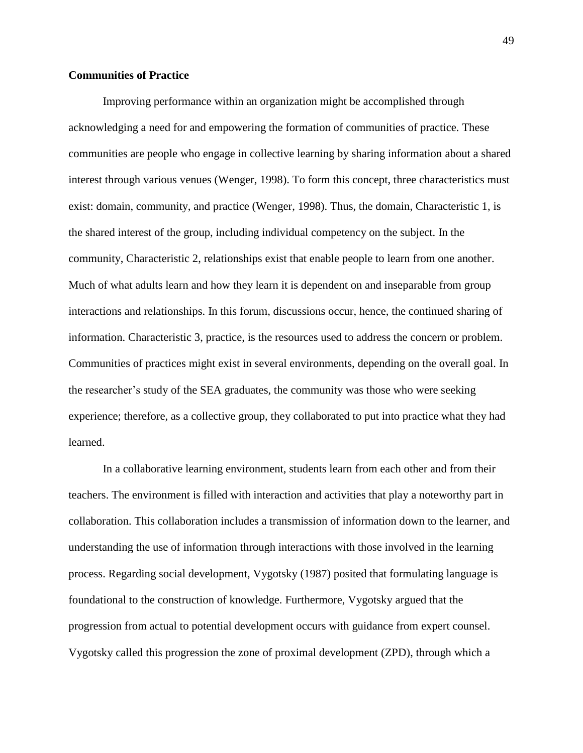## **Communities of Practice**

Improving performance within an organization might be accomplished through acknowledging a need for and empowering the formation of communities of practice. These communities are people who engage in collective learning by sharing information about a shared interest through various venues (Wenger, 1998). To form this concept, three characteristics must exist: domain, community, and practice (Wenger, 1998). Thus, the domain, Characteristic 1, is the shared interest of the group, including individual competency on the subject. In the community, Characteristic 2, relationships exist that enable people to learn from one another. Much of what adults learn and how they learn it is dependent on and inseparable from group interactions and relationships. In this forum, discussions occur, hence, the continued sharing of information. Characteristic 3, practice, is the resources used to address the concern or problem. Communities of practices might exist in several environments, depending on the overall goal. In the researcher's study of the SEA graduates, the community was those who were seeking experience; therefore, as a collective group, they collaborated to put into practice what they had learned.

In a collaborative learning environment, students learn from each other and from their teachers. The environment is filled with interaction and activities that play a noteworthy part in collaboration. This collaboration includes a transmission of information down to the learner, and understanding the use of information through interactions with those involved in the learning process. Regarding social development, Vygotsky (1987) posited that formulating language is foundational to the construction of knowledge. Furthermore, Vygotsky argued that the progression from actual to potential development occurs with guidance from expert counsel. Vygotsky called this progression the zone of proximal development (ZPD), through which a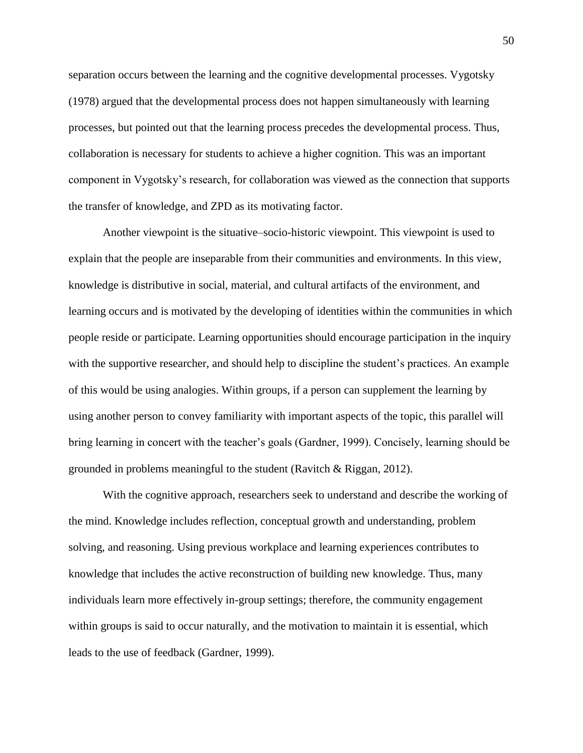separation occurs between the learning and the cognitive developmental processes. Vygotsky (1978) argued that the developmental process does not happen simultaneously with learning processes, but pointed out that the learning process precedes the developmental process. Thus, collaboration is necessary for students to achieve a higher cognition. This was an important component in Vygotsky's research, for collaboration was viewed as the connection that supports the transfer of knowledge, and ZPD as its motivating factor.

Another viewpoint is the situative–socio-historic viewpoint. This viewpoint is used to explain that the people are inseparable from their communities and environments. In this view, knowledge is distributive in social, material, and cultural artifacts of the environment, and learning occurs and is motivated by the developing of identities within the communities in which people reside or participate. Learning opportunities should encourage participation in the inquiry with the supportive researcher, and should help to discipline the student's practices. An example of this would be using analogies. Within groups, if a person can supplement the learning by using another person to convey familiarity with important aspects of the topic, this parallel will bring learning in concert with the teacher's goals (Gardner, 1999). Concisely, learning should be grounded in problems meaningful to the student (Ravitch & Riggan, 2012).

With the cognitive approach, researchers seek to understand and describe the working of the mind. Knowledge includes reflection, conceptual growth and understanding, problem solving, and reasoning. Using previous workplace and learning experiences contributes to knowledge that includes the active reconstruction of building new knowledge. Thus, many individuals learn more effectively in-group settings; therefore, the community engagement within groups is said to occur naturally, and the motivation to maintain it is essential, which leads to the use of feedback (Gardner, 1999).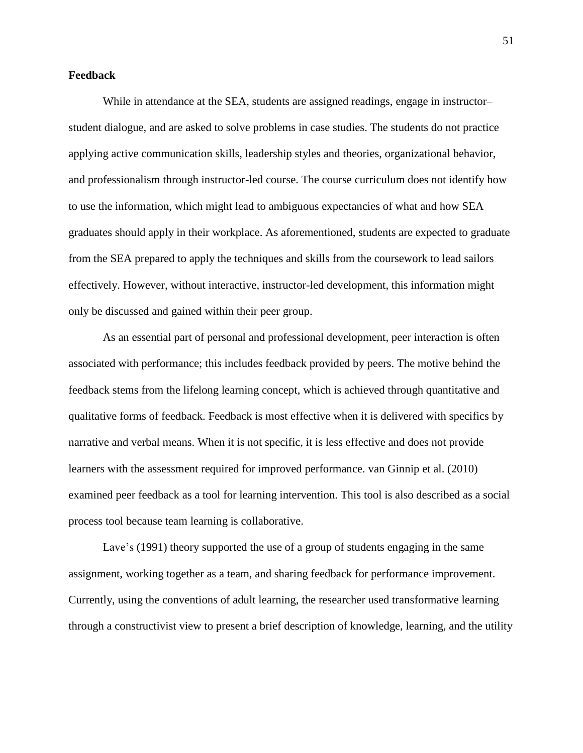## **Feedback**

While in attendance at the SEA, students are assigned readings, engage in instructor– student dialogue, and are asked to solve problems in case studies. The students do not practice applying active communication skills, leadership styles and theories, organizational behavior, and professionalism through instructor-led course. The course curriculum does not identify how to use the information, which might lead to ambiguous expectancies of what and how SEA graduates should apply in their workplace. As aforementioned, students are expected to graduate from the SEA prepared to apply the techniques and skills from the coursework to lead sailors effectively. However, without interactive, instructor-led development, this information might only be discussed and gained within their peer group.

As an essential part of personal and professional development, peer interaction is often associated with performance; this includes feedback provided by peers. The motive behind the feedback stems from the lifelong learning concept, which is achieved through quantitative and qualitative forms of feedback. Feedback is most effective when it is delivered with specifics by narrative and verbal means. When it is not specific, it is less effective and does not provide learners with the assessment required for improved performance. van Ginnip et al. (2010) examined peer feedback as a tool for learning intervention. This tool is also described as a social process tool because team learning is collaborative.

Lave's (1991) theory supported the use of a group of students engaging in the same assignment, working together as a team, and sharing feedback for performance improvement. Currently, using the conventions of adult learning, the researcher used transformative learning through a constructivist view to present a brief description of knowledge, learning, and the utility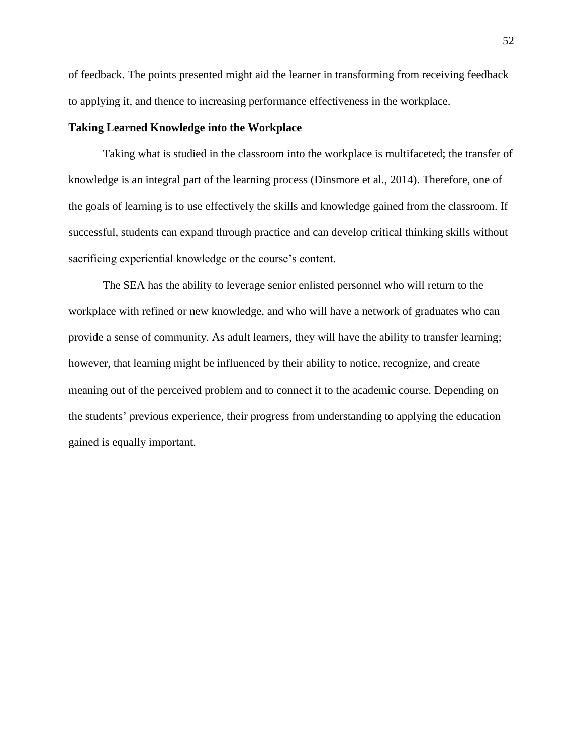of feedback. The points presented might aid the learner in transforming from receiving feedback to applying it, and thence to increasing performance effectiveness in the workplace.

## **Taking Learned Knowledge into the Workplace**

Taking what is studied in the classroom into the workplace is multifaceted; the transfer of knowledge is an integral part of the learning process (Dinsmore et al., 2014). Therefore, one of the goals of learning is to use effectively the skills and knowledge gained from the classroom. If successful, students can expand through practice and can develop critical thinking skills without sacrificing experiential knowledge or the course's content.

The SEA has the ability to leverage senior enlisted personnel who will return to the workplace with refined or new knowledge, and who will have a network of graduates who can provide a sense of community. As adult learners, they will have the ability to transfer learning; however, that learning might be influenced by their ability to notice, recognize, and create meaning out of the perceived problem and to connect it to the academic course. Depending on the students' previous experience, their progress from understanding to applying the education gained is equally important.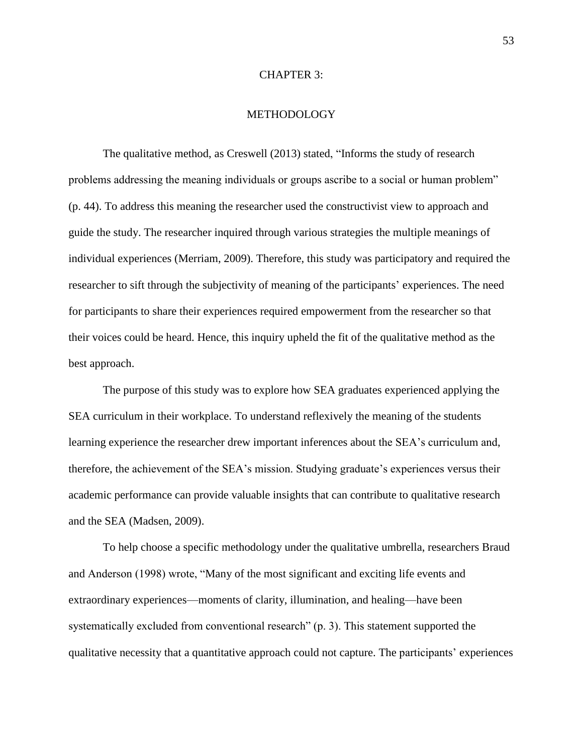### CHAPTER 3:

## METHODOLOGY

The qualitative method, as Creswell (2013) stated, "Informs the study of research problems addressing the meaning individuals or groups ascribe to a social or human problem" (p. 44). To address this meaning the researcher used the constructivist view to approach and guide the study. The researcher inquired through various strategies the multiple meanings of individual experiences (Merriam, 2009). Therefore, this study was participatory and required the researcher to sift through the subjectivity of meaning of the participants' experiences. The need for participants to share their experiences required empowerment from the researcher so that their voices could be heard. Hence, this inquiry upheld the fit of the qualitative method as the best approach.

The purpose of this study was to explore how SEA graduates experienced applying the SEA curriculum in their workplace. To understand reflexively the meaning of the students learning experience the researcher drew important inferences about the SEA's curriculum and, therefore, the achievement of the SEA's mission. Studying graduate's experiences versus their academic performance can provide valuable insights that can contribute to qualitative research and the SEA (Madsen, 2009).

To help choose a specific methodology under the qualitative umbrella, researchers Braud and Anderson (1998) wrote, "Many of the most significant and exciting life events and extraordinary experiences—moments of clarity, illumination, and healing—have been systematically excluded from conventional research" (p. 3). This statement supported the qualitative necessity that a quantitative approach could not capture. The participants' experiences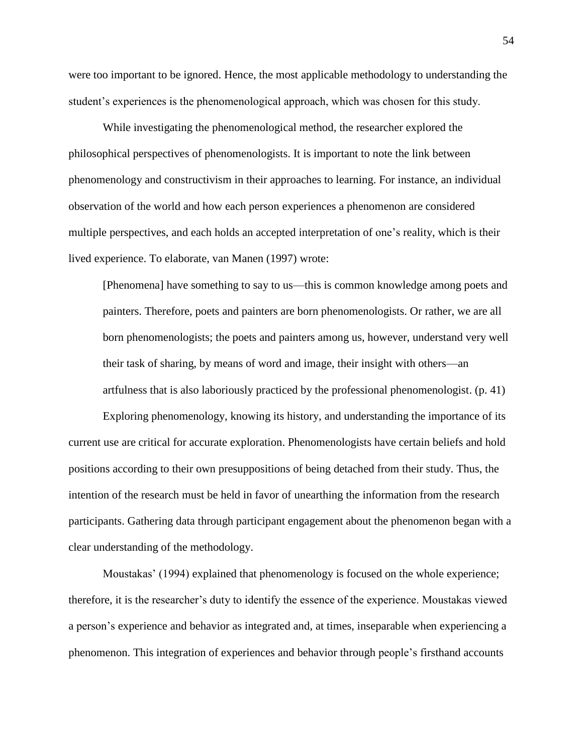were too important to be ignored. Hence, the most applicable methodology to understanding the student's experiences is the phenomenological approach, which was chosen for this study.

While investigating the phenomenological method, the researcher explored the philosophical perspectives of phenomenologists. It is important to note the link between phenomenology and constructivism in their approaches to learning. For instance, an individual observation of the world and how each person experiences a phenomenon are considered multiple perspectives, and each holds an accepted interpretation of one's reality, which is their lived experience. To elaborate, van Manen (1997) wrote:

[Phenomena] have something to say to us—this is common knowledge among poets and painters. Therefore, poets and painters are born phenomenologists. Or rather, we are all born phenomenologists; the poets and painters among us, however, understand very well their task of sharing, by means of word and image, their insight with others—an artfulness that is also laboriously practiced by the professional phenomenologist. (p. 41)

Exploring phenomenology, knowing its history, and understanding the importance of its current use are critical for accurate exploration. Phenomenologists have certain beliefs and hold positions according to their own presuppositions of being detached from their study. Thus, the intention of the research must be held in favor of unearthing the information from the research participants. Gathering data through participant engagement about the phenomenon began with a clear understanding of the methodology.

Moustakas' (1994) explained that phenomenology is focused on the whole experience; therefore, it is the researcher's duty to identify the essence of the experience. Moustakas viewed a person's experience and behavior as integrated and, at times, inseparable when experiencing a phenomenon. This integration of experiences and behavior through people's firsthand accounts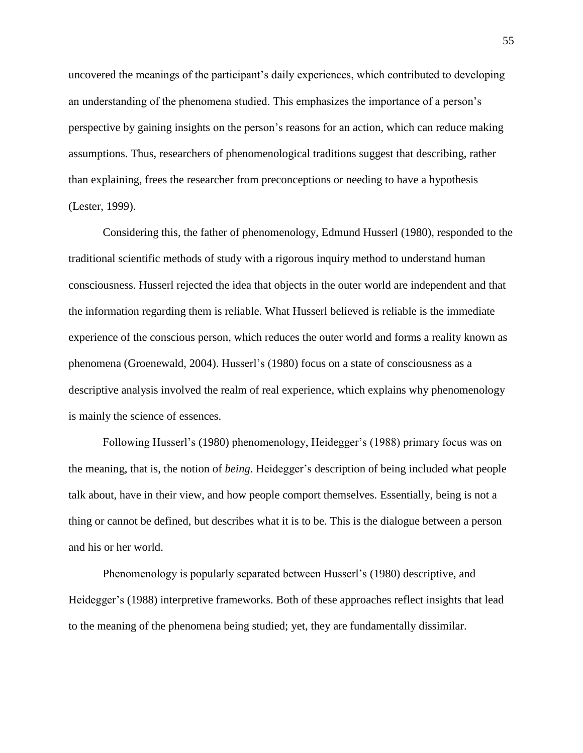uncovered the meanings of the participant's daily experiences, which contributed to developing an understanding of the phenomena studied. This emphasizes the importance of a person's perspective by gaining insights on the person's reasons for an action, which can reduce making assumptions. Thus, researchers of phenomenological traditions suggest that describing, rather than explaining, frees the researcher from preconceptions or needing to have a hypothesis (Lester, 1999).

Considering this, the father of phenomenology, Edmund Husserl (1980), responded to the traditional scientific methods of study with a rigorous inquiry method to understand human consciousness. Husserl rejected the idea that objects in the outer world are independent and that the information regarding them is reliable. What Husserl believed is reliable is the immediate experience of the conscious person, which reduces the outer world and forms a reality known as phenomena (Groenewald, 2004). Husserl's (1980) focus on a state of consciousness as a descriptive analysis involved the realm of real experience, which explains why phenomenology is mainly the science of essences.

Following Husserl's (1980) phenomenology, Heidegger's (1988) primary focus was on the meaning, that is, the notion of *being*. Heidegger's description of being included what people talk about, have in their view, and how people comport themselves. Essentially, being is not a thing or cannot be defined, but describes what it is to be. This is the dialogue between a person and his or her world.

Phenomenology is popularly separated between Husserl's (1980) descriptive, and Heidegger's (1988) interpretive frameworks. Both of these approaches reflect insights that lead to the meaning of the phenomena being studied; yet, they are fundamentally dissimilar.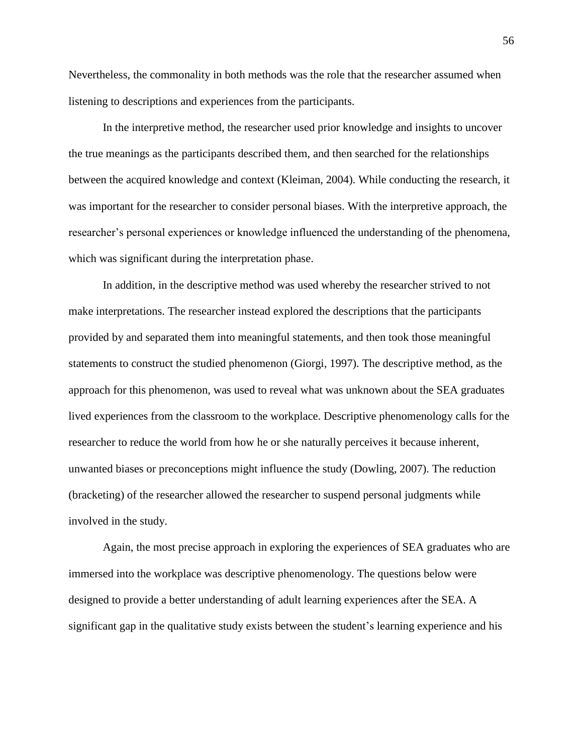Nevertheless, the commonality in both methods was the role that the researcher assumed when listening to descriptions and experiences from the participants.

In the interpretive method, the researcher used prior knowledge and insights to uncover the true meanings as the participants described them, and then searched for the relationships between the acquired knowledge and context (Kleiman, 2004). While conducting the research, it was important for the researcher to consider personal biases. With the interpretive approach, the researcher's personal experiences or knowledge influenced the understanding of the phenomena, which was significant during the interpretation phase.

In addition, in the descriptive method was used whereby the researcher strived to not make interpretations. The researcher instead explored the descriptions that the participants provided by and separated them into meaningful statements, and then took those meaningful statements to construct the studied phenomenon (Giorgi, 1997). The descriptive method, as the approach for this phenomenon, was used to reveal what was unknown about the SEA graduates lived experiences from the classroom to the workplace. Descriptive phenomenology calls for the researcher to reduce the world from how he or she naturally perceives it because inherent, unwanted biases or preconceptions might influence the study (Dowling, 2007). The reduction (bracketing) of the researcher allowed the researcher to suspend personal judgments while involved in the study.

Again, the most precise approach in exploring the experiences of SEA graduates who are immersed into the workplace was descriptive phenomenology. The questions below were designed to provide a better understanding of adult learning experiences after the SEA. A significant gap in the qualitative study exists between the student's learning experience and his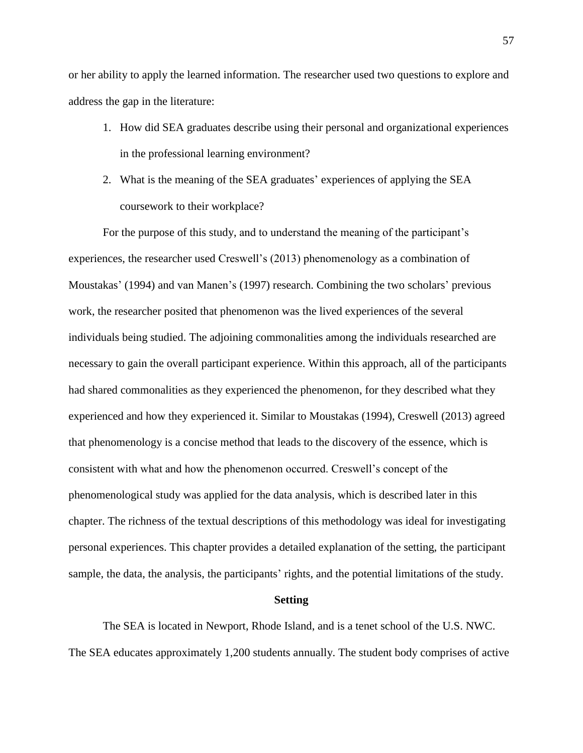or her ability to apply the learned information. The researcher used two questions to explore and address the gap in the literature:

- 1. How did SEA graduates describe using their personal and organizational experiences in the professional learning environment?
- 2. What is the meaning of the SEA graduates' experiences of applying the SEA coursework to their workplace?

For the purpose of this study, and to understand the meaning of the participant's experiences, the researcher used Creswell's (2013) phenomenology as a combination of Moustakas' (1994) and van Manen's (1997) research. Combining the two scholars' previous work, the researcher posited that phenomenon was the lived experiences of the several individuals being studied. The adjoining commonalities among the individuals researched are necessary to gain the overall participant experience. Within this approach, all of the participants had shared commonalities as they experienced the phenomenon, for they described what they experienced and how they experienced it. Similar to Moustakas (1994), Creswell (2013) agreed that phenomenology is a concise method that leads to the discovery of the essence, which is consistent with what and how the phenomenon occurred. Creswell's concept of the phenomenological study was applied for the data analysis, which is described later in this chapter. The richness of the textual descriptions of this methodology was ideal for investigating personal experiences. This chapter provides a detailed explanation of the setting, the participant sample, the data, the analysis, the participants' rights, and the potential limitations of the study.

### **Setting**

The SEA is located in Newport, Rhode Island, and is a tenet school of the U.S. NWC. The SEA educates approximately 1,200 students annually. The student body comprises of active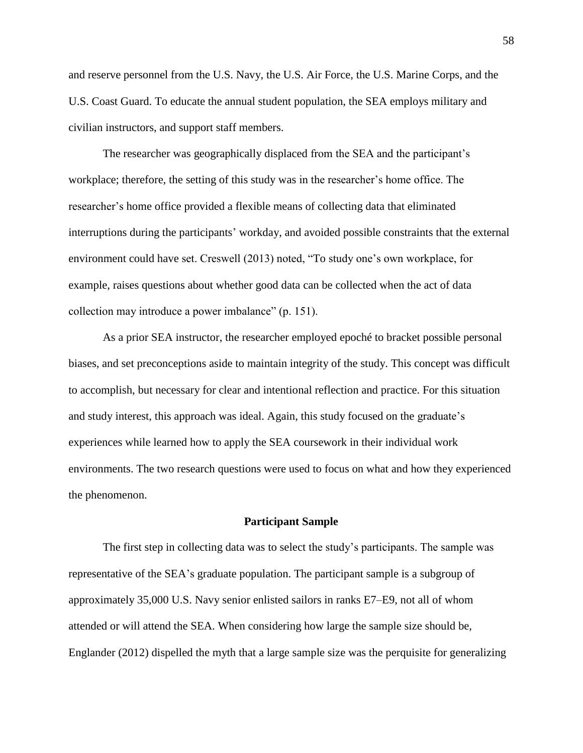and reserve personnel from the U.S. Navy, the U.S. Air Force, the U.S. Marine Corps, and the U.S. Coast Guard. To educate the annual student population, the SEA employs military and civilian instructors, and support staff members.

The researcher was geographically displaced from the SEA and the participant's workplace; therefore, the setting of this study was in the researcher's home office. The researcher's home office provided a flexible means of collecting data that eliminated interruptions during the participants' workday, and avoided possible constraints that the external environment could have set. Creswell (2013) noted, "To study one's own workplace, for example, raises questions about whether good data can be collected when the act of data collection may introduce a power imbalance" (p. 151).

As a prior SEA instructor, the researcher employed epoché to bracket possible personal biases, and set preconceptions aside to maintain integrity of the study. This concept was difficult to accomplish, but necessary for clear and intentional reflection and practice. For this situation and study interest, this approach was ideal. Again, this study focused on the graduate's experiences while learned how to apply the SEA coursework in their individual work environments. The two research questions were used to focus on what and how they experienced the phenomenon.

### **Participant Sample**

The first step in collecting data was to select the study's participants. The sample was representative of the SEA's graduate population. The participant sample is a subgroup of approximately 35,000 U.S. Navy senior enlisted sailors in ranks E7–E9, not all of whom attended or will attend the SEA. When considering how large the sample size should be, Englander (2012) dispelled the myth that a large sample size was the perquisite for generalizing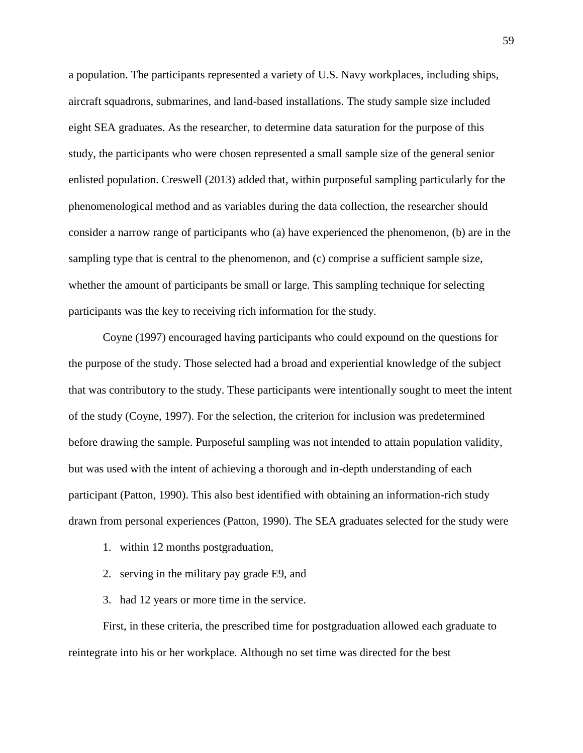a population. The participants represented a variety of U.S. Navy workplaces, including ships, aircraft squadrons, submarines, and land-based installations. The study sample size included eight SEA graduates. As the researcher, to determine data saturation for the purpose of this study, the participants who were chosen represented a small sample size of the general senior enlisted population. Creswell (2013) added that, within purposeful sampling particularly for the phenomenological method and as variables during the data collection, the researcher should consider a narrow range of participants who (a) have experienced the phenomenon, (b) are in the sampling type that is central to the phenomenon, and (c) comprise a sufficient sample size, whether the amount of participants be small or large. This sampling technique for selecting participants was the key to receiving rich information for the study.

Coyne (1997) encouraged having participants who could expound on the questions for the purpose of the study. Those selected had a broad and experiential knowledge of the subject that was contributory to the study. These participants were intentionally sought to meet the intent of the study (Coyne, 1997). For the selection, the criterion for inclusion was predetermined before drawing the sample. Purposeful sampling was not intended to attain population validity, but was used with the intent of achieving a thorough and in-depth understanding of each participant (Patton, 1990). This also best identified with obtaining an information-rich study drawn from personal experiences (Patton, 1990). The SEA graduates selected for the study were

- 1. within 12 months postgraduation,
- 2. serving in the military pay grade E9, and
- 3. had 12 years or more time in the service.

First, in these criteria, the prescribed time for postgraduation allowed each graduate to reintegrate into his or her workplace. Although no set time was directed for the best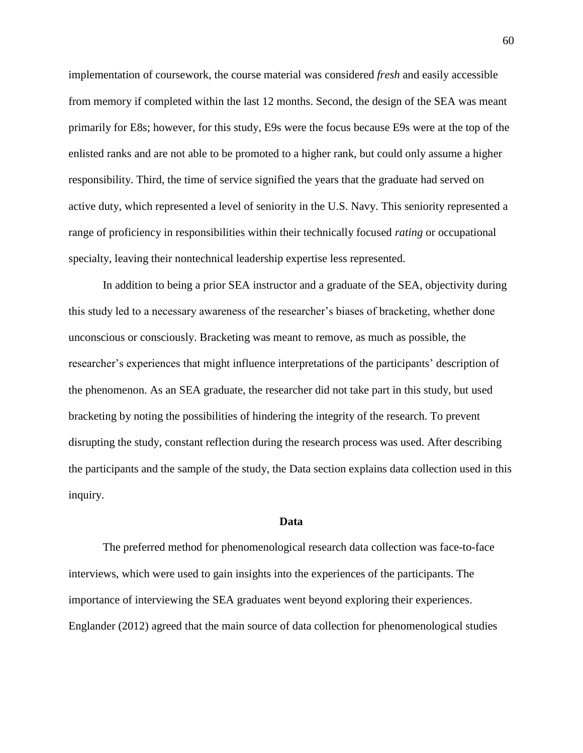implementation of coursework, the course material was considered *fresh* and easily accessible from memory if completed within the last 12 months. Second, the design of the SEA was meant primarily for E8s; however, for this study, E9s were the focus because E9s were at the top of the enlisted ranks and are not able to be promoted to a higher rank, but could only assume a higher responsibility. Third, the time of service signified the years that the graduate had served on active duty, which represented a level of seniority in the U.S. Navy. This seniority represented a range of proficiency in responsibilities within their technically focused *rating* or occupational specialty, leaving their nontechnical leadership expertise less represented.

In addition to being a prior SEA instructor and a graduate of the SEA, objectivity during this study led to a necessary awareness of the researcher's biases of bracketing, whether done unconscious or consciously. Bracketing was meant to remove, as much as possible, the researcher's experiences that might influence interpretations of the participants' description of the phenomenon. As an SEA graduate, the researcher did not take part in this study, but used bracketing by noting the possibilities of hindering the integrity of the research. To prevent disrupting the study, constant reflection during the research process was used. After describing the participants and the sample of the study, the Data section explains data collection used in this inquiry.

#### **Data**

The preferred method for phenomenological research data collection was face-to-face interviews, which were used to gain insights into the experiences of the participants. The importance of interviewing the SEA graduates went beyond exploring their experiences. Englander (2012) agreed that the main source of data collection for phenomenological studies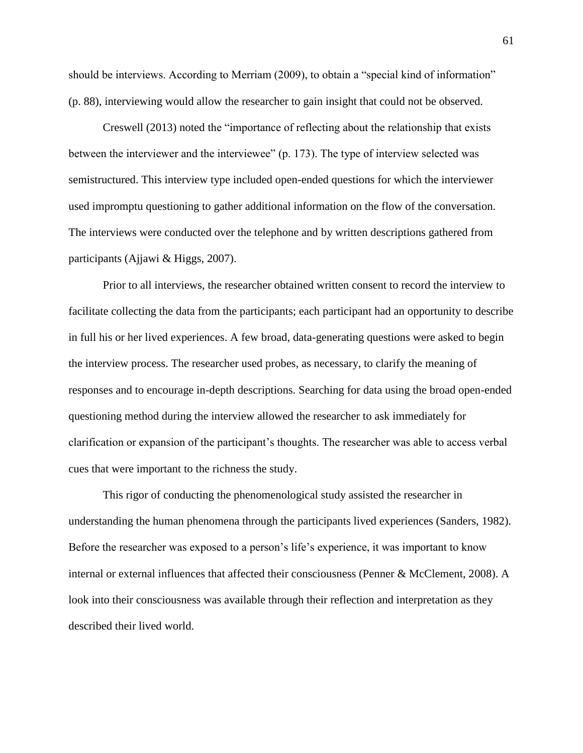should be interviews. According to Merriam (2009), to obtain a "special kind of information" (p. 88), interviewing would allow the researcher to gain insight that could not be observed.

Creswell (2013) noted the "importance of reflecting about the relationship that exists between the interviewer and the interviewee" (p. 173). The type of interview selected was semistructured. This interview type included open-ended questions for which the interviewer used impromptu questioning to gather additional information on the flow of the conversation. The interviews were conducted over the telephone and by written descriptions gathered from participants (Ajjawi & Higgs, 2007).

Prior to all interviews, the researcher obtained written consent to record the interview to facilitate collecting the data from the participants; each participant had an opportunity to describe in full his or her lived experiences. A few broad, data-generating questions were asked to begin the interview process. The researcher used probes, as necessary, to clarify the meaning of responses and to encourage in-depth descriptions. Searching for data using the broad open-ended questioning method during the interview allowed the researcher to ask immediately for clarification or expansion of the participant's thoughts. The researcher was able to access verbal cues that were important to the richness the study.

This rigor of conducting the phenomenological study assisted the researcher in understanding the human phenomena through the participants lived experiences (Sanders, 1982). Before the researcher was exposed to a person's life's experience, it was important to know internal or external influences that affected their consciousness (Penner & McClement, 2008). A look into their consciousness was available through their reflection and interpretation as they described their lived world.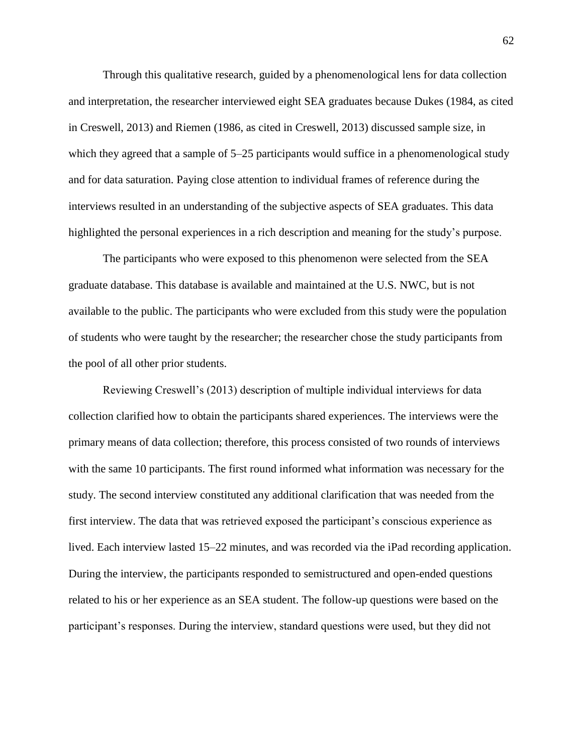Through this qualitative research, guided by a phenomenological lens for data collection and interpretation, the researcher interviewed eight SEA graduates because Dukes (1984, as cited in Creswell, 2013) and Riemen (1986, as cited in Creswell, 2013) discussed sample size, in which they agreed that a sample of  $5-25$  participants would suffice in a phenomenological study and for data saturation. Paying close attention to individual frames of reference during the interviews resulted in an understanding of the subjective aspects of SEA graduates. This data highlighted the personal experiences in a rich description and meaning for the study's purpose.

The participants who were exposed to this phenomenon were selected from the SEA graduate database. This database is available and maintained at the U.S. NWC, but is not available to the public. The participants who were excluded from this study were the population of students who were taught by the researcher; the researcher chose the study participants from the pool of all other prior students.

Reviewing Creswell's (2013) description of multiple individual interviews for data collection clarified how to obtain the participants shared experiences. The interviews were the primary means of data collection; therefore, this process consisted of two rounds of interviews with the same 10 participants. The first round informed what information was necessary for the study. The second interview constituted any additional clarification that was needed from the first interview. The data that was retrieved exposed the participant's conscious experience as lived. Each interview lasted 15–22 minutes, and was recorded via the iPad recording application. During the interview, the participants responded to semistructured and open-ended questions related to his or her experience as an SEA student. The follow-up questions were based on the participant's responses. During the interview, standard questions were used, but they did not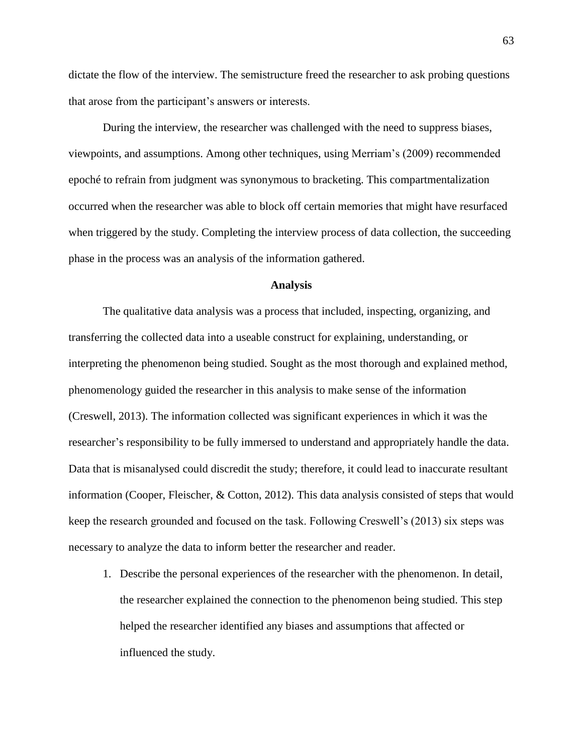dictate the flow of the interview. The semistructure freed the researcher to ask probing questions that arose from the participant's answers or interests.

During the interview, the researcher was challenged with the need to suppress biases, viewpoints, and assumptions. Among other techniques, using Merriam's (2009) recommended epoché to refrain from judgment was synonymous to bracketing. This compartmentalization occurred when the researcher was able to block off certain memories that might have resurfaced when triggered by the study. Completing the interview process of data collection, the succeeding phase in the process was an analysis of the information gathered.

#### **Analysis**

The qualitative data analysis was a process that included, inspecting, organizing, and transferring the collected data into a useable construct for explaining, understanding, or interpreting the phenomenon being studied. Sought as the most thorough and explained method, phenomenology guided the researcher in this analysis to make sense of the information (Creswell, 2013). The information collected was significant experiences in which it was the researcher's responsibility to be fully immersed to understand and appropriately handle the data. Data that is misanalysed could discredit the study; therefore, it could lead to inaccurate resultant information (Cooper, Fleischer, & Cotton, 2012). This data analysis consisted of steps that would keep the research grounded and focused on the task. Following Creswell's (2013) six steps was necessary to analyze the data to inform better the researcher and reader.

1. Describe the personal experiences of the researcher with the phenomenon. In detail, the researcher explained the connection to the phenomenon being studied. This step helped the researcher identified any biases and assumptions that affected or influenced the study.

63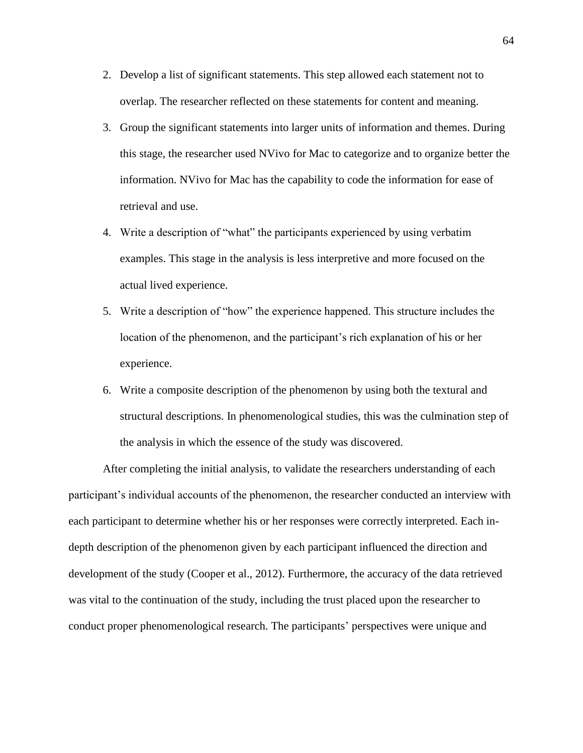- 2. Develop a list of significant statements. This step allowed each statement not to overlap. The researcher reflected on these statements for content and meaning.
- 3. Group the significant statements into larger units of information and themes. During this stage, the researcher used NVivo for Mac to categorize and to organize better the information. NVivo for Mac has the capability to code the information for ease of retrieval and use.
- 4. Write a description of "what" the participants experienced by using verbatim examples. This stage in the analysis is less interpretive and more focused on the actual lived experience.
- 5. Write a description of "how" the experience happened. This structure includes the location of the phenomenon, and the participant's rich explanation of his or her experience.
- 6. Write a composite description of the phenomenon by using both the textural and structural descriptions. In phenomenological studies, this was the culmination step of the analysis in which the essence of the study was discovered.

After completing the initial analysis, to validate the researchers understanding of each participant's individual accounts of the phenomenon, the researcher conducted an interview with each participant to determine whether his or her responses were correctly interpreted. Each indepth description of the phenomenon given by each participant influenced the direction and development of the study (Cooper et al., 2012). Furthermore, the accuracy of the data retrieved was vital to the continuation of the study, including the trust placed upon the researcher to conduct proper phenomenological research. The participants' perspectives were unique and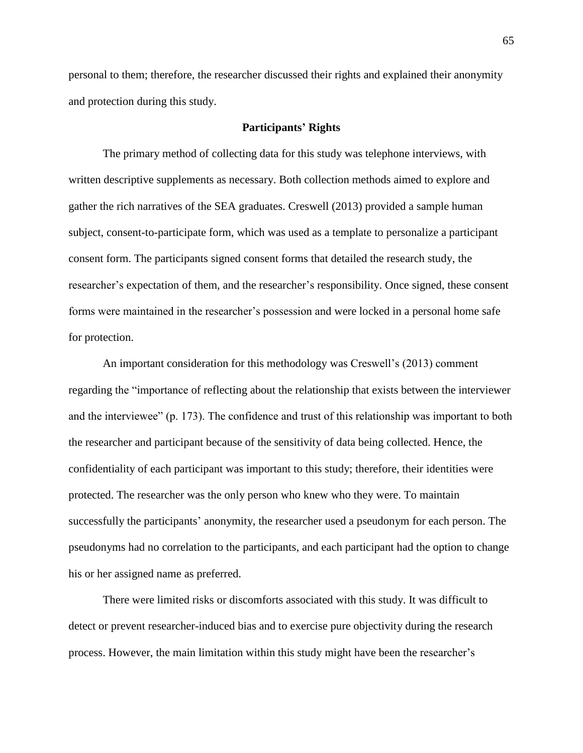personal to them; therefore, the researcher discussed their rights and explained their anonymity and protection during this study.

## **Participants' Rights**

The primary method of collecting data for this study was telephone interviews, with written descriptive supplements as necessary. Both collection methods aimed to explore and gather the rich narratives of the SEA graduates. Creswell (2013) provided a sample human subject, consent-to-participate form, which was used as a template to personalize a participant consent form. The participants signed consent forms that detailed the research study, the researcher's expectation of them, and the researcher's responsibility. Once signed, these consent forms were maintained in the researcher's possession and were locked in a personal home safe for protection.

An important consideration for this methodology was Creswell's (2013) comment regarding the "importance of reflecting about the relationship that exists between the interviewer and the interviewee" (p. 173). The confidence and trust of this relationship was important to both the researcher and participant because of the sensitivity of data being collected. Hence, the confidentiality of each participant was important to this study; therefore, their identities were protected. The researcher was the only person who knew who they were. To maintain successfully the participants' anonymity, the researcher used a pseudonym for each person. The pseudonyms had no correlation to the participants, and each participant had the option to change his or her assigned name as preferred.

There were limited risks or discomforts associated with this study. It was difficult to detect or prevent researcher-induced bias and to exercise pure objectivity during the research process. However, the main limitation within this study might have been the researcher's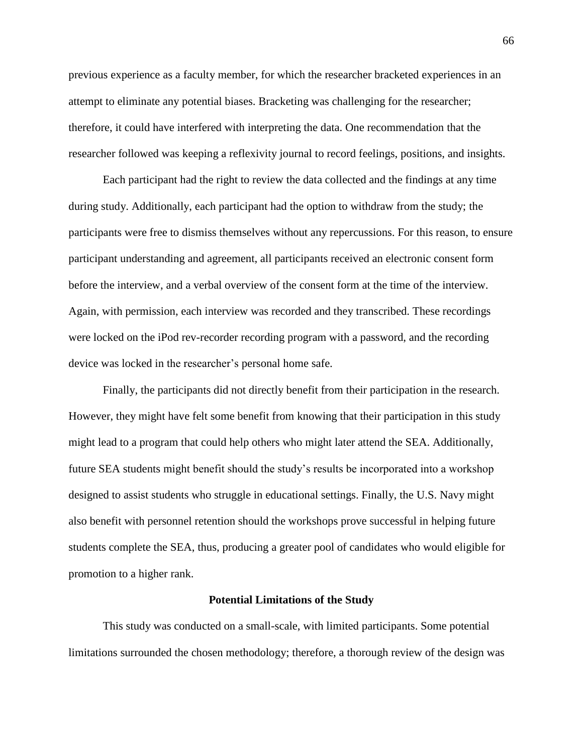previous experience as a faculty member, for which the researcher bracketed experiences in an attempt to eliminate any potential biases. Bracketing was challenging for the researcher; therefore, it could have interfered with interpreting the data. One recommendation that the researcher followed was keeping a reflexivity journal to record feelings, positions, and insights.

Each participant had the right to review the data collected and the findings at any time during study. Additionally, each participant had the option to withdraw from the study; the participants were free to dismiss themselves without any repercussions. For this reason, to ensure participant understanding and agreement, all participants received an electronic consent form before the interview, and a verbal overview of the consent form at the time of the interview. Again, with permission, each interview was recorded and they transcribed. These recordings were locked on the iPod rev-recorder recording program with a password, and the recording device was locked in the researcher's personal home safe.

Finally, the participants did not directly benefit from their participation in the research. However, they might have felt some benefit from knowing that their participation in this study might lead to a program that could help others who might later attend the SEA. Additionally, future SEA students might benefit should the study's results be incorporated into a workshop designed to assist students who struggle in educational settings. Finally, the U.S. Navy might also benefit with personnel retention should the workshops prove successful in helping future students complete the SEA, thus, producing a greater pool of candidates who would eligible for promotion to a higher rank.

#### **Potential Limitations of the Study**

This study was conducted on a small-scale, with limited participants. Some potential limitations surrounded the chosen methodology; therefore, a thorough review of the design was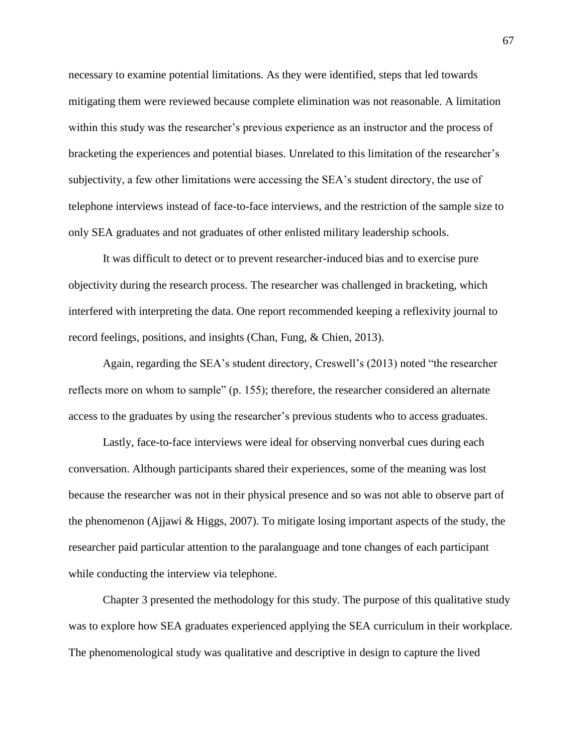necessary to examine potential limitations. As they were identified, steps that led towards mitigating them were reviewed because complete elimination was not reasonable. A limitation within this study was the researcher's previous experience as an instructor and the process of bracketing the experiences and potential biases. Unrelated to this limitation of the researcher's subjectivity, a few other limitations were accessing the SEA's student directory, the use of telephone interviews instead of face-to-face interviews, and the restriction of the sample size to only SEA graduates and not graduates of other enlisted military leadership schools.

It was difficult to detect or to prevent researcher-induced bias and to exercise pure objectivity during the research process. The researcher was challenged in bracketing, which interfered with interpreting the data. One report recommended keeping a reflexivity journal to record feelings, positions, and insights (Chan, Fung, & Chien, 2013).

Again, regarding the SEA's student directory, Creswell's (2013) noted "the researcher reflects more on whom to sample" (p. 155); therefore, the researcher considered an alternate access to the graduates by using the researcher's previous students who to access graduates.

Lastly, face-to-face interviews were ideal for observing nonverbal cues during each conversation. Although participants shared their experiences, some of the meaning was lost because the researcher was not in their physical presence and so was not able to observe part of the phenomenon (Ajjawi & Higgs, 2007). To mitigate losing important aspects of the study, the researcher paid particular attention to the paralanguage and tone changes of each participant while conducting the interview via telephone.

Chapter 3 presented the methodology for this study. The purpose of this qualitative study was to explore how SEA graduates experienced applying the SEA curriculum in their workplace. The phenomenological study was qualitative and descriptive in design to capture the lived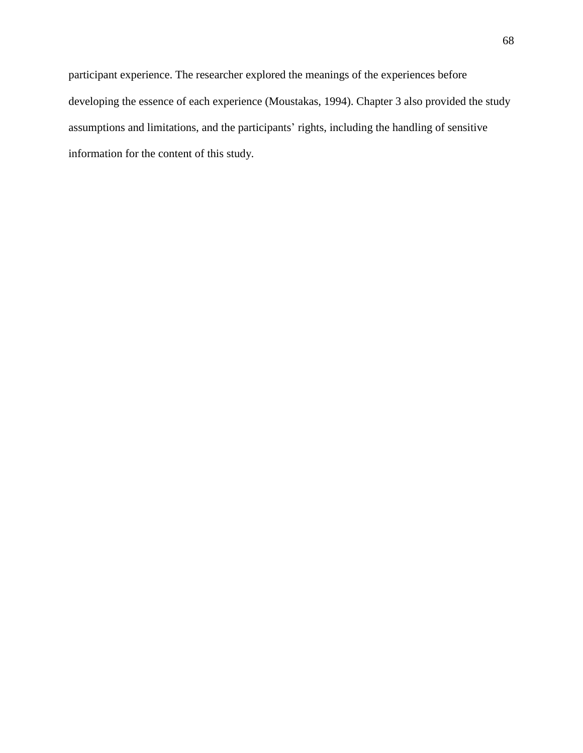participant experience. The researcher explored the meanings of the experiences before developing the essence of each experience (Moustakas, 1994). Chapter 3 also provided the study assumptions and limitations, and the participants' rights, including the handling of sensitive information for the content of this study.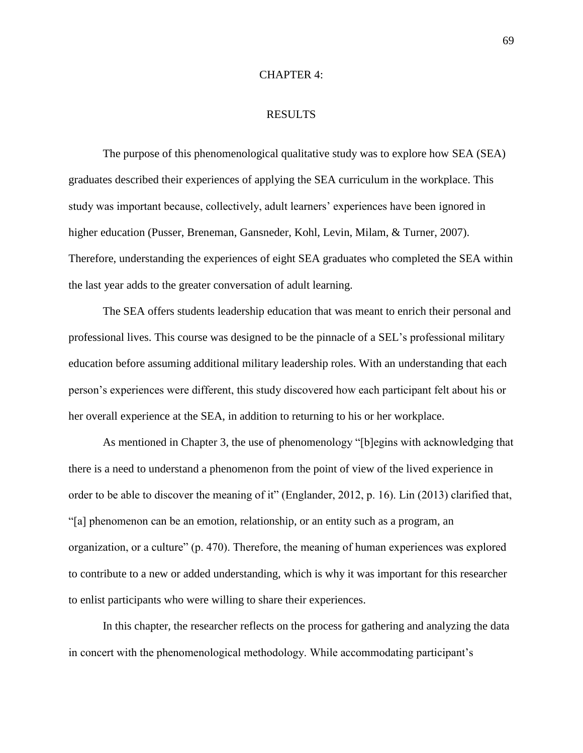#### CHAPTER 4:

## RESULTS

The purpose of this phenomenological qualitative study was to explore how SEA (SEA) graduates described their experiences of applying the SEA curriculum in the workplace. This study was important because, collectively, adult learners' experiences have been ignored in higher education (Pusser, Breneman, Gansneder, Kohl, Levin, Milam, & Turner, 2007). Therefore, understanding the experiences of eight SEA graduates who completed the SEA within the last year adds to the greater conversation of adult learning.

The SEA offers students leadership education that was meant to enrich their personal and professional lives. This course was designed to be the pinnacle of a SEL's professional military education before assuming additional military leadership roles. With an understanding that each person's experiences were different, this study discovered how each participant felt about his or her overall experience at the SEA, in addition to returning to his or her workplace.

As mentioned in Chapter 3, the use of phenomenology "[b]egins with acknowledging that there is a need to understand a phenomenon from the point of view of the lived experience in order to be able to discover the meaning of it" (Englander, 2012, p. 16). Lin (2013) clarified that, "[a] phenomenon can be an emotion, relationship, or an entity such as a program, an organization, or a culture" (p. 470). Therefore, the meaning of human experiences was explored to contribute to a new or added understanding, which is why it was important for this researcher to enlist participants who were willing to share their experiences.

In this chapter, the researcher reflects on the process for gathering and analyzing the data in concert with the phenomenological methodology. While accommodating participant's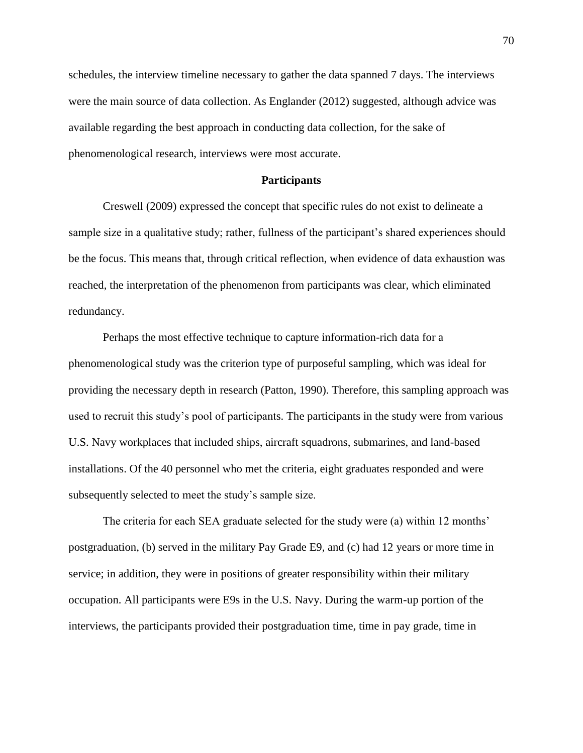schedules, the interview timeline necessary to gather the data spanned 7 days. The interviews were the main source of data collection. As Englander (2012) suggested, although advice was available regarding the best approach in conducting data collection, for the sake of phenomenological research, interviews were most accurate.

#### **Participants**

Creswell (2009) expressed the concept that specific rules do not exist to delineate a sample size in a qualitative study; rather, fullness of the participant's shared experiences should be the focus. This means that, through critical reflection, when evidence of data exhaustion was reached, the interpretation of the phenomenon from participants was clear, which eliminated redundancy.

Perhaps the most effective technique to capture information-rich data for a phenomenological study was the criterion type of purposeful sampling, which was ideal for providing the necessary depth in research (Patton, 1990). Therefore, this sampling approach was used to recruit this study's pool of participants. The participants in the study were from various U.S. Navy workplaces that included ships, aircraft squadrons, submarines, and land-based installations. Of the 40 personnel who met the criteria, eight graduates responded and were subsequently selected to meet the study's sample size.

The criteria for each SEA graduate selected for the study were (a) within 12 months' postgraduation, (b) served in the military Pay Grade E9, and (c) had 12 years or more time in service; in addition, they were in positions of greater responsibility within their military occupation. All participants were E9s in the U.S. Navy. During the warm-up portion of the interviews, the participants provided their postgraduation time, time in pay grade, time in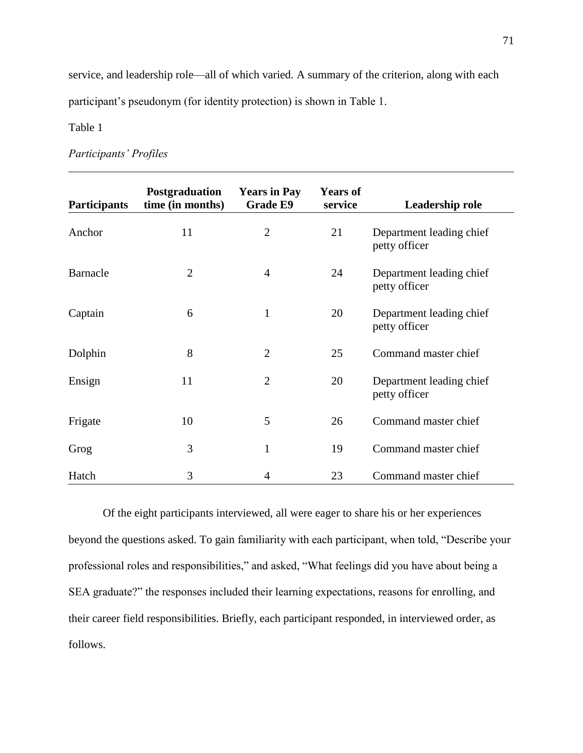service, and leadership role—all of which varied. A summary of the criterion, along with each participant's pseudonym (for identity protection) is shown in Table 1.

Table 1

# *Participants' Profiles*

| <b>Participants</b> | Postgraduation<br>time (in months) | <b>Years in Pay</b><br><b>Grade E9</b> | <b>Years of</b><br>service | Leadership role                           |
|---------------------|------------------------------------|----------------------------------------|----------------------------|-------------------------------------------|
| Anchor              | 11                                 | $\overline{2}$                         | 21                         | Department leading chief<br>petty officer |
| <b>Barnacle</b>     | $\overline{2}$                     | $\overline{4}$                         | 24                         | Department leading chief<br>petty officer |
| Captain             | 6                                  | $\mathbf{1}$                           | 20                         | Department leading chief<br>petty officer |
| Dolphin             | 8                                  | $\overline{2}$                         | 25                         | Command master chief                      |
| Ensign              | 11                                 | $\overline{2}$                         | 20                         | Department leading chief<br>petty officer |
| Frigate             | 10                                 | 5                                      | 26                         | Command master chief                      |
| Grog                | 3                                  | $\mathbf{1}$                           | 19                         | Command master chief                      |
| Hatch               | 3                                  | 4                                      | 23                         | Command master chief                      |

Of the eight participants interviewed, all were eager to share his or her experiences beyond the questions asked. To gain familiarity with each participant, when told, "Describe your professional roles and responsibilities," and asked, "What feelings did you have about being a SEA graduate?" the responses included their learning expectations, reasons for enrolling, and their career field responsibilities. Briefly, each participant responded, in interviewed order, as follows.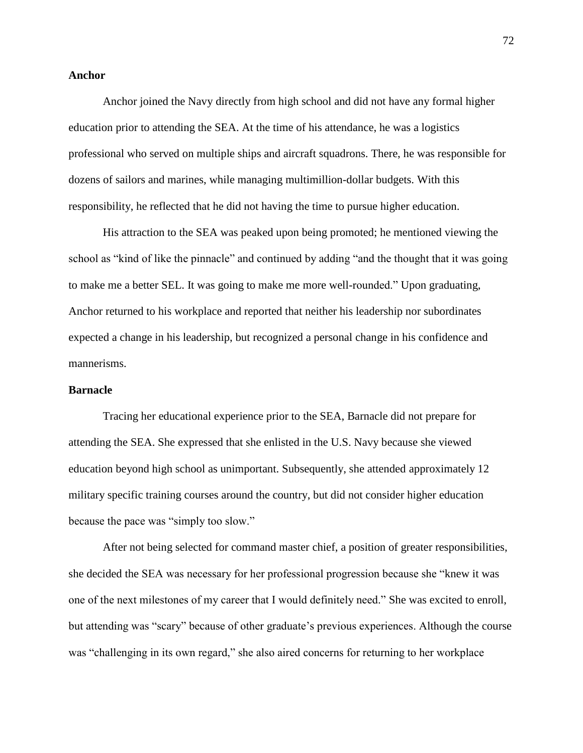## **Anchor**

Anchor joined the Navy directly from high school and did not have any formal higher education prior to attending the SEA. At the time of his attendance, he was a logistics professional who served on multiple ships and aircraft squadrons. There, he was responsible for dozens of sailors and marines, while managing multimillion-dollar budgets. With this responsibility, he reflected that he did not having the time to pursue higher education.

His attraction to the SEA was peaked upon being promoted; he mentioned viewing the school as "kind of like the pinnacle" and continued by adding "and the thought that it was going to make me a better SEL. It was going to make me more well-rounded." Upon graduating, Anchor returned to his workplace and reported that neither his leadership nor subordinates expected a change in his leadership, but recognized a personal change in his confidence and mannerisms.

#### **Barnacle**

Tracing her educational experience prior to the SEA, Barnacle did not prepare for attending the SEA. She expressed that she enlisted in the U.S. Navy because she viewed education beyond high school as unimportant. Subsequently, she attended approximately 12 military specific training courses around the country, but did not consider higher education because the pace was "simply too slow."

After not being selected for command master chief, a position of greater responsibilities, she decided the SEA was necessary for her professional progression because she "knew it was one of the next milestones of my career that I would definitely need." She was excited to enroll, but attending was "scary" because of other graduate's previous experiences. Although the course was "challenging in its own regard," she also aired concerns for returning to her workplace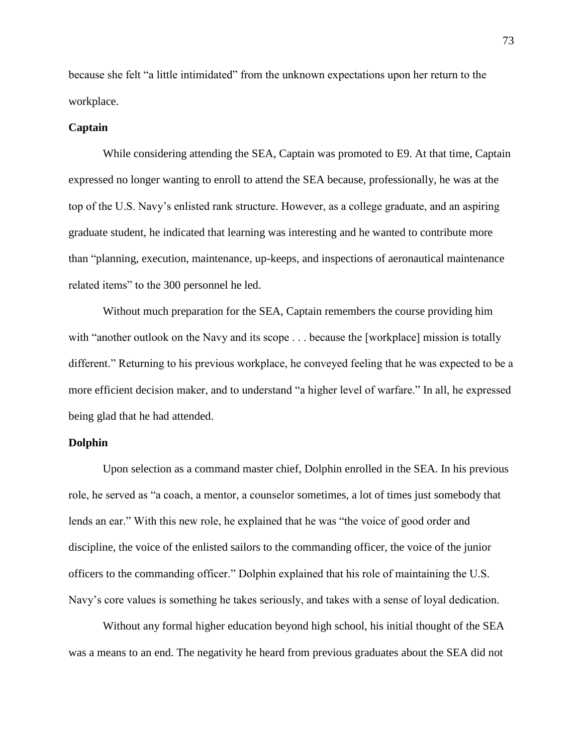because she felt "a little intimidated" from the unknown expectations upon her return to the workplace.

## **Captain**

While considering attending the SEA, Captain was promoted to E9. At that time, Captain expressed no longer wanting to enroll to attend the SEA because, professionally, he was at the top of the U.S. Navy's enlisted rank structure. However, as a college graduate, and an aspiring graduate student, he indicated that learning was interesting and he wanted to contribute more than "planning, execution, maintenance, up-keeps, and inspections of aeronautical maintenance related items" to the 300 personnel he led.

Without much preparation for the SEA, Captain remembers the course providing him with "another outlook on the Navy and its scope . . . because the [workplace] mission is totally different." Returning to his previous workplace, he conveyed feeling that he was expected to be a more efficient decision maker, and to understand "a higher level of warfare." In all, he expressed being glad that he had attended.

## **Dolphin**

Upon selection as a command master chief, Dolphin enrolled in the SEA. In his previous role, he served as "a coach, a mentor, a counselor sometimes, a lot of times just somebody that lends an ear." With this new role, he explained that he was "the voice of good order and discipline, the voice of the enlisted sailors to the commanding officer, the voice of the junior officers to the commanding officer." Dolphin explained that his role of maintaining the U.S. Navy's core values is something he takes seriously, and takes with a sense of loyal dedication.

Without any formal higher education beyond high school, his initial thought of the SEA was a means to an end. The negativity he heard from previous graduates about the SEA did not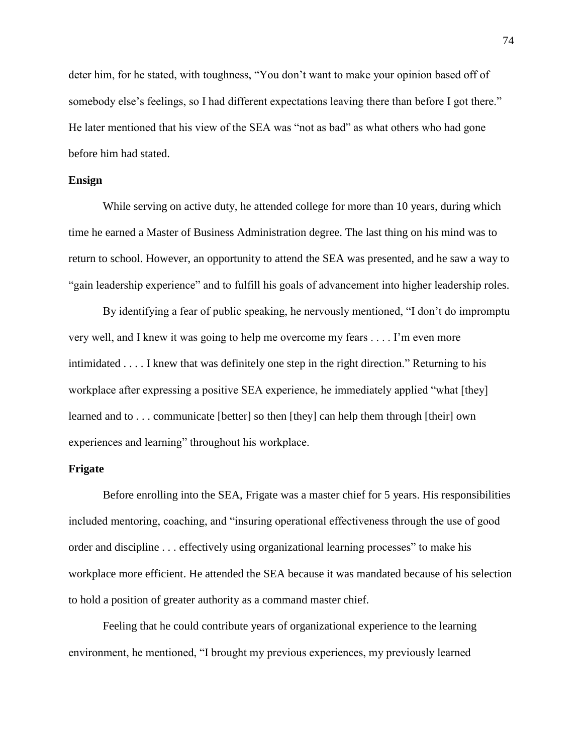deter him, for he stated, with toughness, "You don't want to make your opinion based off of somebody else's feelings, so I had different expectations leaving there than before I got there." He later mentioned that his view of the SEA was "not as bad" as what others who had gone before him had stated.

# **Ensign**

While serving on active duty, he attended college for more than 10 years, during which time he earned a Master of Business Administration degree. The last thing on his mind was to return to school. However, an opportunity to attend the SEA was presented, and he saw a way to "gain leadership experience" and to fulfill his goals of advancement into higher leadership roles.

By identifying a fear of public speaking, he nervously mentioned, "I don't do impromptu very well, and I knew it was going to help me overcome my fears . . . . I'm even more intimidated . . . . I knew that was definitely one step in the right direction." Returning to his workplace after expressing a positive SEA experience, he immediately applied "what [they] learned and to . . . communicate [better] so then [they] can help them through [their] own experiences and learning" throughout his workplace.

#### **Frigate**

Before enrolling into the SEA, Frigate was a master chief for 5 years. His responsibilities included mentoring, coaching, and "insuring operational effectiveness through the use of good order and discipline . . . effectively using organizational learning processes" to make his workplace more efficient. He attended the SEA because it was mandated because of his selection to hold a position of greater authority as a command master chief.

Feeling that he could contribute years of organizational experience to the learning environment, he mentioned, "I brought my previous experiences, my previously learned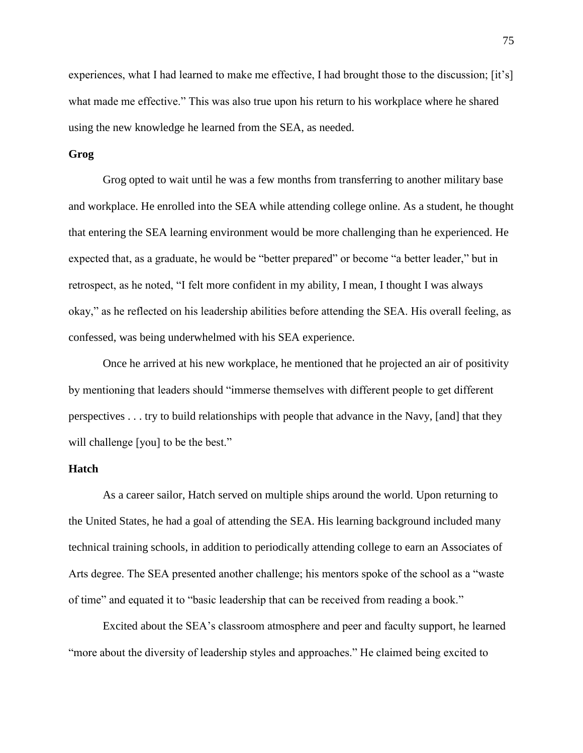experiences, what I had learned to make me effective, I had brought those to the discussion; [it's] what made me effective." This was also true upon his return to his workplace where he shared using the new knowledge he learned from the SEA, as needed.

# **Grog**

Grog opted to wait until he was a few months from transferring to another military base and workplace. He enrolled into the SEA while attending college online. As a student, he thought that entering the SEA learning environment would be more challenging than he experienced. He expected that, as a graduate, he would be "better prepared" or become "a better leader," but in retrospect, as he noted, "I felt more confident in my ability, I mean, I thought I was always okay," as he reflected on his leadership abilities before attending the SEA. His overall feeling, as confessed, was being underwhelmed with his SEA experience.

Once he arrived at his new workplace, he mentioned that he projected an air of positivity by mentioning that leaders should "immerse themselves with different people to get different perspectives . . . try to build relationships with people that advance in the Navy, [and] that they will challenge [you] to be the best."

## **Hatch**

As a career sailor, Hatch served on multiple ships around the world. Upon returning to the United States, he had a goal of attending the SEA. His learning background included many technical training schools, in addition to periodically attending college to earn an Associates of Arts degree. The SEA presented another challenge; his mentors spoke of the school as a "waste of time" and equated it to "basic leadership that can be received from reading a book."

Excited about the SEA's classroom atmosphere and peer and faculty support, he learned "more about the diversity of leadership styles and approaches." He claimed being excited to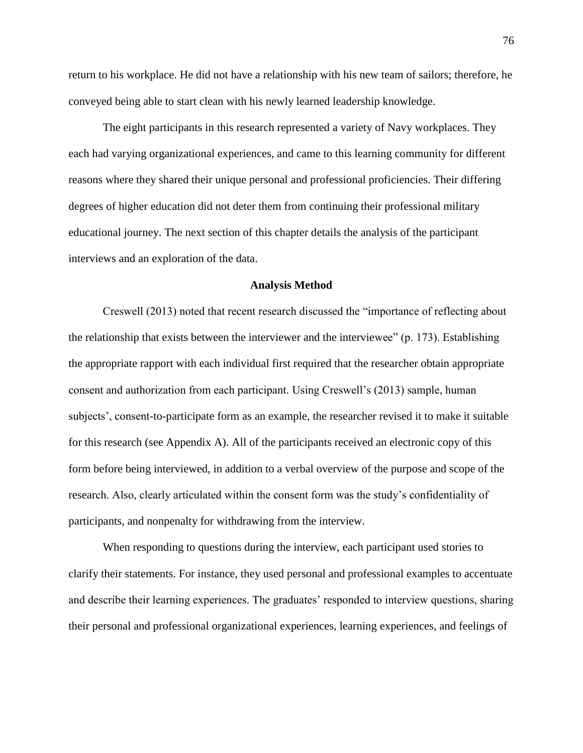return to his workplace. He did not have a relationship with his new team of sailors; therefore, he conveyed being able to start clean with his newly learned leadership knowledge.

The eight participants in this research represented a variety of Navy workplaces. They each had varying organizational experiences, and came to this learning community for different reasons where they shared their unique personal and professional proficiencies. Their differing degrees of higher education did not deter them from continuing their professional military educational journey. The next section of this chapter details the analysis of the participant interviews and an exploration of the data.

#### **Analysis Method**

Creswell (2013) noted that recent research discussed the "importance of reflecting about the relationship that exists between the interviewer and the interviewee" (p. 173). Establishing the appropriate rapport with each individual first required that the researcher obtain appropriate consent and authorization from each participant. Using Creswell's (2013) sample, human subjects', consent-to-participate form as an example, the researcher revised it to make it suitable for this research (see Appendix A). All of the participants received an electronic copy of this form before being interviewed, in addition to a verbal overview of the purpose and scope of the research. Also, clearly articulated within the consent form was the study's confidentiality of participants, and nonpenalty for withdrawing from the interview.

When responding to questions during the interview, each participant used stories to clarify their statements. For instance, they used personal and professional examples to accentuate and describe their learning experiences. The graduates' responded to interview questions, sharing their personal and professional organizational experiences, learning experiences, and feelings of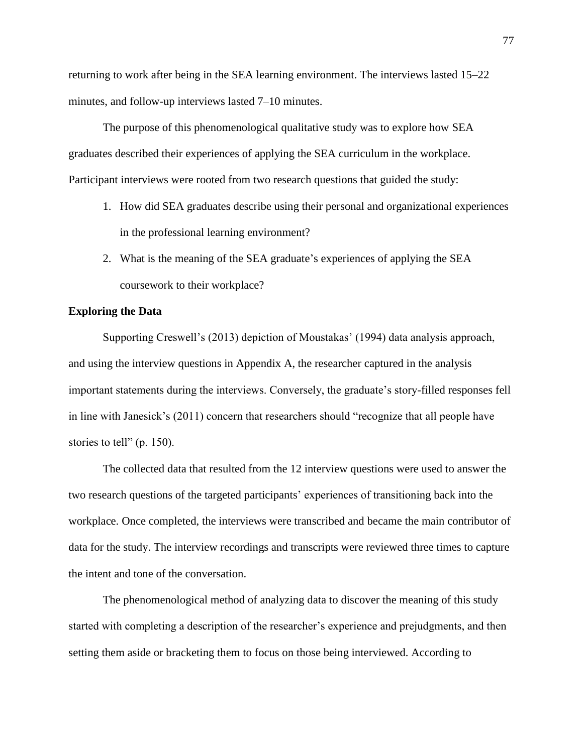returning to work after being in the SEA learning environment. The interviews lasted 15–22 minutes, and follow-up interviews lasted 7–10 minutes.

The purpose of this phenomenological qualitative study was to explore how SEA graduates described their experiences of applying the SEA curriculum in the workplace. Participant interviews were rooted from two research questions that guided the study:

- 1. How did SEA graduates describe using their personal and organizational experiences in the professional learning environment?
- 2. What is the meaning of the SEA graduate's experiences of applying the SEA coursework to their workplace?

# **Exploring the Data**

Supporting Creswell's (2013) depiction of Moustakas' (1994) data analysis approach, and using the interview questions in Appendix A, the researcher captured in the analysis important statements during the interviews. Conversely, the graduate's story-filled responses fell in line with Janesick's (2011) concern that researchers should "recognize that all people have stories to tell" (p. 150).

The collected data that resulted from the 12 interview questions were used to answer the two research questions of the targeted participants' experiences of transitioning back into the workplace. Once completed, the interviews were transcribed and became the main contributor of data for the study. The interview recordings and transcripts were reviewed three times to capture the intent and tone of the conversation.

The phenomenological method of analyzing data to discover the meaning of this study started with completing a description of the researcher's experience and prejudgments, and then setting them aside or bracketing them to focus on those being interviewed. According to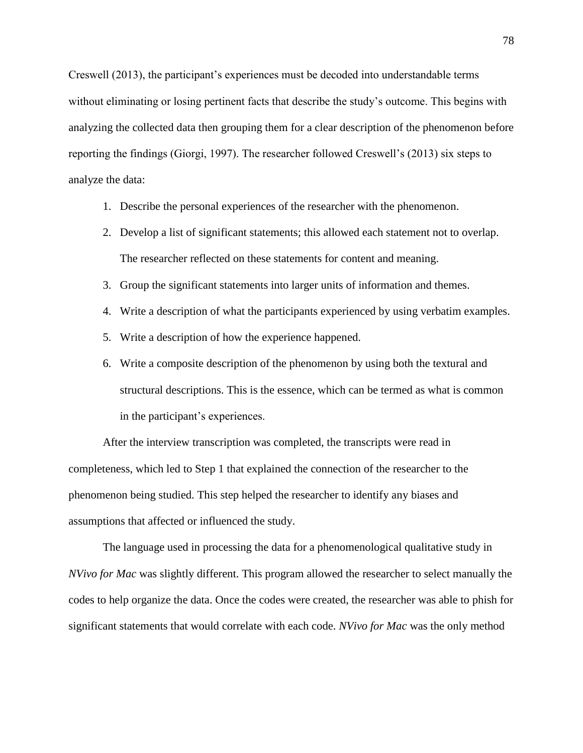Creswell (2013), the participant's experiences must be decoded into understandable terms without eliminating or losing pertinent facts that describe the study's outcome. This begins with analyzing the collected data then grouping them for a clear description of the phenomenon before reporting the findings (Giorgi, 1997). The researcher followed Creswell's (2013) six steps to analyze the data:

- 1. Describe the personal experiences of the researcher with the phenomenon.
- 2. Develop a list of significant statements; this allowed each statement not to overlap. The researcher reflected on these statements for content and meaning.
- 3. Group the significant statements into larger units of information and themes.
- 4. Write a description of what the participants experienced by using verbatim examples.
- 5. Write a description of how the experience happened.
- 6. Write a composite description of the phenomenon by using both the textural and structural descriptions. This is the essence, which can be termed as what is common in the participant's experiences.

After the interview transcription was completed, the transcripts were read in completeness, which led to Step 1 that explained the connection of the researcher to the phenomenon being studied. This step helped the researcher to identify any biases and assumptions that affected or influenced the study.

The language used in processing the data for a phenomenological qualitative study in *NVivo for Mac* was slightly different. This program allowed the researcher to select manually the codes to help organize the data. Once the codes were created, the researcher was able to phish for significant statements that would correlate with each code. *NVivo for Mac* was the only method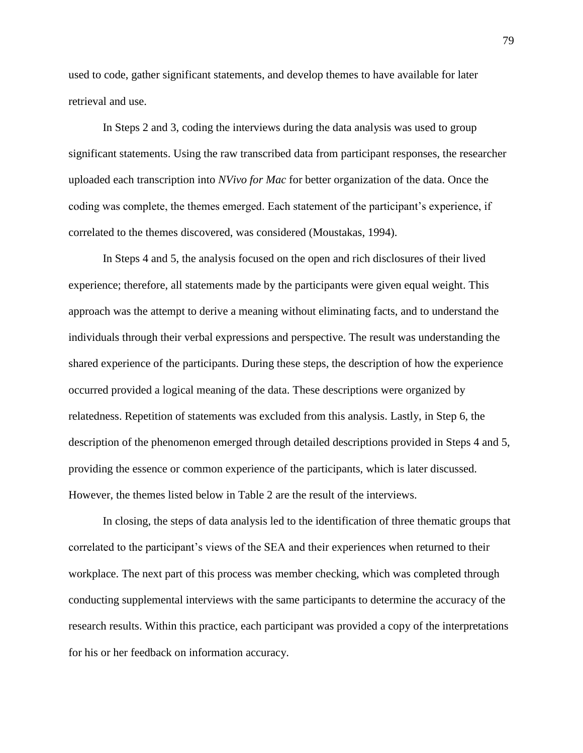used to code, gather significant statements, and develop themes to have available for later retrieval and use.

In Steps 2 and 3, coding the interviews during the data analysis was used to group significant statements. Using the raw transcribed data from participant responses, the researcher uploaded each transcription into *NVivo for Mac* for better organization of the data. Once the coding was complete, the themes emerged. Each statement of the participant's experience, if correlated to the themes discovered, was considered (Moustakas, 1994).

In Steps 4 and 5, the analysis focused on the open and rich disclosures of their lived experience; therefore, all statements made by the participants were given equal weight. This approach was the attempt to derive a meaning without eliminating facts, and to understand the individuals through their verbal expressions and perspective. The result was understanding the shared experience of the participants. During these steps, the description of how the experience occurred provided a logical meaning of the data. These descriptions were organized by relatedness. Repetition of statements was excluded from this analysis. Lastly, in Step 6, the description of the phenomenon emerged through detailed descriptions provided in Steps 4 and 5, providing the essence or common experience of the participants, which is later discussed. However, the themes listed below in Table 2 are the result of the interviews.

In closing, the steps of data analysis led to the identification of three thematic groups that correlated to the participant's views of the SEA and their experiences when returned to their workplace. The next part of this process was member checking, which was completed through conducting supplemental interviews with the same participants to determine the accuracy of the research results. Within this practice, each participant was provided a copy of the interpretations for his or her feedback on information accuracy.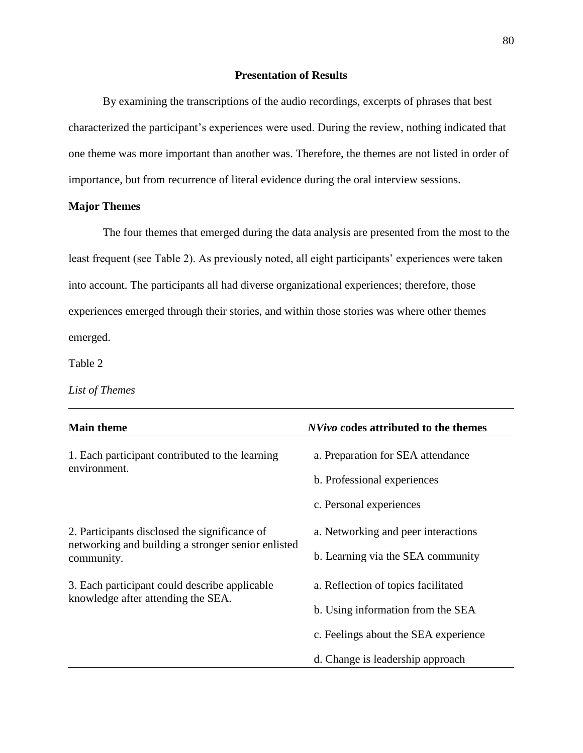# **Presentation of Results**

By examining the transcriptions of the audio recordings, excerpts of phrases that best characterized the participant's experiences were used. During the review, nothing indicated that one theme was more important than another was. Therefore, the themes are not listed in order of importance, but from recurrence of literal evidence during the oral interview sessions.

## **Major Themes**

The four themes that emerged during the data analysis are presented from the most to the least frequent (see Table 2). As previously noted, all eight participants' experiences were taken into account. The participants all had diverse organizational experiences; therefore, those experiences emerged through their stories, and within those stories was where other themes emerged.

Table 2

*List of Themes*

| <b>Main theme</b>                                                                                                 | <i>NVivo</i> codes attributed to the themes                              |  |
|-------------------------------------------------------------------------------------------------------------------|--------------------------------------------------------------------------|--|
| 1. Each participant contributed to the learning<br>environment.                                                   | a. Preparation for SEA attendance<br>b. Professional experiences         |  |
|                                                                                                                   | c. Personal experiences                                                  |  |
| 2. Participants disclosed the significance of<br>networking and building a stronger senior enlisted<br>community. | a. Networking and peer interactions<br>b. Learning via the SEA community |  |
| 3. Each participant could describe applicable<br>knowledge after attending the SEA.                               | a. Reflection of topics facilitated<br>b. Using information from the SEA |  |
|                                                                                                                   | c. Feelings about the SEA experience                                     |  |
|                                                                                                                   | d. Change is leadership approach                                         |  |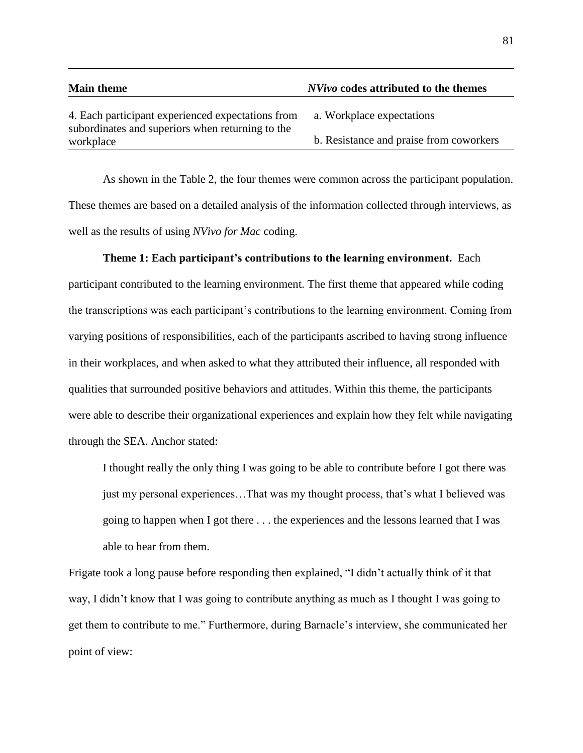| <b>Main theme</b>                                             | <i>NVivo</i> codes attributed to the themes |
|---------------------------------------------------------------|---------------------------------------------|
| 4. Each participant experienced expectations from             | a. Workplace expectations                   |
| subordinates and superiors when returning to the<br>workplace | b. Resistance and praise from coworkers     |

As shown in the Table 2, the four themes were common across the participant population. These themes are based on a detailed analysis of the information collected through interviews, as well as the results of using *NVivo for Mac* coding.

## **Theme 1: Each participant's contributions to the learning environment.** Each

participant contributed to the learning environment. The first theme that appeared while coding the transcriptions was each participant's contributions to the learning environment. Coming from varying positions of responsibilities, each of the participants ascribed to having strong influence in their workplaces, and when asked to what they attributed their influence, all responded with qualities that surrounded positive behaviors and attitudes. Within this theme, the participants were able to describe their organizational experiences and explain how they felt while navigating through the SEA. Anchor stated:

I thought really the only thing I was going to be able to contribute before I got there was just my personal experiences…That was my thought process, that's what I believed was going to happen when I got there . . . the experiences and the lessons learned that I was able to hear from them.

Frigate took a long pause before responding then explained, "I didn't actually think of it that way, I didn't know that I was going to contribute anything as much as I thought I was going to get them to contribute to me." Furthermore, during Barnacle's interview, she communicated her point of view: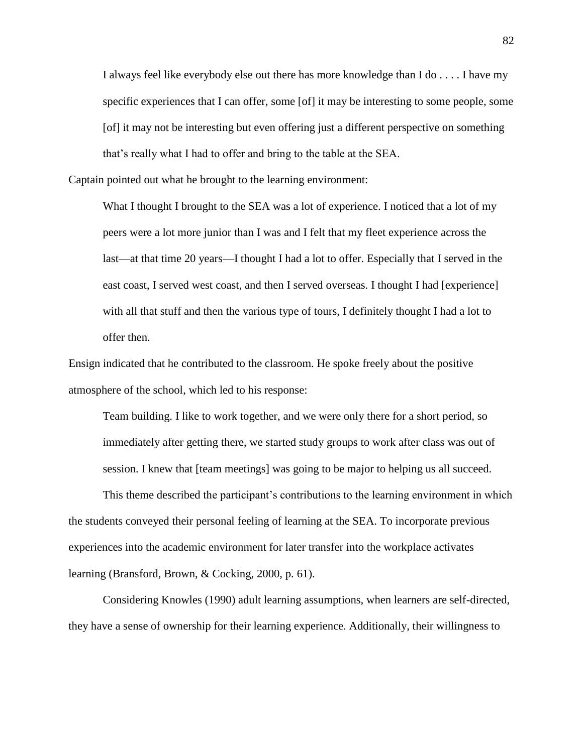I always feel like everybody else out there has more knowledge than I do . . . . I have my specific experiences that I can offer, some [of] it may be interesting to some people, some [of] it may not be interesting but even offering just a different perspective on something that's really what I had to offer and bring to the table at the SEA.

Captain pointed out what he brought to the learning environment:

What I thought I brought to the SEA was a lot of experience. I noticed that a lot of my peers were a lot more junior than I was and I felt that my fleet experience across the last—at that time 20 years—I thought I had a lot to offer. Especially that I served in the east coast, I served west coast, and then I served overseas. I thought I had [experience] with all that stuff and then the various type of tours, I definitely thought I had a lot to offer then.

Ensign indicated that he contributed to the classroom. He spoke freely about the positive atmosphere of the school, which led to his response:

Team building. I like to work together, and we were only there for a short period, so immediately after getting there, we started study groups to work after class was out of session. I knew that [team meetings] was going to be major to helping us all succeed.

This theme described the participant's contributions to the learning environment in which the students conveyed their personal feeling of learning at the SEA. To incorporate previous experiences into the academic environment for later transfer into the workplace activates learning (Bransford, Brown, & Cocking, 2000, p. 61).

Considering Knowles (1990) adult learning assumptions, when learners are self-directed, they have a sense of ownership for their learning experience. Additionally, their willingness to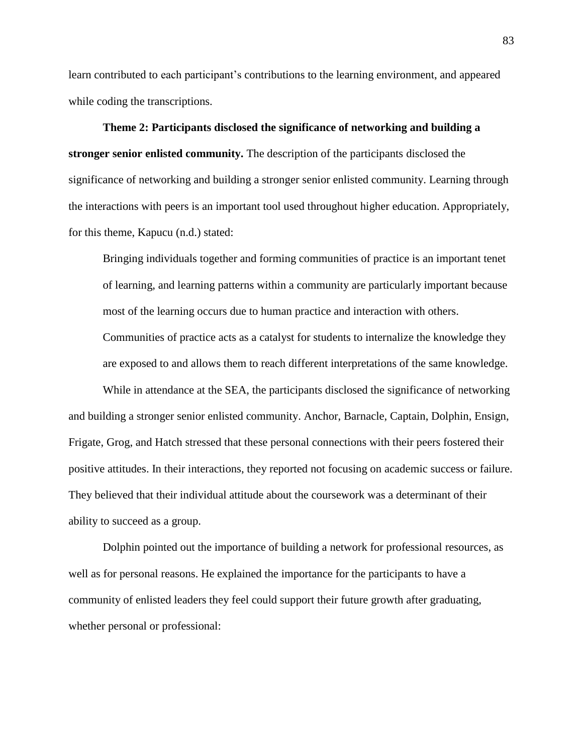learn contributed to each participant's contributions to the learning environment, and appeared while coding the transcriptions.

**Theme 2: Participants disclosed the significance of networking and building a stronger senior enlisted community.** The description of the participants disclosed the significance of networking and building a stronger senior enlisted community. Learning through the interactions with peers is an important tool used throughout higher education. Appropriately, for this theme, Kapucu (n.d.) stated:

Bringing individuals together and forming communities of practice is an important tenet of learning, and learning patterns within a community are particularly important because most of the learning occurs due to human practice and interaction with others.

Communities of practice acts as a catalyst for students to internalize the knowledge they are exposed to and allows them to reach different interpretations of the same knowledge.

While in attendance at the SEA, the participants disclosed the significance of networking and building a stronger senior enlisted community. Anchor, Barnacle, Captain, Dolphin, Ensign, Frigate, Grog, and Hatch stressed that these personal connections with their peers fostered their positive attitudes. In their interactions, they reported not focusing on academic success or failure. They believed that their individual attitude about the coursework was a determinant of their ability to succeed as a group.

Dolphin pointed out the importance of building a network for professional resources, as well as for personal reasons. He explained the importance for the participants to have a community of enlisted leaders they feel could support their future growth after graduating, whether personal or professional: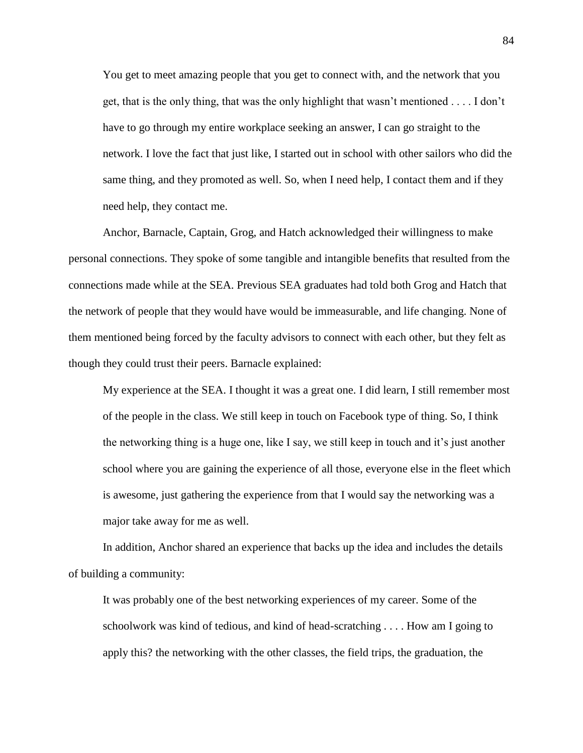You get to meet amazing people that you get to connect with, and the network that you get, that is the only thing, that was the only highlight that wasn't mentioned . . . . I don't have to go through my entire workplace seeking an answer, I can go straight to the network. I love the fact that just like, I started out in school with other sailors who did the same thing, and they promoted as well. So, when I need help, I contact them and if they need help, they contact me.

Anchor, Barnacle, Captain, Grog, and Hatch acknowledged their willingness to make personal connections. They spoke of some tangible and intangible benefits that resulted from the connections made while at the SEA. Previous SEA graduates had told both Grog and Hatch that the network of people that they would have would be immeasurable, and life changing. None of them mentioned being forced by the faculty advisors to connect with each other, but they felt as though they could trust their peers. Barnacle explained:

My experience at the SEA. I thought it was a great one. I did learn, I still remember most of the people in the class. We still keep in touch on Facebook type of thing. So, I think the networking thing is a huge one, like I say, we still keep in touch and it's just another school where you are gaining the experience of all those, everyone else in the fleet which is awesome, just gathering the experience from that I would say the networking was a major take away for me as well.

In addition, Anchor shared an experience that backs up the idea and includes the details of building a community:

It was probably one of the best networking experiences of my career. Some of the schoolwork was kind of tedious, and kind of head-scratching . . . . How am I going to apply this? the networking with the other classes, the field trips, the graduation, the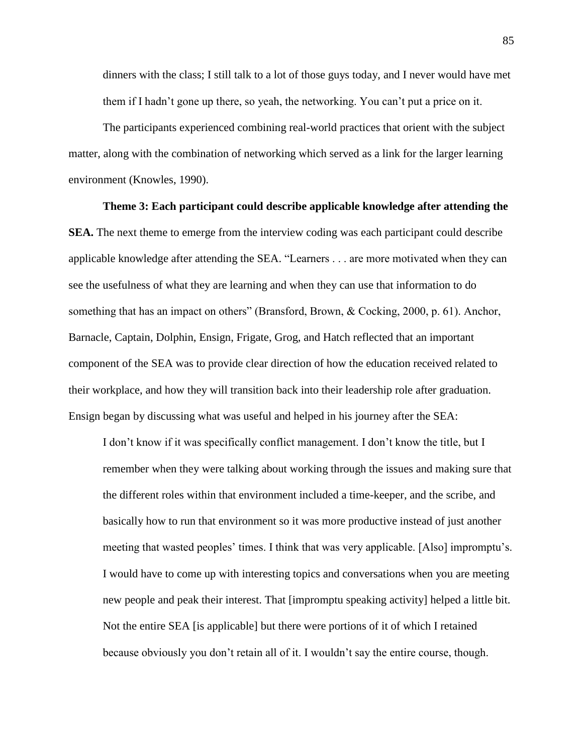dinners with the class; I still talk to a lot of those guys today, and I never would have met them if I hadn't gone up there, so yeah, the networking. You can't put a price on it.

The participants experienced combining real-world practices that orient with the subject matter, along with the combination of networking which served as a link for the larger learning environment (Knowles, 1990).

#### **Theme 3: Each participant could describe applicable knowledge after attending the**

**SEA.** The next theme to emerge from the interview coding was each participant could describe applicable knowledge after attending the SEA. "Learners . . . are more motivated when they can see the usefulness of what they are learning and when they can use that information to do something that has an impact on others" (Bransford, Brown, & Cocking, 2000, p. 61). Anchor, Barnacle, Captain, Dolphin, Ensign, Frigate, Grog, and Hatch reflected that an important component of the SEA was to provide clear direction of how the education received related to their workplace, and how they will transition back into their leadership role after graduation. Ensign began by discussing what was useful and helped in his journey after the SEA:

I don't know if it was specifically conflict management. I don't know the title, but I remember when they were talking about working through the issues and making sure that the different roles within that environment included a time-keeper, and the scribe, and basically how to run that environment so it was more productive instead of just another meeting that wasted peoples' times. I think that was very applicable. [Also] impromptu's. I would have to come up with interesting topics and conversations when you are meeting new people and peak their interest. That [impromptu speaking activity] helped a little bit. Not the entire SEA [is applicable] but there were portions of it of which I retained because obviously you don't retain all of it. I wouldn't say the entire course, though.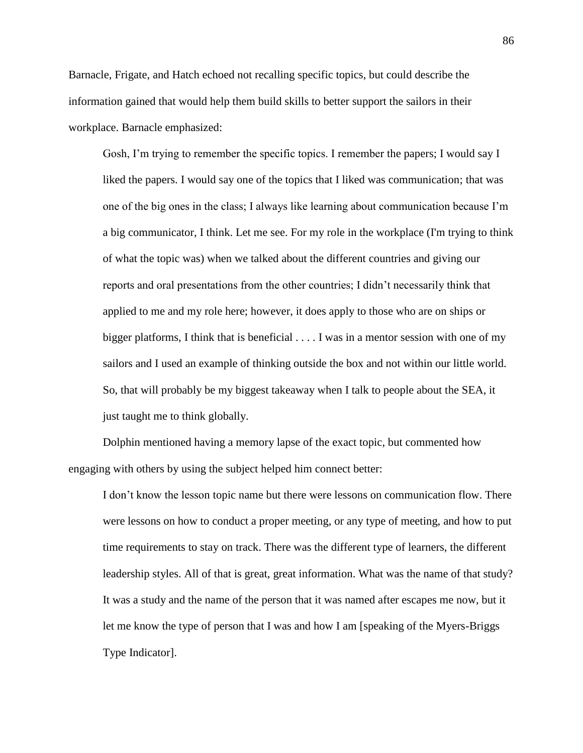Barnacle, Frigate, and Hatch echoed not recalling specific topics, but could describe the information gained that would help them build skills to better support the sailors in their workplace. Barnacle emphasized:

Gosh, I'm trying to remember the specific topics. I remember the papers; I would say I liked the papers. I would say one of the topics that I liked was communication; that was one of the big ones in the class; I always like learning about communication because I'm a big communicator, I think. Let me see. For my role in the workplace (I'm trying to think of what the topic was) when we talked about the different countries and giving our reports and oral presentations from the other countries; I didn't necessarily think that applied to me and my role here; however, it does apply to those who are on ships or bigger platforms, I think that is beneficial . . . . I was in a mentor session with one of my sailors and I used an example of thinking outside the box and not within our little world. So, that will probably be my biggest takeaway when I talk to people about the SEA, it just taught me to think globally.

Dolphin mentioned having a memory lapse of the exact topic, but commented how engaging with others by using the subject helped him connect better:

I don't know the lesson topic name but there were lessons on communication flow. There were lessons on how to conduct a proper meeting, or any type of meeting, and how to put time requirements to stay on track. There was the different type of learners, the different leadership styles. All of that is great, great information. What was the name of that study? It was a study and the name of the person that it was named after escapes me now, but it let me know the type of person that I was and how I am [speaking of the Myers-Briggs Type Indicator].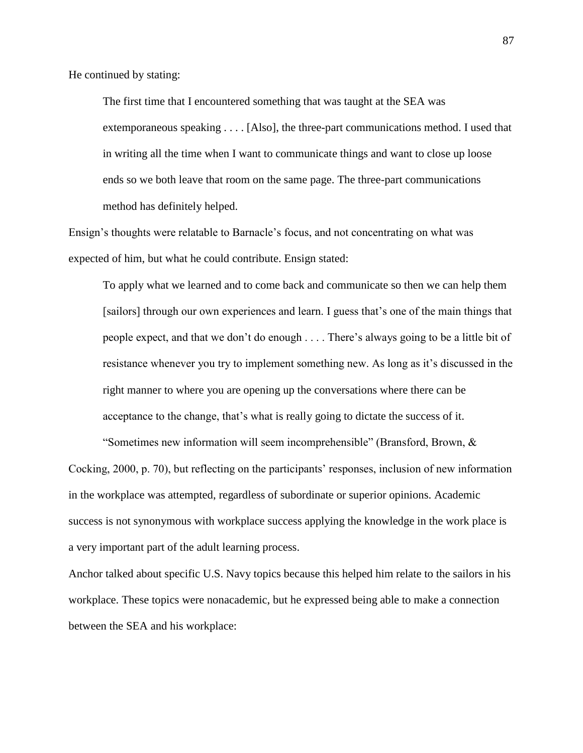He continued by stating:

The first time that I encountered something that was taught at the SEA was extemporaneous speaking . . . . [Also], the three-part communications method. I used that in writing all the time when I want to communicate things and want to close up loose ends so we both leave that room on the same page. The three-part communications method has definitely helped.

Ensign's thoughts were relatable to Barnacle's focus, and not concentrating on what was expected of him, but what he could contribute. Ensign stated:

To apply what we learned and to come back and communicate so then we can help them [sailors] through our own experiences and learn. I guess that's one of the main things that people expect, and that we don't do enough . . . . There's always going to be a little bit of resistance whenever you try to implement something new. As long as it's discussed in the right manner to where you are opening up the conversations where there can be acceptance to the change, that's what is really going to dictate the success of it.

"Sometimes new information will seem incomprehensible" (Bransford, Brown,  $\&$ Cocking, 2000, p. 70), but reflecting on the participants' responses, inclusion of new information in the workplace was attempted, regardless of subordinate or superior opinions. Academic success is not synonymous with workplace success applying the knowledge in the work place is a very important part of the adult learning process.

Anchor talked about specific U.S. Navy topics because this helped him relate to the sailors in his workplace. These topics were nonacademic, but he expressed being able to make a connection between the SEA and his workplace: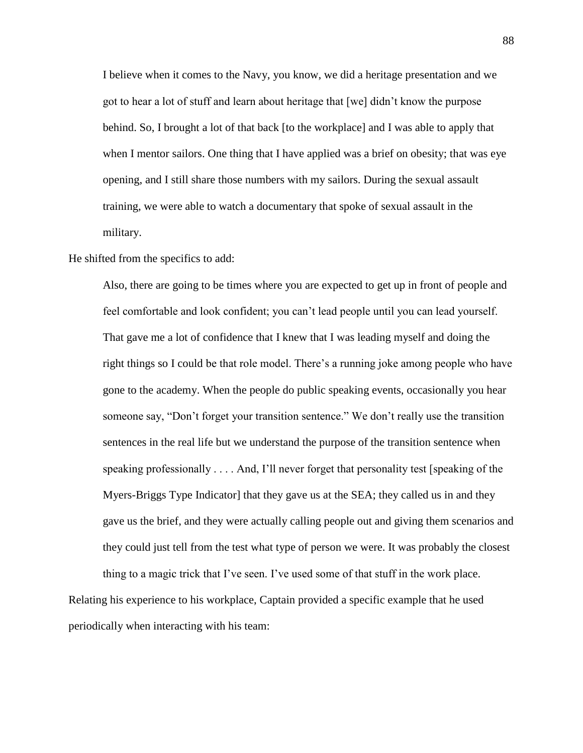I believe when it comes to the Navy, you know, we did a heritage presentation and we got to hear a lot of stuff and learn about heritage that [we] didn't know the purpose behind. So, I brought a lot of that back [to the workplace] and I was able to apply that when I mentor sailors. One thing that I have applied was a brief on obesity; that was eye opening, and I still share those numbers with my sailors. During the sexual assault training, we were able to watch a documentary that spoke of sexual assault in the military.

He shifted from the specifics to add:

Also, there are going to be times where you are expected to get up in front of people and feel comfortable and look confident; you can't lead people until you can lead yourself. That gave me a lot of confidence that I knew that I was leading myself and doing the right things so I could be that role model. There's a running joke among people who have gone to the academy. When the people do public speaking events, occasionally you hear someone say, "Don't forget your transition sentence." We don't really use the transition sentences in the real life but we understand the purpose of the transition sentence when speaking professionally . . . . And, I'll never forget that personality test [speaking of the Myers-Briggs Type Indicator] that they gave us at the SEA; they called us in and they gave us the brief, and they were actually calling people out and giving them scenarios and they could just tell from the test what type of person we were. It was probably the closest thing to a magic trick that I've seen. I've used some of that stuff in the work place.

Relating his experience to his workplace, Captain provided a specific example that he used periodically when interacting with his team: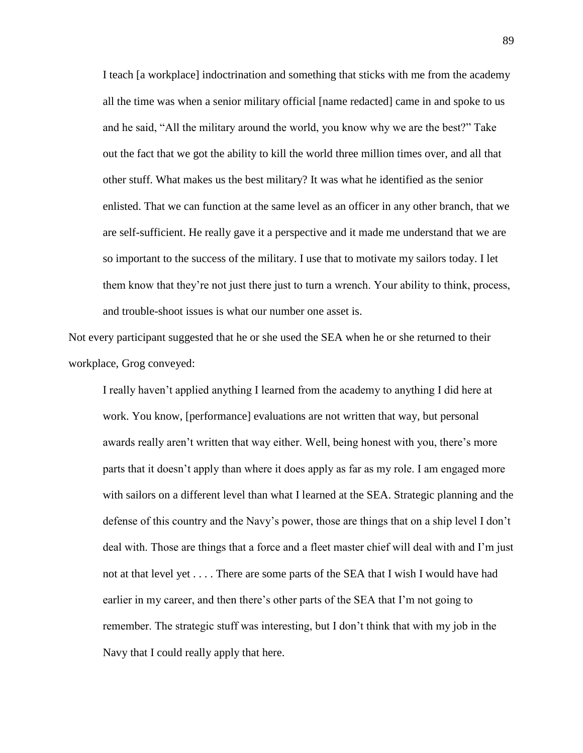I teach [a workplace] indoctrination and something that sticks with me from the academy all the time was when a senior military official [name redacted] came in and spoke to us and he said, "All the military around the world, you know why we are the best?" Take out the fact that we got the ability to kill the world three million times over, and all that other stuff. What makes us the best military? It was what he identified as the senior enlisted. That we can function at the same level as an officer in any other branch, that we are self-sufficient. He really gave it a perspective and it made me understand that we are so important to the success of the military. I use that to motivate my sailors today. I let them know that they're not just there just to turn a wrench. Your ability to think, process, and trouble-shoot issues is what our number one asset is.

Not every participant suggested that he or she used the SEA when he or she returned to their workplace, Grog conveyed:

I really haven't applied anything I learned from the academy to anything I did here at work. You know, [performance] evaluations are not written that way, but personal awards really aren't written that way either. Well, being honest with you, there's more parts that it doesn't apply than where it does apply as far as my role. I am engaged more with sailors on a different level than what I learned at the SEA. Strategic planning and the defense of this country and the Navy's power, those are things that on a ship level I don't deal with. Those are things that a force and a fleet master chief will deal with and I'm just not at that level yet . . . . There are some parts of the SEA that I wish I would have had earlier in my career, and then there's other parts of the SEA that I'm not going to remember. The strategic stuff was interesting, but I don't think that with my job in the Navy that I could really apply that here.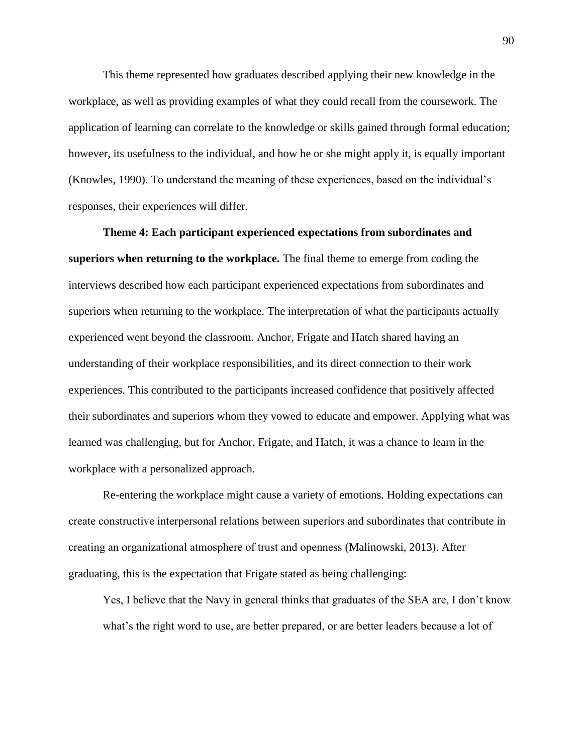This theme represented how graduates described applying their new knowledge in the workplace, as well as providing examples of what they could recall from the coursework. The application of learning can correlate to the knowledge or skills gained through formal education; however, its usefulness to the individual, and how he or she might apply it, is equally important (Knowles, 1990). To understand the meaning of these experiences, based on the individual's responses, their experiences will differ.

**Theme 4: Each participant experienced expectations from subordinates and superiors when returning to the workplace.** The final theme to emerge from coding the interviews described how each participant experienced expectations from subordinates and superiors when returning to the workplace. The interpretation of what the participants actually experienced went beyond the classroom. Anchor, Frigate and Hatch shared having an understanding of their workplace responsibilities, and its direct connection to their work experiences. This contributed to the participants increased confidence that positively affected their subordinates and superiors whom they vowed to educate and empower. Applying what was learned was challenging, but for Anchor, Frigate, and Hatch, it was a chance to learn in the workplace with a personalized approach.

Re-entering the workplace might cause a variety of emotions. Holding expectations can create constructive interpersonal relations between superiors and subordinates that contribute in creating an organizational atmosphere of trust and openness (Malinowski, 2013). After graduating, this is the expectation that Frigate stated as being challenging:

Yes, I believe that the Navy in general thinks that graduates of the SEA are, I don't know what's the right word to use, are better prepared, or are better leaders because a lot of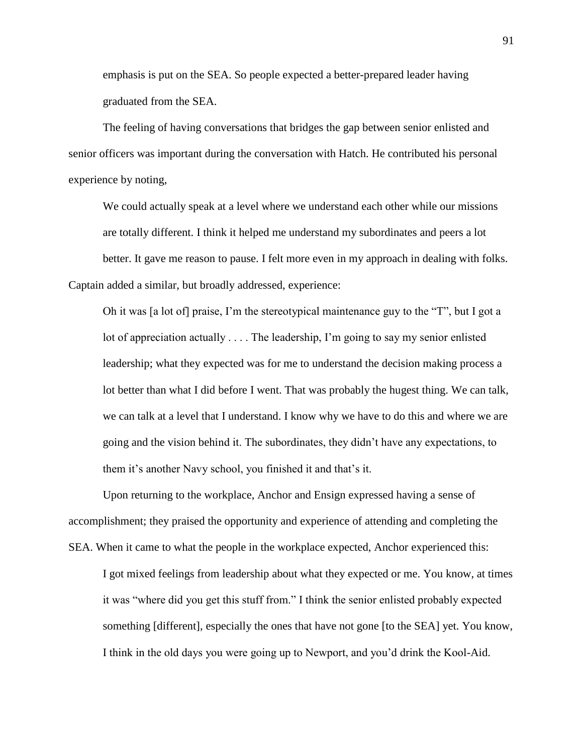emphasis is put on the SEA. So people expected a better-prepared leader having graduated from the SEA.

The feeling of having conversations that bridges the gap between senior enlisted and senior officers was important during the conversation with Hatch. He contributed his personal experience by noting,

We could actually speak at a level where we understand each other while our missions are totally different. I think it helped me understand my subordinates and peers a lot better. It gave me reason to pause. I felt more even in my approach in dealing with folks. Captain added a similar, but broadly addressed, experience:

Oh it was [a lot of] praise, I'm the stereotypical maintenance guy to the "T", but I got a lot of appreciation actually . . . . The leadership, I'm going to say my senior enlisted leadership; what they expected was for me to understand the decision making process a lot better than what I did before I went. That was probably the hugest thing. We can talk, we can talk at a level that I understand. I know why we have to do this and where we are going and the vision behind it. The subordinates, they didn't have any expectations, to them it's another Navy school, you finished it and that's it.

Upon returning to the workplace, Anchor and Ensign expressed having a sense of accomplishment; they praised the opportunity and experience of attending and completing the SEA. When it came to what the people in the workplace expected, Anchor experienced this:

I got mixed feelings from leadership about what they expected or me. You know, at times it was "where did you get this stuff from." I think the senior enlisted probably expected something [different], especially the ones that have not gone [to the SEA] yet. You know, I think in the old days you were going up to Newport, and you'd drink the Kool-Aid.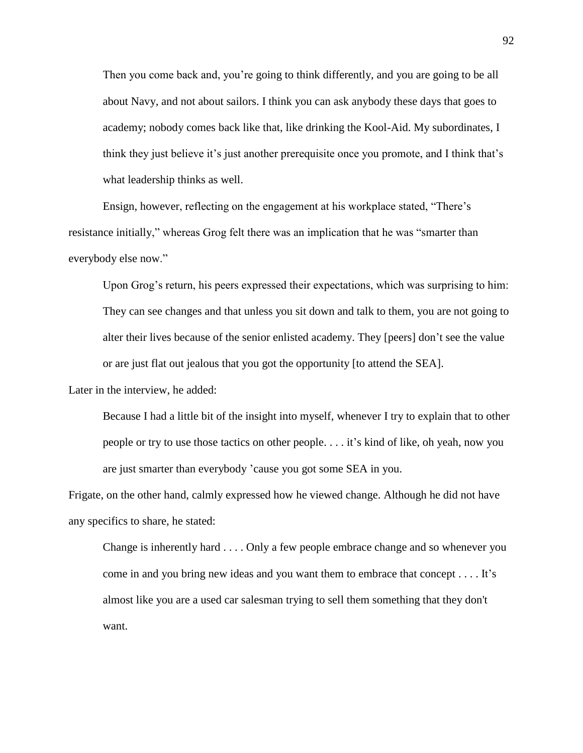Then you come back and, you're going to think differently, and you are going to be all about Navy, and not about sailors. I think you can ask anybody these days that goes to academy; nobody comes back like that, like drinking the Kool-Aid. My subordinates, I think they just believe it's just another prerequisite once you promote, and I think that's what leadership thinks as well.

Ensign, however, reflecting on the engagement at his workplace stated, "There's resistance initially," whereas Grog felt there was an implication that he was "smarter than everybody else now."

Upon Grog's return, his peers expressed their expectations, which was surprising to him: They can see changes and that unless you sit down and talk to them, you are not going to alter their lives because of the senior enlisted academy. They [peers] don't see the value or are just flat out jealous that you got the opportunity [to attend the SEA].

Later in the interview, he added:

Because I had a little bit of the insight into myself, whenever I try to explain that to other people or try to use those tactics on other people. . . . it's kind of like, oh yeah, now you are just smarter than everybody 'cause you got some SEA in you.

Frigate, on the other hand, calmly expressed how he viewed change. Although he did not have any specifics to share, he stated:

Change is inherently hard . . . . Only a few people embrace change and so whenever you come in and you bring new ideas and you want them to embrace that concept . . . . It's almost like you are a used car salesman trying to sell them something that they don't want.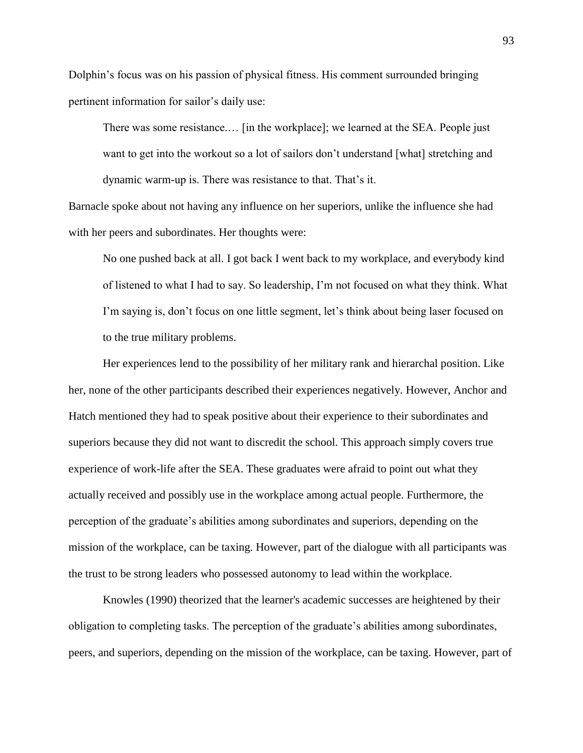Dolphin's focus was on his passion of physical fitness. His comment surrounded bringing pertinent information for sailor's daily use:

There was some resistance.… [in the workplace]; we learned at the SEA. People just want to get into the workout so a lot of sailors don't understand [what] stretching and dynamic warm-up is. There was resistance to that. That's it.

Barnacle spoke about not having any influence on her superiors, unlike the influence she had with her peers and subordinates. Her thoughts were:

No one pushed back at all. I got back I went back to my workplace, and everybody kind of listened to what I had to say. So leadership, I'm not focused on what they think. What I'm saying is, don't focus on one little segment, let's think about being laser focused on to the true military problems.

Her experiences lend to the possibility of her military rank and hierarchal position. Like her, none of the other participants described their experiences negatively. However, Anchor and Hatch mentioned they had to speak positive about their experience to their subordinates and superiors because they did not want to discredit the school. This approach simply covers true experience of work-life after the SEA. These graduates were afraid to point out what they actually received and possibly use in the workplace among actual people. Furthermore, the perception of the graduate's abilities among subordinates and superiors, depending on the mission of the workplace, can be taxing. However, part of the dialogue with all participants was the trust to be strong leaders who possessed autonomy to lead within the workplace.

Knowles (1990) theorized that the learner's academic successes are heightened by their obligation to completing tasks. The perception of the graduate's abilities among subordinates, peers, and superiors, depending on the mission of the workplace, can be taxing. However, part of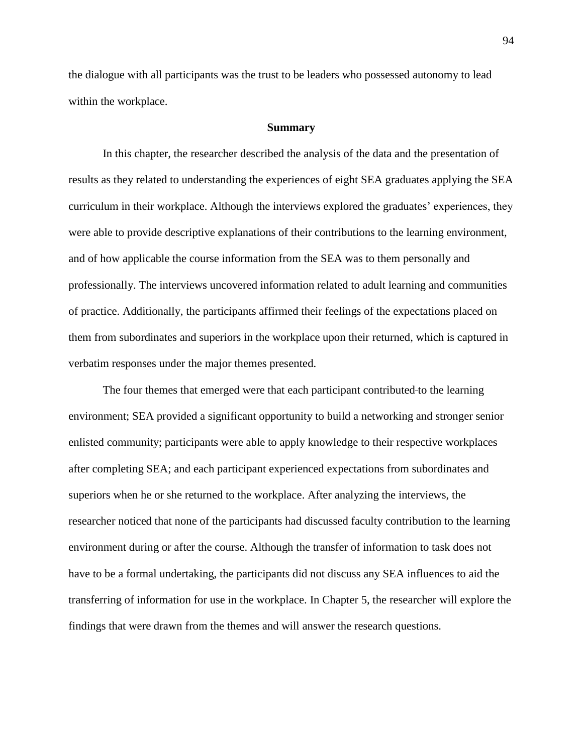the dialogue with all participants was the trust to be leaders who possessed autonomy to lead within the workplace.

#### **Summary**

In this chapter, the researcher described the analysis of the data and the presentation of results as they related to understanding the experiences of eight SEA graduates applying the SEA curriculum in their workplace. Although the interviews explored the graduates' experiences, they were able to provide descriptive explanations of their contributions to the learning environment, and of how applicable the course information from the SEA was to them personally and professionally. The interviews uncovered information related to adult learning and communities of practice. Additionally, the participants affirmed their feelings of the expectations placed on them from subordinates and superiors in the workplace upon their returned, which is captured in verbatim responses under the major themes presented.

The four themes that emerged were that each participant contributed to the learning environment; SEA provided a significant opportunity to build a networking and stronger senior enlisted community; participants were able to apply knowledge to their respective workplaces after completing SEA; and each participant experienced expectations from subordinates and superiors when he or she returned to the workplace. After analyzing the interviews, the researcher noticed that none of the participants had discussed faculty contribution to the learning environment during or after the course. Although the transfer of information to task does not have to be a formal undertaking, the participants did not discuss any SEA influences to aid the transferring of information for use in the workplace. In Chapter 5, the researcher will explore the findings that were drawn from the themes and will answer the research questions.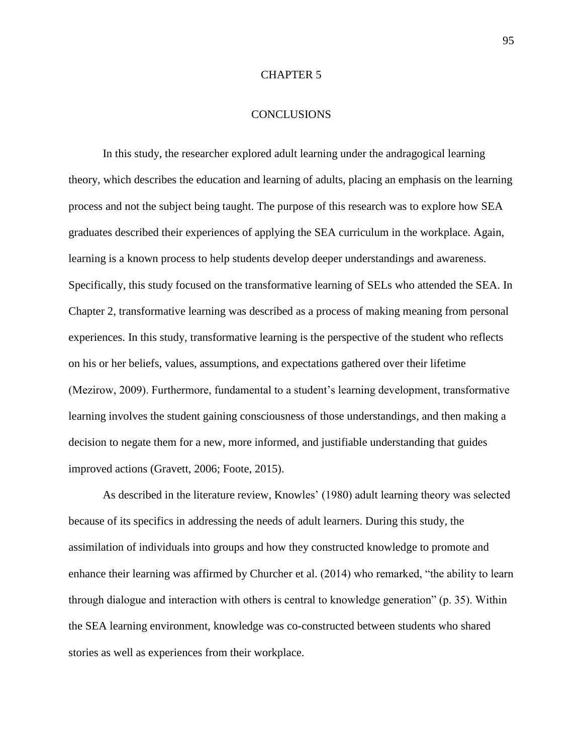## CHAPTER 5

# **CONCLUSIONS**

In this study, the researcher explored adult learning under the andragogical learning theory, which describes the education and learning of adults, placing an emphasis on the learning process and not the subject being taught. The purpose of this research was to explore how SEA graduates described their experiences of applying the SEA curriculum in the workplace. Again, learning is a known process to help students develop deeper understandings and awareness. Specifically, this study focused on the transformative learning of SELs who attended the SEA. In Chapter 2, transformative learning was described as a process of making meaning from personal experiences. In this study, transformative learning is the perspective of the student who reflects on his or her beliefs, values, assumptions, and expectations gathered over their lifetime (Mezirow, 2009). Furthermore, fundamental to a student's learning development, transformative learning involves the student gaining consciousness of those understandings, and then making a decision to negate them for a new, more informed, and justifiable understanding that guides improved actions (Gravett, 2006; Foote, 2015).

As described in the literature review, Knowles' (1980) adult learning theory was selected because of its specifics in addressing the needs of adult learners. During this study, the assimilation of individuals into groups and how they constructed knowledge to promote and enhance their learning was affirmed by Churcher et al. (2014) who remarked, "the ability to learn through dialogue and interaction with others is central to knowledge generation" (p. 35). Within the SEA learning environment, knowledge was co-constructed between students who shared stories as well as experiences from their workplace.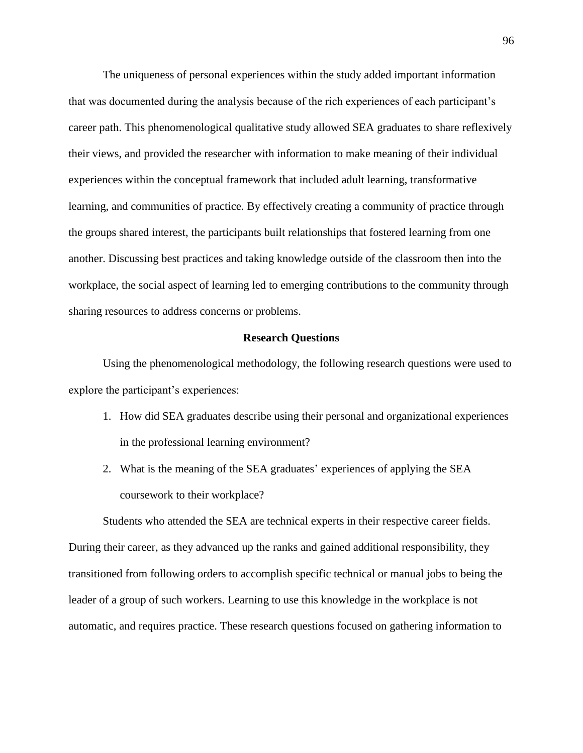The uniqueness of personal experiences within the study added important information that was documented during the analysis because of the rich experiences of each participant's career path. This phenomenological qualitative study allowed SEA graduates to share reflexively their views, and provided the researcher with information to make meaning of their individual experiences within the conceptual framework that included adult learning, transformative learning, and communities of practice. By effectively creating a community of practice through the groups shared interest, the participants built relationships that fostered learning from one another. Discussing best practices and taking knowledge outside of the classroom then into the workplace, the social aspect of learning led to emerging contributions to the community through sharing resources to address concerns or problems.

#### **Research Questions**

Using the phenomenological methodology, the following research questions were used to explore the participant's experiences:

- 1. How did SEA graduates describe using their personal and organizational experiences in the professional learning environment?
- 2. What is the meaning of the SEA graduates' experiences of applying the SEA coursework to their workplace?

Students who attended the SEA are technical experts in their respective career fields. During their career, as they advanced up the ranks and gained additional responsibility, they transitioned from following orders to accomplish specific technical or manual jobs to being the leader of a group of such workers. Learning to use this knowledge in the workplace is not automatic, and requires practice. These research questions focused on gathering information to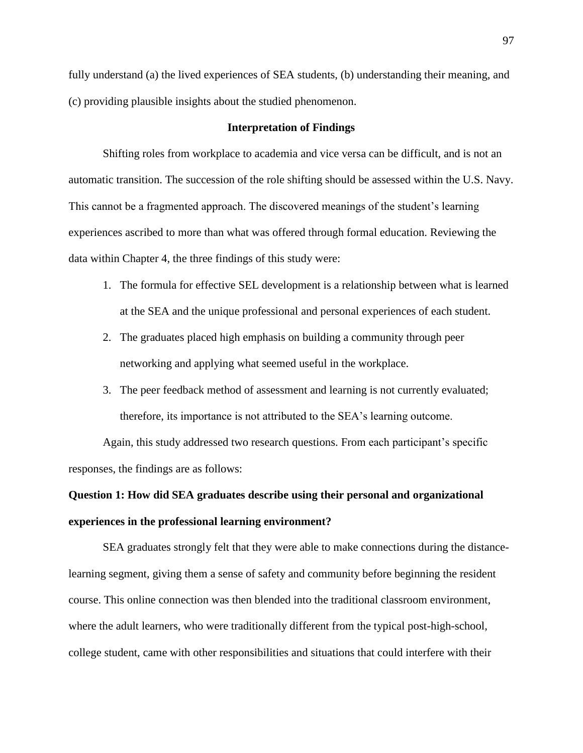fully understand (a) the lived experiences of SEA students, (b) understanding their meaning, and (c) providing plausible insights about the studied phenomenon.

## **Interpretation of Findings**

Shifting roles from workplace to academia and vice versa can be difficult, and is not an automatic transition. The succession of the role shifting should be assessed within the U.S. Navy. This cannot be a fragmented approach. The discovered meanings of the student's learning experiences ascribed to more than what was offered through formal education. Reviewing the data within Chapter 4, the three findings of this study were:

- 1. The formula for effective SEL development is a relationship between what is learned at the SEA and the unique professional and personal experiences of each student.
- 2. The graduates placed high emphasis on building a community through peer networking and applying what seemed useful in the workplace.
- 3. The peer feedback method of assessment and learning is not currently evaluated; therefore, its importance is not attributed to the SEA's learning outcome.

Again, this study addressed two research questions. From each participant's specific responses, the findings are as follows:

# **Question 1: How did SEA graduates describe using their personal and organizational experiences in the professional learning environment?**

SEA graduates strongly felt that they were able to make connections during the distancelearning segment, giving them a sense of safety and community before beginning the resident course. This online connection was then blended into the traditional classroom environment, where the adult learners, who were traditionally different from the typical post-high-school, college student, came with other responsibilities and situations that could interfere with their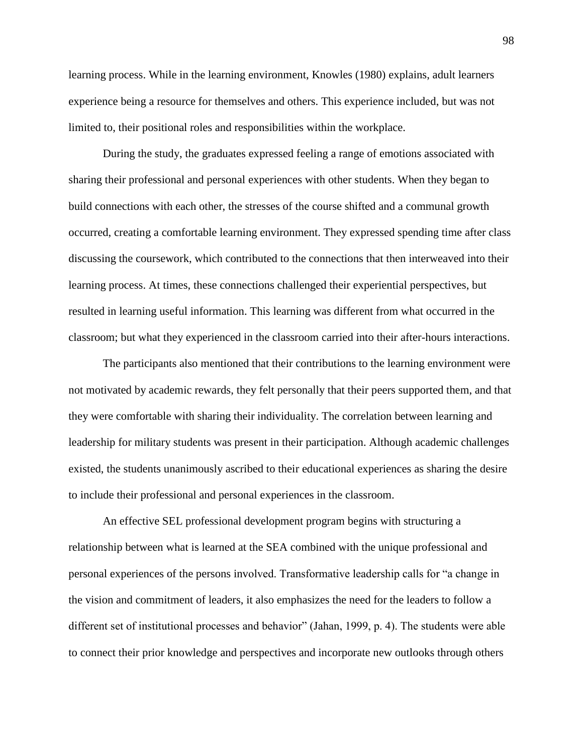learning process. While in the learning environment, Knowles (1980) explains, adult learners experience being a resource for themselves and others. This experience included, but was not limited to, their positional roles and responsibilities within the workplace.

During the study, the graduates expressed feeling a range of emotions associated with sharing their professional and personal experiences with other students. When they began to build connections with each other, the stresses of the course shifted and a communal growth occurred, creating a comfortable learning environment. They expressed spending time after class discussing the coursework, which contributed to the connections that then interweaved into their learning process. At times, these connections challenged their experiential perspectives, but resulted in learning useful information. This learning was different from what occurred in the classroom; but what they experienced in the classroom carried into their after-hours interactions.

The participants also mentioned that their contributions to the learning environment were not motivated by academic rewards, they felt personally that their peers supported them, and that they were comfortable with sharing their individuality. The correlation between learning and leadership for military students was present in their participation. Although academic challenges existed, the students unanimously ascribed to their educational experiences as sharing the desire to include their professional and personal experiences in the classroom.

An effective SEL professional development program begins with structuring a relationship between what is learned at the SEA combined with the unique professional and personal experiences of the persons involved. Transformative leadership calls for "a change in the vision and commitment of leaders, it also emphasizes the need for the leaders to follow a different set of institutional processes and behavior" (Jahan, 1999, p. 4). The students were able to connect their prior knowledge and perspectives and incorporate new outlooks through others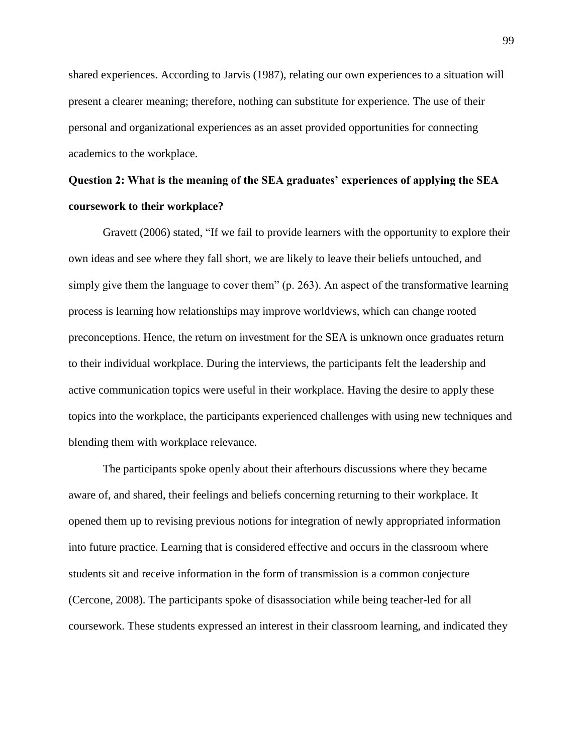shared experiences. According to Jarvis (1987), relating our own experiences to a situation will present a clearer meaning; therefore, nothing can substitute for experience. The use of their personal and organizational experiences as an asset provided opportunities for connecting academics to the workplace.

# **Question 2: What is the meaning of the SEA graduates' experiences of applying the SEA coursework to their workplace?**

Gravett (2006) stated, "If we fail to provide learners with the opportunity to explore their own ideas and see where they fall short, we are likely to leave their beliefs untouched, and simply give them the language to cover them" (p. 263). An aspect of the transformative learning process is learning how relationships may improve worldviews, which can change rooted preconceptions. Hence, the return on investment for the SEA is unknown once graduates return to their individual workplace. During the interviews, the participants felt the leadership and active communication topics were useful in their workplace. Having the desire to apply these topics into the workplace, the participants experienced challenges with using new techniques and blending them with workplace relevance.

The participants spoke openly about their afterhours discussions where they became aware of, and shared, their feelings and beliefs concerning returning to their workplace. It opened them up to revising previous notions for integration of newly appropriated information into future practice. Learning that is considered effective and occurs in the classroom where students sit and receive information in the form of transmission is a common conjecture (Cercone, 2008). The participants spoke of disassociation while being teacher-led for all coursework. These students expressed an interest in their classroom learning, and indicated they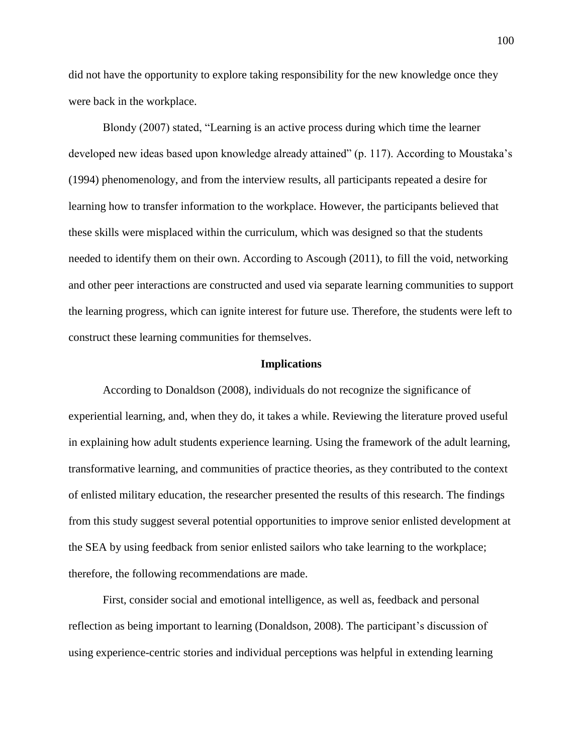did not have the opportunity to explore taking responsibility for the new knowledge once they were back in the workplace.

Blondy (2007) stated, "Learning is an active process during which time the learner developed new ideas based upon knowledge already attained" (p. 117). According to Moustaka's (1994) phenomenology, and from the interview results, all participants repeated a desire for learning how to transfer information to the workplace. However, the participants believed that these skills were misplaced within the curriculum, which was designed so that the students needed to identify them on their own. According to Ascough (2011), to fill the void, networking and other peer interactions are constructed and used via separate learning communities to support the learning progress, which can ignite interest for future use. Therefore, the students were left to construct these learning communities for themselves.

#### **Implications**

According to Donaldson (2008), individuals do not recognize the significance of experiential learning, and, when they do, it takes a while. Reviewing the literature proved useful in explaining how adult students experience learning. Using the framework of the adult learning, transformative learning, and communities of practice theories, as they contributed to the context of enlisted military education, the researcher presented the results of this research. The findings from this study suggest several potential opportunities to improve senior enlisted development at the SEA by using feedback from senior enlisted sailors who take learning to the workplace; therefore, the following recommendations are made.

First, consider social and emotional intelligence, as well as, feedback and personal reflection as being important to learning (Donaldson, 2008). The participant's discussion of using experience-centric stories and individual perceptions was helpful in extending learning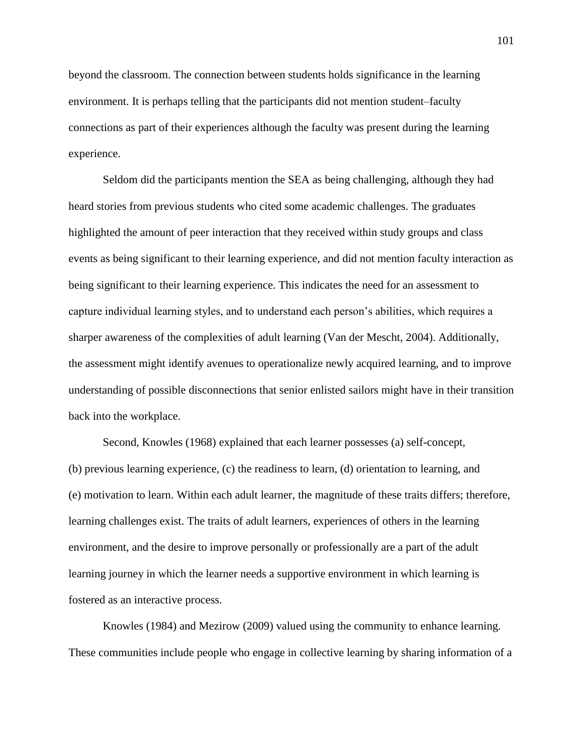beyond the classroom. The connection between students holds significance in the learning environment. It is perhaps telling that the participants did not mention student–faculty connections as part of their experiences although the faculty was present during the learning experience.

Seldom did the participants mention the SEA as being challenging, although they had heard stories from previous students who cited some academic challenges. The graduates highlighted the amount of peer interaction that they received within study groups and class events as being significant to their learning experience, and did not mention faculty interaction as being significant to their learning experience. This indicates the need for an assessment to capture individual learning styles, and to understand each person's abilities, which requires a sharper awareness of the complexities of adult learning (Van der Mescht, 2004). Additionally, the assessment might identify avenues to operationalize newly acquired learning, and to improve understanding of possible disconnections that senior enlisted sailors might have in their transition back into the workplace.

Second, Knowles (1968) explained that each learner possesses (a) self-concept, (b) previous learning experience, (c) the readiness to learn, (d) orientation to learning, and (e) motivation to learn. Within each adult learner, the magnitude of these traits differs; therefore, learning challenges exist. The traits of adult learners, experiences of others in the learning environment, and the desire to improve personally or professionally are a part of the adult learning journey in which the learner needs a supportive environment in which learning is fostered as an interactive process.

Knowles (1984) and Mezirow (2009) valued using the community to enhance learning. These communities include people who engage in collective learning by sharing information of a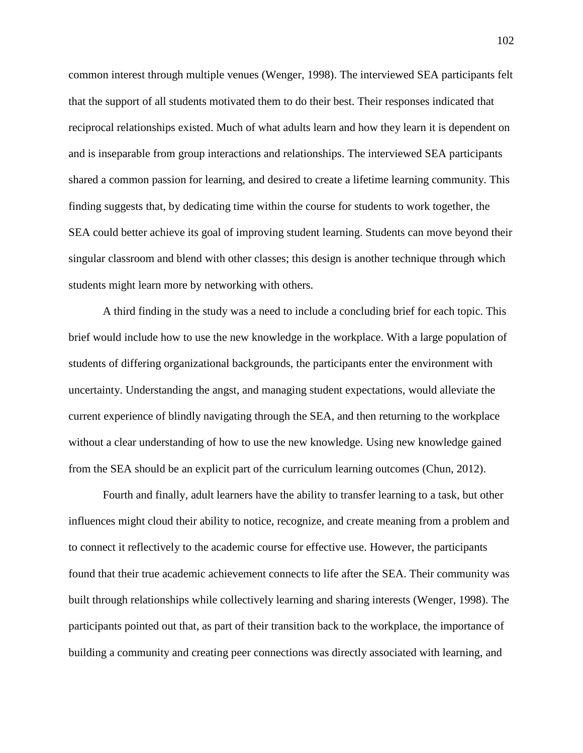common interest through multiple venues (Wenger, 1998). The interviewed SEA participants felt that the support of all students motivated them to do their best. Their responses indicated that reciprocal relationships existed. Much of what adults learn and how they learn it is dependent on and is inseparable from group interactions and relationships. The interviewed SEA participants shared a common passion for learning, and desired to create a lifetime learning community. This finding suggests that, by dedicating time within the course for students to work together, the SEA could better achieve its goal of improving student learning. Students can move beyond their singular classroom and blend with other classes; this design is another technique through which students might learn more by networking with others.

A third finding in the study was a need to include a concluding brief for each topic. This brief would include how to use the new knowledge in the workplace. With a large population of students of differing organizational backgrounds, the participants enter the environment with uncertainty. Understanding the angst, and managing student expectations, would alleviate the current experience of blindly navigating through the SEA, and then returning to the workplace without a clear understanding of how to use the new knowledge. Using new knowledge gained from the SEA should be an explicit part of the curriculum learning outcomes (Chun, 2012).

Fourth and finally, adult learners have the ability to transfer learning to a task, but other influences might cloud their ability to notice, recognize, and create meaning from a problem and to connect it reflectively to the academic course for effective use. However, the participants found that their true academic achievement connects to life after the SEA. Their community was built through relationships while collectively learning and sharing interests (Wenger, 1998). The participants pointed out that, as part of their transition back to the workplace, the importance of building a community and creating peer connections was directly associated with learning, and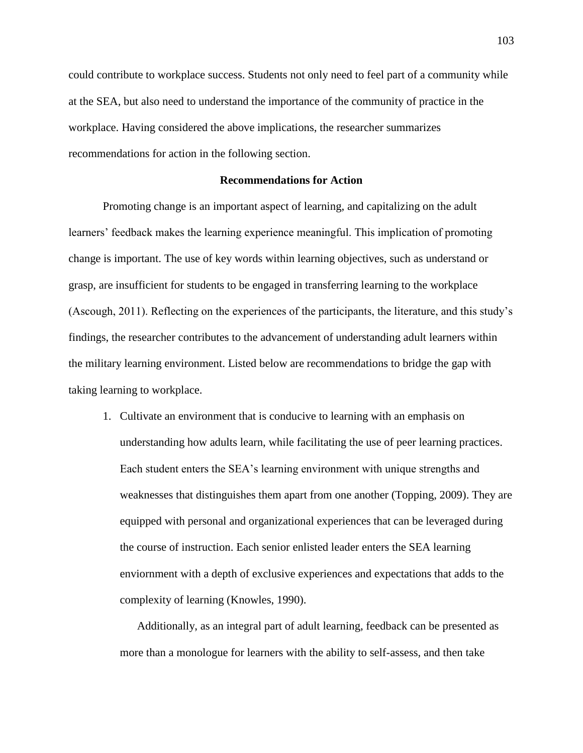could contribute to workplace success. Students not only need to feel part of a community while at the SEA, but also need to understand the importance of the community of practice in the workplace. Having considered the above implications, the researcher summarizes recommendations for action in the following section.

### **Recommendations for Action**

Promoting change is an important aspect of learning, and capitalizing on the adult learners' feedback makes the learning experience meaningful. This implication of promoting change is important. The use of key words within learning objectives, such as understand or grasp, are insufficient for students to be engaged in transferring learning to the workplace (Ascough, 2011). Reflecting on the experiences of the participants, the literature, and this study's findings, the researcher contributes to the advancement of understanding adult learners within the military learning environment. Listed below are recommendations to bridge the gap with taking learning to workplace.

1. Cultivate an environment that is conducive to learning with an emphasis on understanding how adults learn, while facilitating the use of peer learning practices. Each student enters the SEA's learning environment with unique strengths and weaknesses that distinguishes them apart from one another (Topping, 2009). They are equipped with personal and organizational experiences that can be leveraged during the course of instruction. Each senior enlisted leader enters the SEA learning enviornment with a depth of exclusive experiences and expectations that adds to the complexity of learning (Knowles, 1990).

Additionally, as an integral part of adult learning, feedback can be presented as more than a monologue for learners with the ability to self-assess, and then take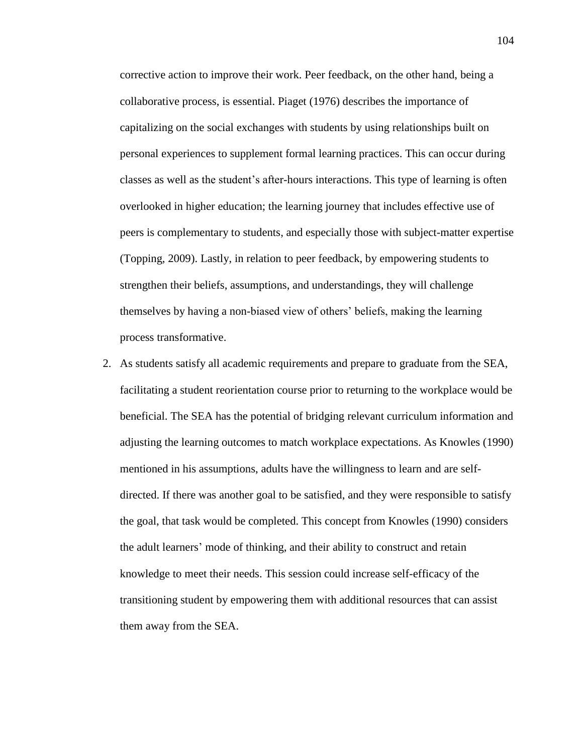corrective action to improve their work. Peer feedback, on the other hand, being a collaborative process, is essential. Piaget (1976) describes the importance of capitalizing on the social exchanges with students by using relationships built on personal experiences to supplement formal learning practices. This can occur during classes as well as the student's after-hours interactions. This type of learning is often overlooked in higher education; the learning journey that includes effective use of peers is complementary to students, and especially those with subject-matter expertise (Topping, 2009). Lastly, in relation to peer feedback, by empowering students to strengthen their beliefs, assumptions, and understandings, they will challenge themselves by having a non-biased view of others' beliefs, making the learning process transformative.

2. As students satisfy all academic requirements and prepare to graduate from the SEA, facilitating a student reorientation course prior to returning to the workplace would be beneficial. The SEA has the potential of bridging relevant curriculum information and adjusting the learning outcomes to match workplace expectations. As Knowles (1990) mentioned in his assumptions, adults have the willingness to learn and are selfdirected. If there was another goal to be satisfied, and they were responsible to satisfy the goal, that task would be completed. This concept from Knowles (1990) considers the adult learners' mode of thinking, and their ability to construct and retain knowledge to meet their needs. This session could increase self-efficacy of the transitioning student by empowering them with additional resources that can assist them away from the SEA.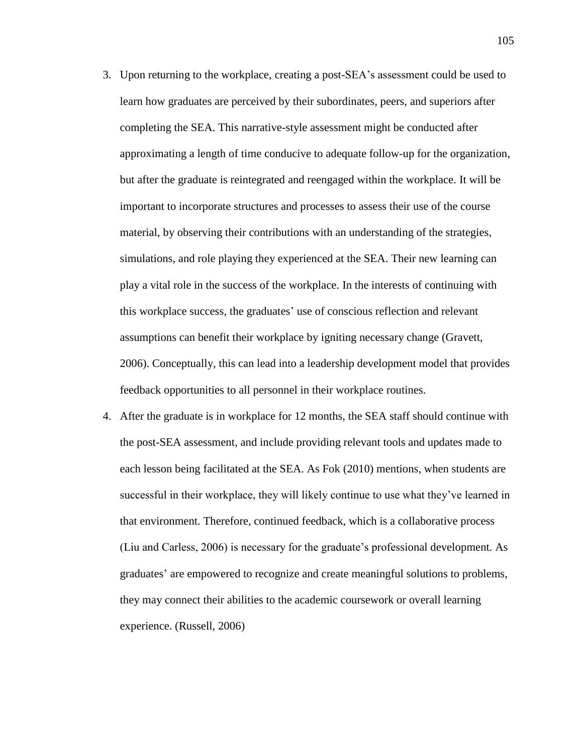- 3. Upon returning to the workplace, creating a post-SEA's assessment could be used to learn how graduates are perceived by their subordinates, peers, and superiors after completing the SEA. This narrative-style assessment might be conducted after approximating a length of time conducive to adequate follow-up for the organization, but after the graduate is reintegrated and reengaged within the workplace. It will be important to incorporate structures and processes to assess their use of the course material, by observing their contributions with an understanding of the strategies, simulations, and role playing they experienced at the SEA. Their new learning can play a vital role in the success of the workplace. In the interests of continuing with this workplace success, the graduates' use of conscious reflection and relevant assumptions can benefit their workplace by igniting necessary change (Gravett, 2006). Conceptually, this can lead into a leadership development model that provides feedback opportunities to all personnel in their workplace routines.
- 4. After the graduate is in workplace for 12 months, the SEA staff should continue with the post-SEA assessment, and include providing relevant tools and updates made to each lesson being facilitated at the SEA. As Fok (2010) mentions, when students are successful in their workplace, they will likely continue to use what they've learned in that environment. Therefore, continued feedback, which is a collaborative process (Liu and Carless, 2006) is necessary for the graduate's professional development. As graduates' are empowered to recognize and create meaningful solutions to problems, they may connect their abilities to the academic coursework or overall learning experience. (Russell, 2006)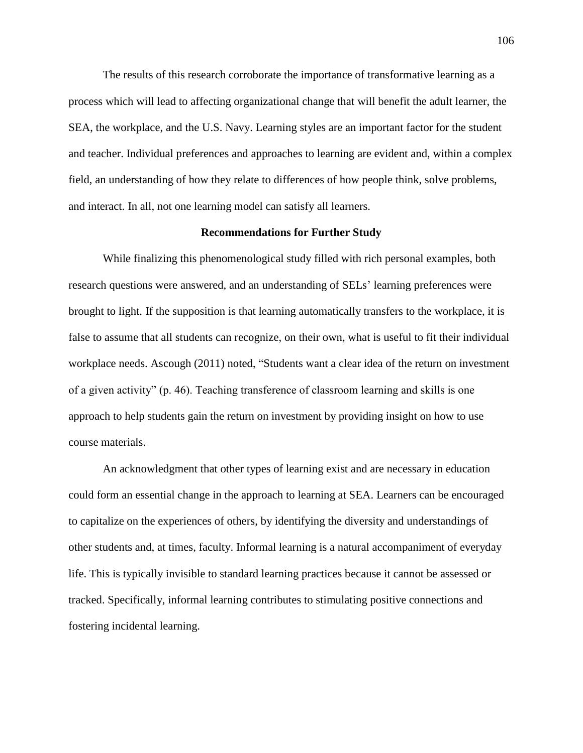The results of this research corroborate the importance of transformative learning as a process which will lead to affecting organizational change that will benefit the adult learner, the SEA, the workplace, and the U.S. Navy. Learning styles are an important factor for the student and teacher. Individual preferences and approaches to learning are evident and, within a complex field, an understanding of how they relate to differences of how people think, solve problems, and interact. In all, not one learning model can satisfy all learners.

#### **Recommendations for Further Study**

While finalizing this phenomenological study filled with rich personal examples, both research questions were answered, and an understanding of SELs' learning preferences were brought to light. If the supposition is that learning automatically transfers to the workplace, it is false to assume that all students can recognize, on their own, what is useful to fit their individual workplace needs. Ascough (2011) noted, "Students want a clear idea of the return on investment of a given activity" (p. 46). Teaching transference of classroom learning and skills is one approach to help students gain the return on investment by providing insight on how to use course materials.

An acknowledgment that other types of learning exist and are necessary in education could form an essential change in the approach to learning at SEA. Learners can be encouraged to capitalize on the experiences of others, by identifying the diversity and understandings of other students and, at times, faculty. Informal learning is a natural accompaniment of everyday life. This is typically invisible to standard learning practices because it cannot be assessed or tracked. Specifically, informal learning contributes to stimulating positive connections and fostering incidental learning.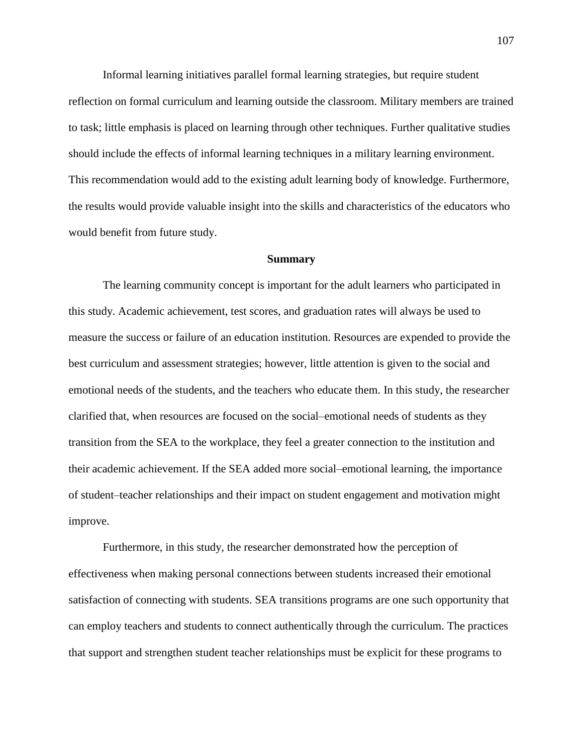Informal learning initiatives parallel formal learning strategies, but require student reflection on formal curriculum and learning outside the classroom. Military members are trained to task; little emphasis is placed on learning through other techniques. Further qualitative studies should include the effects of informal learning techniques in a military learning environment. This recommendation would add to the existing adult learning body of knowledge. Furthermore, the results would provide valuable insight into the skills and characteristics of the educators who would benefit from future study.

#### **Summary**

The learning community concept is important for the adult learners who participated in this study. Academic achievement, test scores, and graduation rates will always be used to measure the success or failure of an education institution. Resources are expended to provide the best curriculum and assessment strategies; however, little attention is given to the social and emotional needs of the students, and the teachers who educate them. In this study, the researcher clarified that, when resources are focused on the social–emotional needs of students as they transition from the SEA to the workplace, they feel a greater connection to the institution and their academic achievement. If the SEA added more social–emotional learning, the importance of student–teacher relationships and their impact on student engagement and motivation might improve.

Furthermore, in this study, the researcher demonstrated how the perception of effectiveness when making personal connections between students increased their emotional satisfaction of connecting with students. SEA transitions programs are one such opportunity that can employ teachers and students to connect authentically through the curriculum. The practices that support and strengthen student teacher relationships must be explicit for these programs to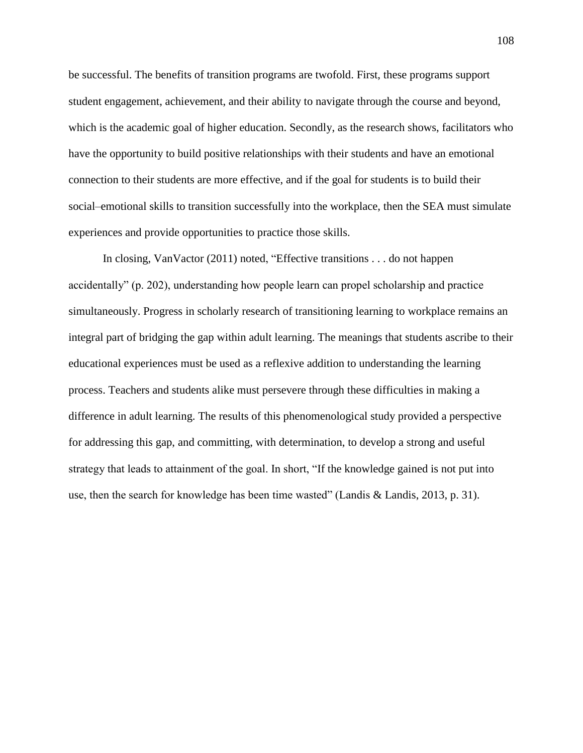be successful. The benefits of transition programs are twofold. First, these programs support student engagement, achievement, and their ability to navigate through the course and beyond, which is the academic goal of higher education. Secondly, as the research shows, facilitators who have the opportunity to build positive relationships with their students and have an emotional connection to their students are more effective, and if the goal for students is to build their social–emotional skills to transition successfully into the workplace, then the SEA must simulate experiences and provide opportunities to practice those skills.

In closing, VanVactor (2011) noted, "Effective transitions . . . do not happen accidentally" (p. 202), understanding how people learn can propel scholarship and practice simultaneously. Progress in scholarly research of transitioning learning to workplace remains an integral part of bridging the gap within adult learning. The meanings that students ascribe to their educational experiences must be used as a reflexive addition to understanding the learning process. Teachers and students alike must persevere through these difficulties in making a difference in adult learning. The results of this phenomenological study provided a perspective for addressing this gap, and committing, with determination, to develop a strong and useful strategy that leads to attainment of the goal. In short, "If the knowledge gained is not put into use, then the search for knowledge has been time wasted" (Landis & Landis, 2013, p. 31).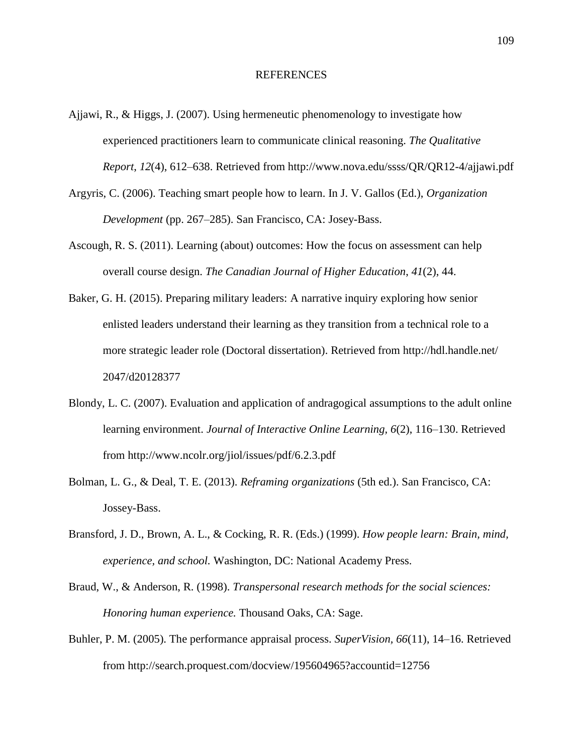#### REFERENCES

- Ajjawi, R., & Higgs, J. (2007). Using hermeneutic phenomenology to investigate how experienced practitioners learn to communicate clinical reasoning. *The Qualitative Report*, *12*(4), 612–638. Retrieved from http://www.nova.edu/ssss/QR/QR12-4/ajjawi.pdf
- Argyris, C. (2006). Teaching smart people how to learn. In J. V. Gallos (Ed.), *Organization Development* (pp. 267–285). San Francisco, CA: Josey-Bass.
- Ascough, R. S. (2011). Learning (about) outcomes: How the focus on assessment can help overall course design. *The Canadian Journal of Higher Education*, *41*(2), 44.
- Baker, G. H. (2015). Preparing military leaders: A narrative inquiry exploring how senior enlisted leaders understand their learning as they transition from a technical role to a more strategic leader role (Doctoral dissertation). Retrieved from http://hdl.handle.net/ 2047/d20128377
- Blondy, L. C. (2007). Evaluation and application of andragogical assumptions to the adult online learning environment. *Journal of Interactive Online Learning, 6*(2), 116–130. Retrieved from http://www.ncolr.org/jiol/issues/pdf/6.2.3.pdf
- Bolman, L. G., & Deal, T. E. (2013). *Reframing organizations* (5th ed.). San Francisco, CA: Jossey-Bass.
- Bransford, J. D., Brown, A. L., & Cocking, R. R. (Eds.) (1999). *How people learn: Brain, mind, experience, and school.* Washington, DC: National Academy Press.
- Braud, W., & Anderson, R. (1998). *Transpersonal research methods for the social sciences: Honoring human experience.* Thousand Oaks, CA: Sage.
- Buhler, P. M. (2005). The performance appraisal process. *SuperVision, 66*(11), 14–16. Retrieved from http://search.proquest.com/docview/195604965?accountid=12756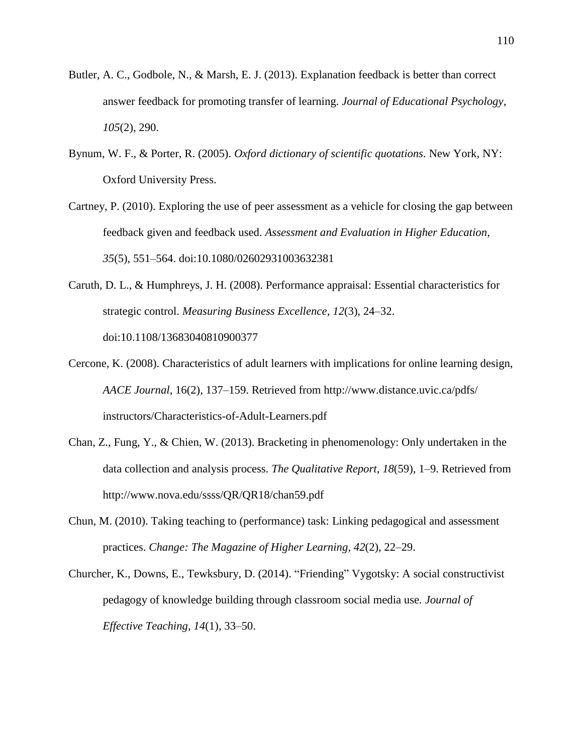- Butler, A. C., Godbole, N., & Marsh, E. J. (2013). Explanation feedback is better than correct answer feedback for promoting transfer of learning. *Journal of Educational Psychology*, *105*(2), 290.
- Bynum, W. F., & Porter, R. (2005). *Oxford dictionary of scientific quotations*. New York, NY: Oxford University Press.
- Cartney, P. (2010). Exploring the use of peer assessment as a vehicle for closing the gap between feedback given and feedback used. *Assessment and Evaluation in Higher Education*, *35*(5), 551–564. doi:10.1080/02602931003632381
- Caruth, D. L., & Humphreys, J. H. (2008). Performance appraisal: Essential characteristics for strategic control. *Measuring Business Excellence*, *12*(3), 24–32. doi:10.1108/13683040810900377
- Cercone, K. (2008). Characteristics of adult learners with implications for online learning design, *AACE Journal*, 16(2), 137–159. Retrieved from http://www.distance.uvic.ca/pdfs/ instructors/Characteristics-of-Adult-Learners.pdf
- Chan, Z., Fung, Y., & Chien, W. (2013). Bracketing in phenomenology: Only undertaken in the data collection and analysis process. *The Qualitative Report*, *18*(59), 1–9. Retrieved from http://www.nova.edu/ssss/QR/QR18/chan59.pdf
- Chun, M. (2010). Taking teaching to (performance) task: Linking pedagogical and assessment practices. *Change: The Magazine of Higher Learning*, *42*(2), 22–29.
- Churcher, K., Downs, E., Tewksbury, D. (2014). "Friending" Vygotsky: A social constructivist pedagogy of knowledge building through classroom social media use*. Journal of Effective Teaching, 14*(1), 33–50.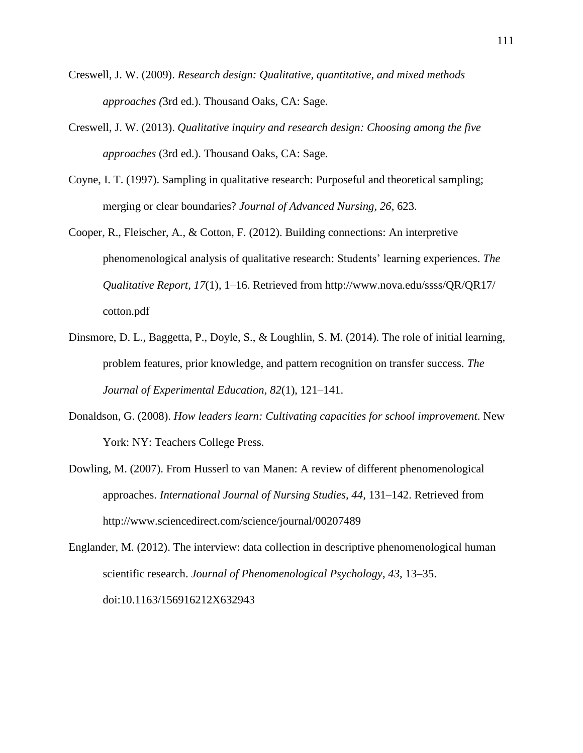- Creswell, J. W. (2009). *Research design: Qualitative, quantitative, and mixed methods approaches (*3rd ed.). Thousand Oaks, CA: Sage.
- Creswell, J. W. (2013). *Qualitative inquiry and research design: Choosing among the five approaches* (3rd ed.). Thousand Oaks, CA: Sage.
- Coyne, I. T. (1997). Sampling in qualitative research: Purposeful and theoretical sampling; merging or clear boundaries? *Journal of Advanced Nursing, 26*, 623.
- Cooper, R., Fleischer, A., & Cotton, F. (2012). Building connections: An interpretive phenomenological analysis of qualitative research: Students' learning experiences. *The Qualitative Report, 17*(1), 1–16. Retrieved from http://www.nova.edu/ssss/QR/QR17/ cotton.pdf
- Dinsmore, D. L., Baggetta, P., Doyle, S., & Loughlin, S. M. (2014). The role of initial learning, problem features, prior knowledge, and pattern recognition on transfer success. *The Journal of Experimental Education, 82*(1), 121–141.
- Donaldson, G. (2008). *How leaders learn: Cultivating capacities for school improvement*. New York: NY: Teachers College Press.
- Dowling, M. (2007). From Husserl to van Manen: A review of different phenomenological approaches. *International Journal of Nursing Studies, 44*, 131–142. Retrieved from http://www.sciencedirect.com/science/journal/00207489

Englander, M. (2012). The interview: data collection in descriptive phenomenological human scientific research. *Journal of Phenomenological Psychology*, *43*, 13–35. doi:10.1163/156916212X632943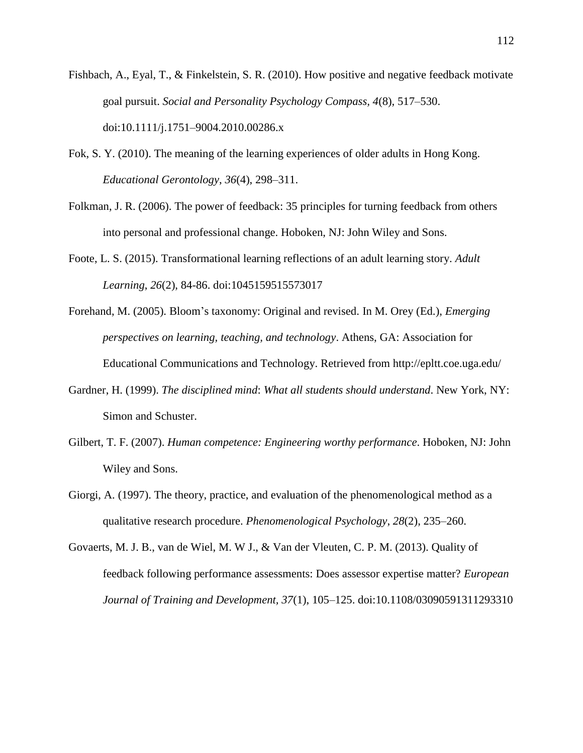- Fishbach, A., Eyal, T., & Finkelstein, S. R. (2010). How positive and negative feedback motivate goal pursuit. *Social and Personality Psychology Compass, 4*(8), 517–530. doi:10.1111/j.1751–9004.2010.00286.x
- Fok, S. Y. (2010). The meaning of the learning experiences of older adults in Hong Kong. *Educational Gerontology*, *36*(4), 298–311.
- Folkman, J. R. (2006). The power of feedback: 35 principles for turning feedback from others into personal and professional change. Hoboken, NJ: John Wiley and Sons.
- Foote, L. S. (2015). Transformational learning reflections of an adult learning story. *Adult Learning*, *26*(2), 84-86. doi:1045159515573017
- Forehand, M. (2005). Bloom's taxonomy: Original and revised. In M. Orey (Ed.), *Emerging perspectives on learning, teaching, and technology*. Athens, GA: Association for Educational Communications and Technology. Retrieved from http://epltt.coe.uga.edu/
- Gardner, H. (1999). *The disciplined mind*: *What all students should understand*. New York, NY: Simon and Schuster.
- Gilbert, T. F. (2007). *Human competence: Engineering worthy performance*. Hoboken, NJ: John Wiley and Sons.
- Giorgi, A. (1997). The theory, practice, and evaluation of the phenomenological method as a qualitative research procedure. *Phenomenological Psychology*, *28*(2), 235–260.
- Govaerts, M. J. B., van de Wiel, M. W J., & Van der Vleuten, C. P. M. (2013). Quality of feedback following performance assessments: Does assessor expertise matter? *European Journal of Training and Development, 37*(1), 105–125. doi:10.1108/03090591311293310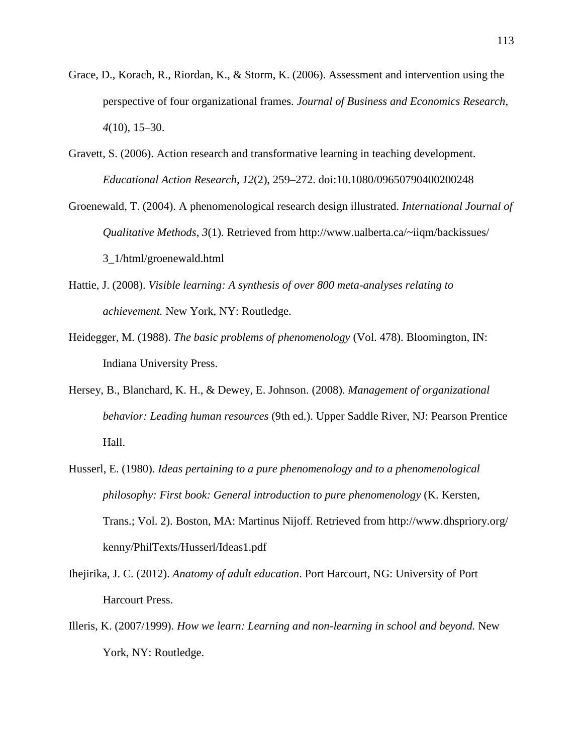- Grace, D., Korach, R., Riordan, K., & Storm, K. (2006). Assessment and intervention using the perspective of four organizational frames. *Journal of Business and Economics Research*, *4*(10), 15–30.
- Gravett, S. (2006). Action research and transformative learning in teaching development. *Educational Action Research*, *12*(2), 259–272. doi:10.1080/09650790400200248
- Groenewald, T. (2004). A phenomenological research design illustrated. *International Journal of Qualitative Methods*, *3*(1). Retrieved from http://www.ualberta.ca/~iiqm/backissues/ 3\_1/html/groenewald.html
- Hattie, J. (2008). *Visible learning: A synthesis of over 800 meta-analyses relating to achievement.* New York, NY: Routledge.
- Heidegger, M. (1988). *The basic problems of phenomenology* (Vol. 478). Bloomington, IN: Indiana University Press.
- Hersey, B., Blanchard, K. H., & Dewey, E. Johnson. (2008). *Management of organizational behavior: Leading human resources* (9th ed.). Upper Saddle River, NJ: Pearson Prentice Hall.
- Husserl, E. (1980). *Ideas pertaining to a pure phenomenology and to a phenomenological philosophy: First book: General introduction to pure phenomenology* (K. Kersten, Trans.; Vol. 2). Boston, MA: Martinus Nijoff. Retrieved from http://www.dhspriory.org/ kenny/PhilTexts/Husserl/Ideas1.pdf
- Ihejirika, J. C. (2012). *Anatomy of adult education*. Port Harcourt, NG: University of Port Harcourt Press.
- Illeris, K. (2007/1999). *How we learn: Learning and non-learning in school and beyond.* New York, NY: Routledge.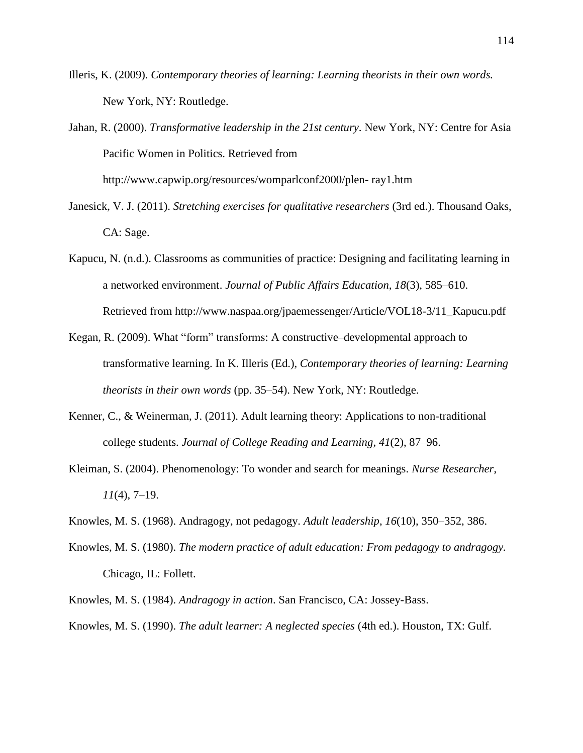- Illeris, K. (2009). *Contemporary theories of learning: Learning theorists in their own words.* New York, NY: Routledge.
- Jahan, R. (2000). *Transformative leadership in the 21st century*. New York, NY: Centre for Asia Pacific Women in Politics. Retrieved from

http://www.capwip.org/resources/womparlconf2000/plen- ray1.htm

- Janesick, V. J. (2011). *Stretching exercises for qualitative researchers* (3rd ed.). Thousand Oaks, CA: Sage.
- Kapucu, N. (n.d.). Classrooms as communities of practice: Designing and facilitating learning in a networked environment. *Journal of Public Affairs Education, 18*(3), 585–610. Retrieved from http://www.naspaa.org/jpaemessenger/Article/VOL18-3/11\_Kapucu.pdf
- Kegan, R. (2009). What "form" transforms: A constructive–developmental approach to transformative learning. In K. Illeris (Ed.), *Contemporary theories of learning: Learning theorists in their own words* (pp. 35–54). New York, NY: Routledge.
- Kenner, C., & Weinerman, J. (2011). Adult learning theory: Applications to non-traditional college students. *Journal of College Reading and Learning*, *41*(2), 87–96.
- Kleiman, S. (2004). Phenomenology: To wonder and search for meanings. *Nurse Researcher*, *11*(4), 7–19.
- Knowles, M. S. (1968). Andragogy, not pedagogy. *Adult leadership*, *16*(10), 350–352, 386.
- Knowles, M. S. (1980). *The modern practice of adult education: From pedagogy to andragogy.*  Chicago, IL: Follett.
- Knowles, M. S. (1984). *Andragogy in action*. San Francisco, CA: Jossey-Bass.
- Knowles, M. S. (1990). *The adult learner: A neglected species* (4th ed.). Houston, TX: Gulf.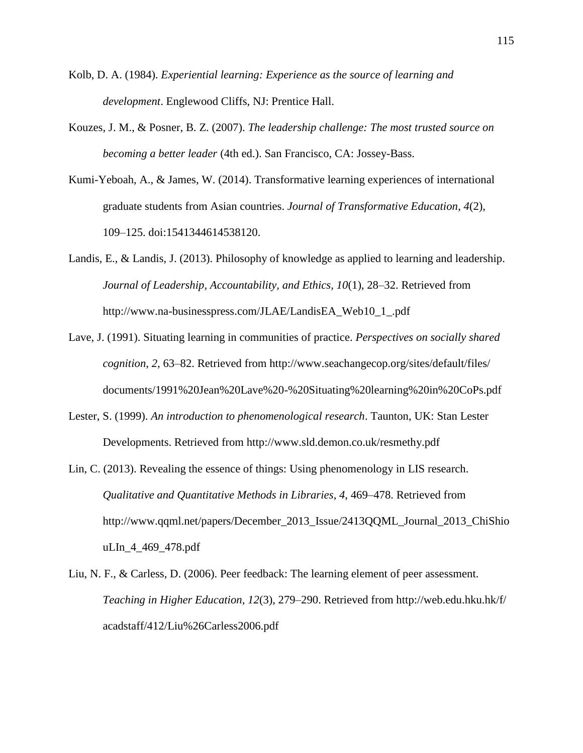- Kolb, D. A. (1984). *Experiential learning: Experience as the source of learning and development*. Englewood Cliffs, NJ: Prentice Hall.
- Kouzes, J. M., & Posner, B. Z. (2007). *The leadership challenge: The most trusted source on becoming a better leader* (4th ed.). San Francisco, CA: Jossey-Bass.
- Kumi-Yeboah, A., & James, W. (2014). Transformative learning experiences of international graduate students from Asian countries. *Journal of Transformative Education*, *4*(2), 109–125. doi:1541344614538120.
- Landis, E., & Landis, J. (2013). Philosophy of knowledge as applied to learning and leadership. *Journal of Leadership, Accountability, and Ethics, 10*(1), 28–32. Retrieved from http://www.na-businesspress.com/JLAE/LandisEA\_Web10\_1\_.pdf
- Lave, J. (1991). Situating learning in communities of practice. *Perspectives on socially shared cognition*, *2*, 63–82. Retrieved from http://www.seachangecop.org/sites/default/files/ documents/1991%20Jean%20Lave%20-%20Situating%20learning%20in%20CoPs.pdf
- Lester, S. (1999). *An introduction to phenomenological research*. Taunton, UK: Stan Lester Developments. Retrieved from http://www.sld.demon.co.uk/resmethy.pdf
- Lin, C. (2013). Revealing the essence of things: Using phenomenology in LIS research. *Qualitative and Quantitative Methods in Libraries*, *4*, 469–478. Retrieved from http://www.qqml.net/papers/December\_2013\_Issue/2413QQML\_Journal\_2013\_ChiShio uLIn\_4\_469\_478.pdf
- Liu, N. F., & Carless, D. (2006). Peer feedback: The learning element of peer assessment. *Teaching in Higher Education, 12*(3), 279–290. Retrieved from http://web.edu.hku.hk/f/ acadstaff/412/Liu%26Carless2006.pdf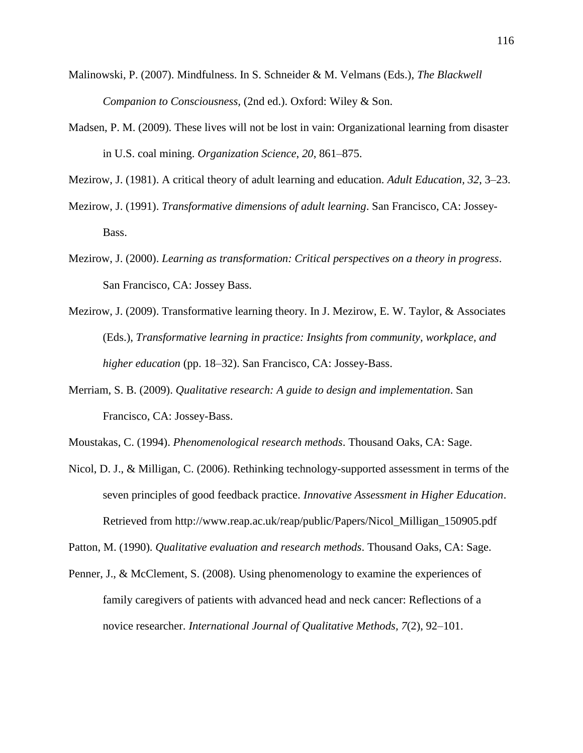- Malinowski, P. (2007). Mindfulness. In S. Schneider & M. Velmans (Eds.), *The Blackwell Companion to Consciousness,* (2nd ed.). Oxford: Wiley & Son.
- Madsen, P. M. (2009). These lives will not be lost in vain: Organizational learning from disaster in U.S. coal mining. *Organization Science*, *20*, 861–875.

Mezirow, J. (1981). A critical theory of adult learning and education. *Adult Education, 32*, 3–23.

- Mezirow, J. (1991). *Transformative dimensions of adult learning*. San Francisco, CA: Jossey-Bass.
- Mezirow, J. (2000). *Learning as transformation: Critical perspectives on a theory in progress*. San Francisco, CA: Jossey Bass.
- Mezirow, J. (2009). Transformative learning theory. In J. Mezirow, E. W. Taylor, & Associates (Eds.), *Transformative learning in practice: Insights from community, workplace, and higher education* (pp. 18–32). San Francisco, CA: Jossey-Bass.
- Merriam, S. B. (2009). *Qualitative research: A guide to design and implementation*. San Francisco, CA: Jossey-Bass.
- Moustakas, C. (1994). *Phenomenological research methods*. Thousand Oaks, CA: Sage.
- Nicol, D. J., & Milligan, C. (2006). Rethinking technology-supported assessment in terms of the seven principles of good feedback practice. *Innovative Assessment in Higher Education*. Retrieved from http://www.reap.ac.uk/reap/public/Papers/Nicol\_Milligan\_150905.pdf

Patton, M. (1990). *Qualitative evaluation and research methods*. Thousand Oaks, CA: Sage.

Penner, J., & McClement, S. (2008). Using phenomenology to examine the experiences of family caregivers of patients with advanced head and neck cancer: Reflections of a novice researcher. *International Journal of Qualitative Methods, 7*(2), 92–101.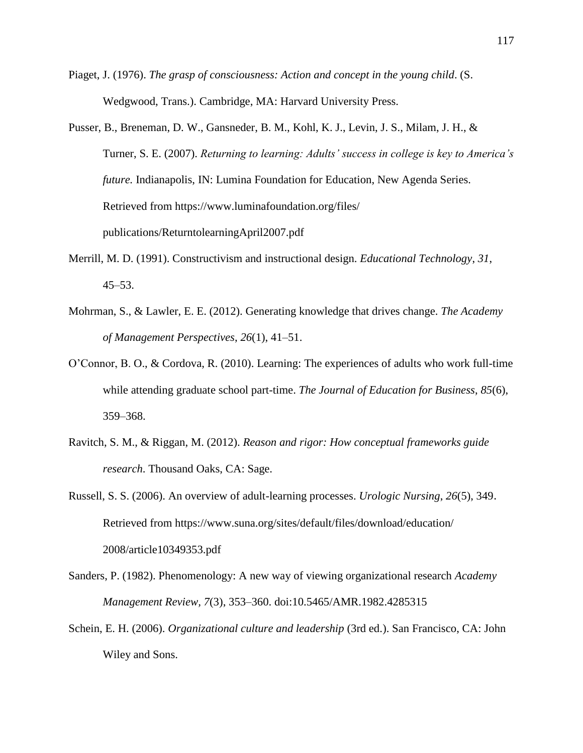- Piaget, J. (1976). *The grasp of consciousness: Action and concept in the young child*. (S. Wedgwood, Trans.). Cambridge, MA: Harvard University Press.
- Pusser, B., Breneman, D. W., Gansneder, B. M., Kohl, K. J., Levin, J. S., Milam, J. H., & Turner, S. E. (2007). *Returning to learning: Adults' success in college is key to America's future.* Indianapolis, IN: Lumina Foundation for Education, New Agenda Series. Retrieved from https://www.luminafoundation.org/files/ publications/ReturntolearningApril2007.pdf
- Merrill, M. D. (1991). Constructivism and instructional design. *Educational Technology*, *31*, 45–53.
- Mohrman, S., & Lawler, E. E. (2012). Generating knowledge that drives change. *The Academy of Management Perspectives*, *26*(1), 41–51.
- O'Connor, B. O., & Cordova, R. (2010). Learning: The experiences of adults who work full-time while attending graduate school part-time. *The Journal of Education for Business*, *85*(6), 359–368.
- Ravitch, S. M., & Riggan, M. (2012). *Reason and rigor: How conceptual frameworks guide research*. Thousand Oaks, CA: Sage.
- Russell, S. S. (2006). An overview of adult-learning processes. *Urologic Nursing*, *26*(5), 349. Retrieved from https://www.suna.org/sites/default/files/download/education/ 2008/article10349353.pdf
- Sanders, P. (1982). Phenomenology: A new way of viewing organizational research *Academy Management Review, 7*(3), 353–360. doi:10.5465/AMR.1982.4285315
- Schein, E. H. (2006). *Organizational culture and leadership* (3rd ed.). San Francisco, CA: John Wiley and Sons.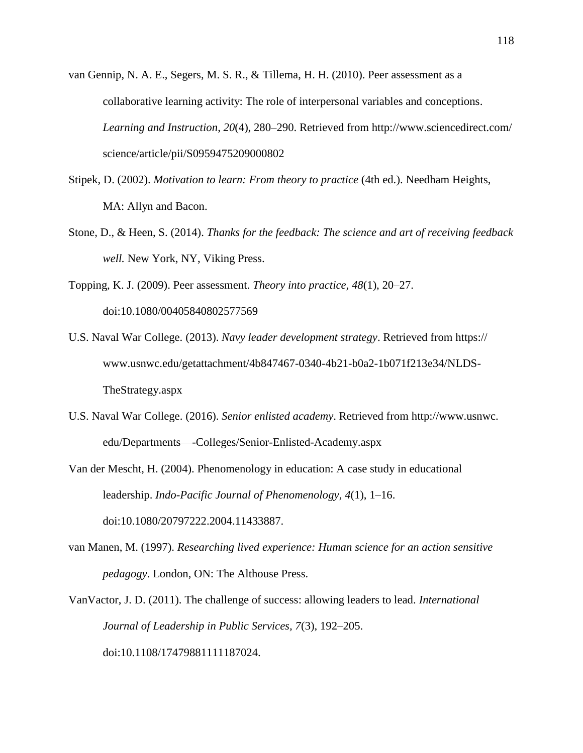van Gennip, N. A. E., Segers, M. S. R., & Tillema, H. H. (2010). Peer assessment as a collaborative learning activity: The role of interpersonal variables and conceptions. *Learning and Instruction*, *20*(4), 280–290. Retrieved from http://www.sciencedirect.com/ science/article/pii/S0959475209000802

- Stipek, D. (2002). *Motivation to learn: From theory to practice* (4th ed.). Needham Heights, MA: Allyn and Bacon.
- Stone, D., & Heen, S. (2014). *Thanks for the feedback: The science and art of receiving feedback well.* New York, NY, Viking Press.
- Topping, K. J. (2009). Peer assessment. *Theory into practice, 48*(1), 20–27. doi:10.1080/00405840802577569
- U.S. Naval War College. (2013). *Navy leader development strategy*. Retrieved from https:// www.usnwc.edu/getattachment/4b847467-0340-4b21-b0a2-1b071f213e34/NLDS-TheStrategy.aspx
- U.S. Naval War College. (2016). *Senior enlisted academy*. Retrieved from http://www.usnwc. edu/Departments—-Colleges/Senior-Enlisted-Academy.aspx
- Van der Mescht, H. (2004). Phenomenology in education: A case study in educational leadership. *Indo-Pacific Journal of Phenomenology, 4*(1), 1–16. doi:10.1080/20797222.2004.11433887.
- van Manen, M. (1997). *Researching lived experience: Human science for an action sensitive pedagogy*. London, ON: The Althouse Press.
- VanVactor, J. D. (2011). The challenge of success: allowing leaders to lead. *International Journal of Leadership in Public Services, 7*(3), 192–205. doi:10.1108/17479881111187024.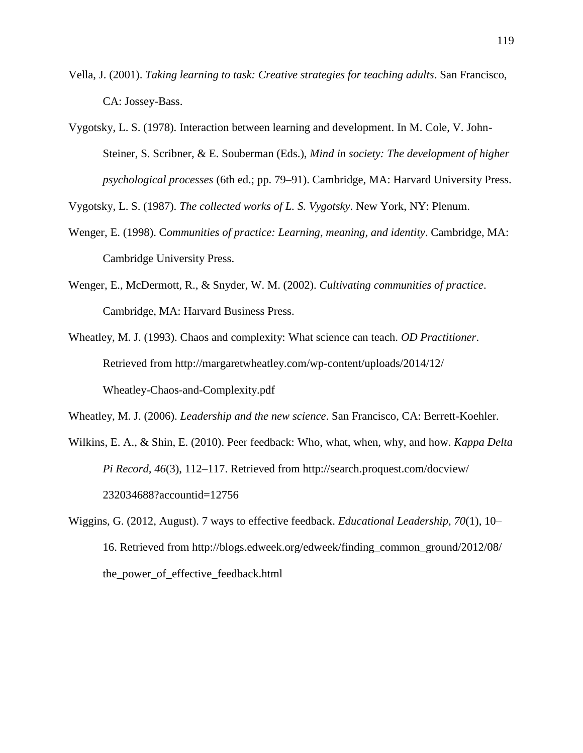- Vella, J. (2001). *Taking learning to task: Creative strategies for teaching adults*. San Francisco, CA: Jossey-Bass.
- Vygotsky, L. S. (1978). Interaction between learning and development. In M. Cole, V. John-Steiner, S. Scribner, & E. Souberman (Eds.), *Mind in society: The development of higher psychological processes* (6th ed.; pp. 79–91). Cambridge, MA: Harvard University Press.

Vygotsky, L. S. (1987). *The collected works of L. S. Vygotsky*. New York, NY: Plenum.

- [Wenger, E.](https://en.wikipedia.org/wiki/Etienne_Wenger) (1998). C*[ommunities of practice: Learning, meaning, and identity](http://books.google.com/?id=heBZpgYUKdAC&dq=Communities+of+Practice:+Learning,+Meaning,+and+Identity&printsec=frontcover&q=)*. Cambridge, MA: Cambridge University Press.
- Wenger, E., McDermott, R., & Snyder, W. M. (2002). *Cultivating communities of practice*. Cambridge, MA: Harvard Business Press.
- Wheatley, M. J. (1993). Chaos and complexity: What science can teach. *OD Practitioner*. Retrieved from http://margaretwheatley.com/wp-content/uploads/2014/12/ Wheatley-Chaos-and-Complexity.pdf

Wheatley, M. J. (2006). *Leadership and the new science*. San Francisco, CA: Berrett-Koehler.

- Wilkins, E. A., & Shin, E. (2010). Peer feedback: Who, what, when, why, and how. *Kappa Delta Pi Record, 46*(3), 112–117. Retrieved from http://search.proquest.com/docview/ 232034688?accountid=12756
- Wiggins, G. (2012, August). 7 ways to effective feedback. *Educational Leadership, 70*(1), 10– 16. Retrieved from http://blogs.edweek.org/edweek/finding\_common\_ground/2012/08/ the\_power\_of\_effective\_feedback.html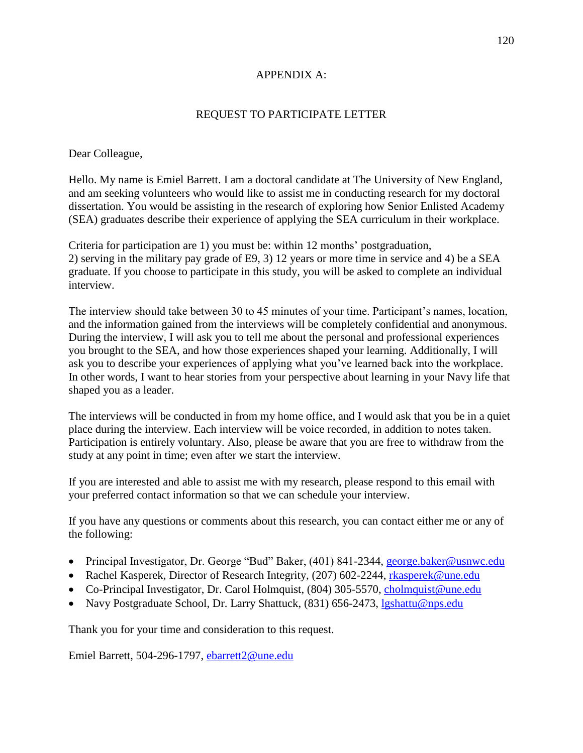# APPENDIX A:

# REQUEST TO PARTICIPATE LETTER

Dear Colleague,

Hello. My name is Emiel Barrett. I am a doctoral candidate at The University of New England, and am seeking volunteers who would like to assist me in conducting research for my doctoral dissertation. You would be assisting in the research of exploring how Senior Enlisted Academy (SEA) graduates describe their experience of applying the SEA curriculum in their workplace.

Criteria for participation are 1) you must be: within 12 months' postgraduation, 2) serving in the military pay grade of E9, 3) 12 years or more time in service and 4) be a SEA graduate. If you choose to participate in this study, you will be asked to complete an individual interview.

The interview should take between 30 to 45 minutes of your time. Participant's names, location, and the information gained from the interviews will be completely confidential and anonymous. During the interview, I will ask you to tell me about the personal and professional experiences you brought to the SEA, and how those experiences shaped your learning. Additionally, I will ask you to describe your experiences of applying what you've learned back into the workplace. In other words, I want to hear stories from your perspective about learning in your Navy life that shaped you as a leader.

The interviews will be conducted in from my home office, and I would ask that you be in a quiet place during the interview. Each interview will be voice recorded, in addition to notes taken. Participation is entirely voluntary. Also, please be aware that you are free to withdraw from the study at any point in time; even after we start the interview.

If you are interested and able to assist me with my research, please respond to this email with your preferred contact information so that we can schedule your interview.

If you have any questions or comments about this research, you can contact either me or any of the following:

- Principal Investigator, Dr. George "Bud" Baker, (401) 841-2344, [george.baker@usnwc.edu](mailto:george.baker@usnwc.edu)
- Rachel Kasperek, Director of Research Integrity, (207) 602-2244, [rkasperek@une.edu](mailto:rkasperek@une.edu)
- Co-Principal Investigator, Dr. Carol Holmquist, (804) 305-5570, [cholmquist@une.edu](mailto:cholmquist@une.edu)
- Navy Postgraduate School, Dr. Larry Shattuck, (831) 656-2473, [lgshattu@nps.edu](mailto:lgshattu@nps.edu)

Thank you for your time and consideration to this request.

Emiel Barrett, 504-296-1797, [ebarrett2@une.edu](mailto:ebarrett2@une.edu)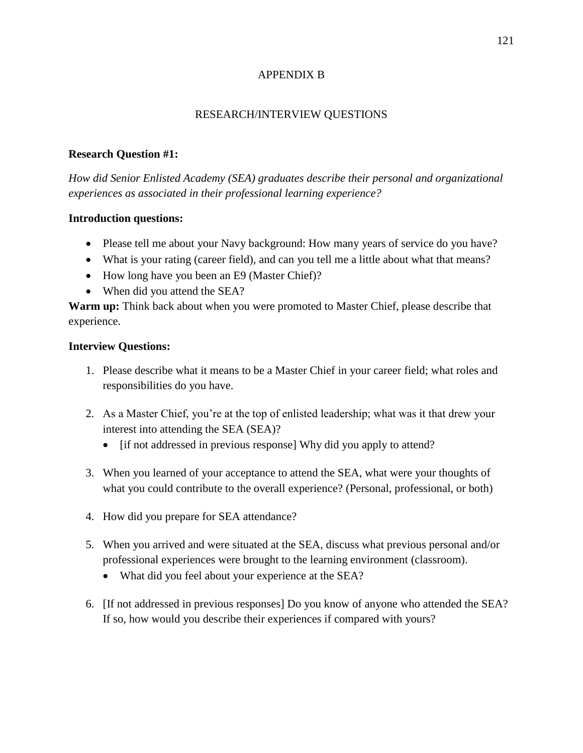# APPENDIX B

# RESEARCH/INTERVIEW QUESTIONS

### **Research Question #1:**

*How did Senior Enlisted Academy (SEA) graduates describe their personal and organizational experiences as associated in their professional learning experience?* 

### **Introduction questions:**

- Please tell me about your Navy background: How many years of service do you have?
- What is your rating (career field), and can you tell me a little about what that means?
- How long have you been an E9 (Master Chief)?
- When did you attend the SEA?

**Warm up:** Think back about when you were promoted to Master Chief, please describe that experience.

# **Interview Questions:**

- 1. Please describe what it means to be a Master Chief in your career field; what roles and responsibilities do you have.
- 2. As a Master Chief, you're at the top of enlisted leadership; what was it that drew your interest into attending the SEA (SEA)?
	- [if not addressed in previous response] Why did you apply to attend?
- 3. When you learned of your acceptance to attend the SEA, what were your thoughts of what you could contribute to the overall experience? (Personal, professional, or both)
- 4. How did you prepare for SEA attendance?
- 5. When you arrived and were situated at the SEA, discuss what previous personal and/or professional experiences were brought to the learning environment (classroom).
	- What did you feel about your experience at the SEA?
- 6. [If not addressed in previous responses] Do you know of anyone who attended the SEA? If so, how would you describe their experiences if compared with yours?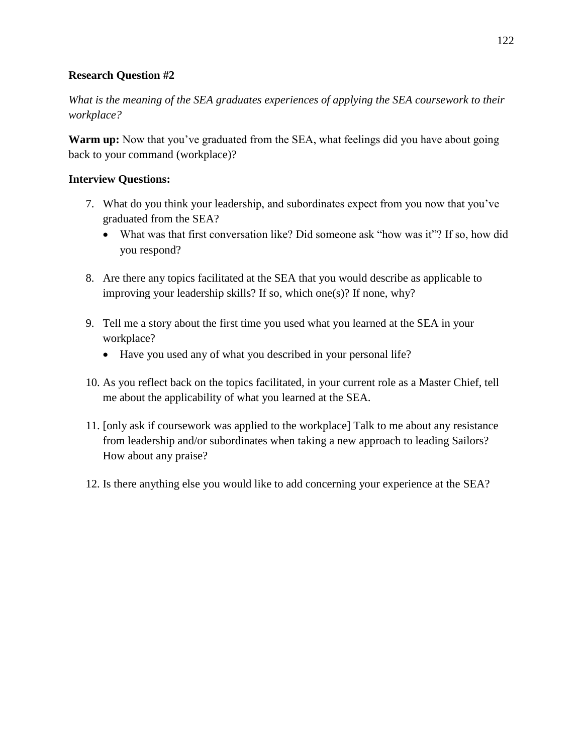# **Research Question #2**

*What is the meaning of the SEA graduates experiences of applying the SEA coursework to their workplace?*

**Warm up:** Now that you've graduated from the SEA, what feelings did you have about going back to your command (workplace)?

# **Interview Questions:**

- 7. What do you think your leadership, and subordinates expect from you now that you've graduated from the SEA?
	- What was that first conversation like? Did someone ask "how was it"? If so, how did you respond?
- 8. Are there any topics facilitated at the SEA that you would describe as applicable to improving your leadership skills? If so, which one(s)? If none, why?
- 9. Tell me a story about the first time you used what you learned at the SEA in your workplace?
	- Have you used any of what you described in your personal life?
- 10. As you reflect back on the topics facilitated, in your current role as a Master Chief, tell me about the applicability of what you learned at the SEA.
- 11. [only ask if coursework was applied to the workplace] Talk to me about any resistance from leadership and/or subordinates when taking a new approach to leading Sailors? How about any praise?
- 12. Is there anything else you would like to add concerning your experience at the SEA?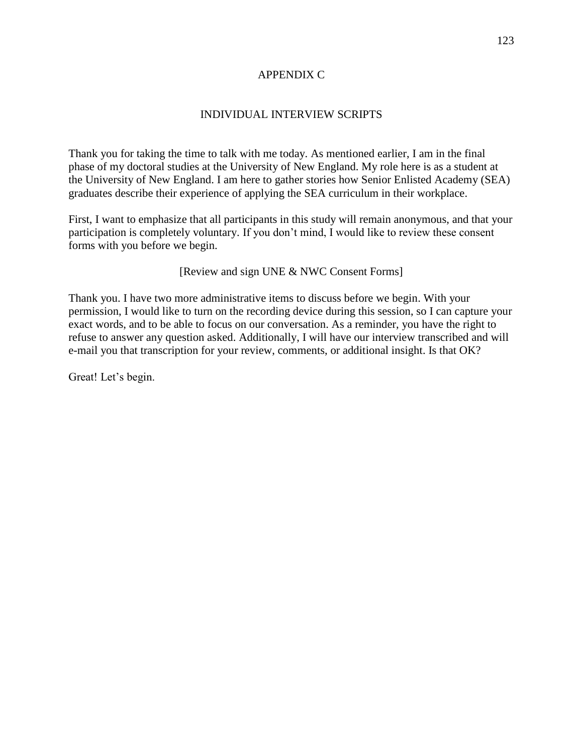### APPENDIX C

# INDIVIDUAL INTERVIEW SCRIPTS

Thank you for taking the time to talk with me today. As mentioned earlier, I am in the final phase of my doctoral studies at the University of New England. My role here is as a student at the University of New England. I am here to gather stories how Senior Enlisted Academy (SEA) graduates describe their experience of applying the SEA curriculum in their workplace.

First, I want to emphasize that all participants in this study will remain anonymous, and that your participation is completely voluntary. If you don't mind, I would like to review these consent forms with you before we begin.

[Review and sign UNE & NWC Consent Forms]

Thank you. I have two more administrative items to discuss before we begin. With your permission, I would like to turn on the recording device during this session, so I can capture your exact words, and to be able to focus on our conversation. As a reminder, you have the right to refuse to answer any question asked. Additionally, I will have our interview transcribed and will e-mail you that transcription for your review, comments, or additional insight. Is that OK?

Great! Let's begin.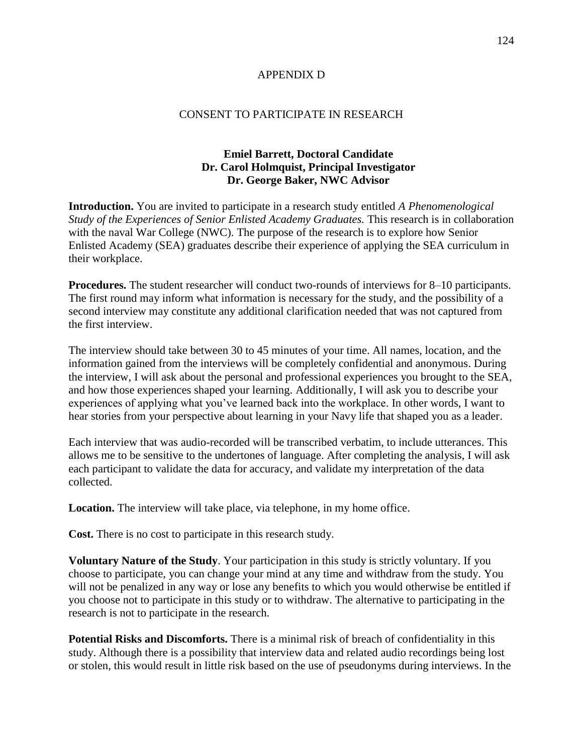### APPENDIX D

### CONSENT TO PARTICIPATE IN RESEARCH

# **Emiel Barrett, Doctoral Candidate Dr. Carol Holmquist, Principal Investigator Dr. George Baker, NWC Advisor**

**Introduction.** You are invited to participate in a research study entitled *A Phenomenological Study of the Experiences of Senior Enlisted Academy Graduates.* This research is in collaboration with the naval War College (NWC). The purpose of the research is to explore how Senior Enlisted Academy (SEA) graduates describe their experience of applying the SEA curriculum in their workplace.

**Procedures.** The student researcher will conduct two-rounds of interviews for 8–10 participants. The first round may inform what information is necessary for the study, and the possibility of a second interview may constitute any additional clarification needed that was not captured from the first interview.

The interview should take between 30 to 45 minutes of your time. All names, location, and the information gained from the interviews will be completely confidential and anonymous. During the interview, I will ask about the personal and professional experiences you brought to the SEA, and how those experiences shaped your learning. Additionally, I will ask you to describe your experiences of applying what you've learned back into the workplace. In other words, I want to hear stories from your perspective about learning in your Navy life that shaped you as a leader.

Each interview that was audio-recorded will be transcribed verbatim, to include utterances. This allows me to be sensitive to the undertones of language. After completing the analysis, I will ask each participant to validate the data for accuracy, and validate my interpretation of the data collected.

**Location.** The interview will take place, via telephone, in my home office.

**Cost.** There is no cost to participate in this research study.

**Voluntary Nature of the Study**. Your participation in this study is strictly voluntary. If you choose to participate, you can change your mind at any time and withdraw from the study. You will not be penalized in any way or lose any benefits to which you would otherwise be entitled if you choose not to participate in this study or to withdraw. The alternative to participating in the research is not to participate in the research.

**Potential Risks and Discomforts.** There is a minimal risk of breach of confidentiality in this study. Although there is a possibility that interview data and related audio recordings being lost or stolen, this would result in little risk based on the use of pseudonyms during interviews. In the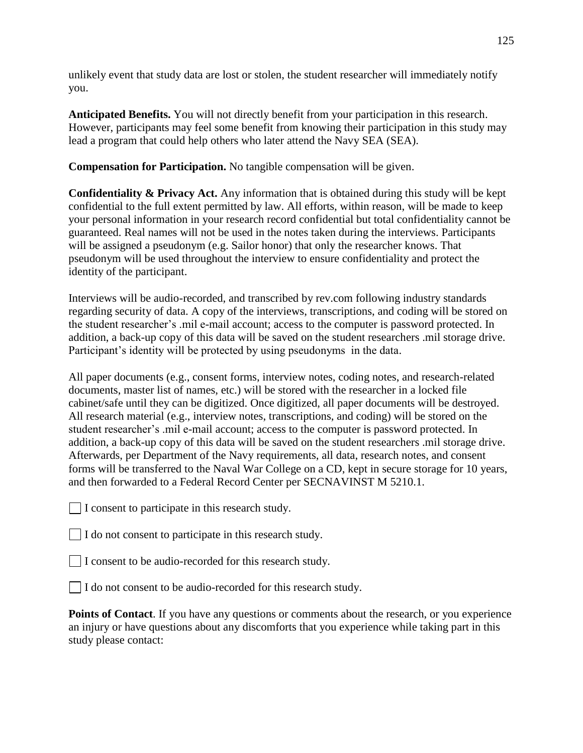unlikely event that study data are lost or stolen, the student researcher will immediately notify you.

**Anticipated Benefits.** You will not directly benefit from your participation in this research. However, participants may feel some benefit from knowing their participation in this study may lead a program that could help others who later attend the Navy SEA (SEA).

**Compensation for Participation.** No tangible compensation will be given.

**Confidentiality & Privacy Act.** Any information that is obtained during this study will be kept confidential to the full extent permitted by law. All efforts, within reason, will be made to keep your personal information in your research record confidential but total confidentiality cannot be guaranteed. Real names will not be used in the notes taken during the interviews. Participants will be assigned a pseudonym (e.g. Sailor honor) that only the researcher knows. That pseudonym will be used throughout the interview to ensure confidentiality and protect the identity of the participant.

Interviews will be audio-recorded, and transcribed by rev.com following industry standards regarding security of data. A copy of the interviews, transcriptions, and coding will be stored on the student researcher's .mil e-mail account; access to the computer is password protected. In addition, a back-up copy of this data will be saved on the student researchers .mil storage drive. Participant's identity will be protected by using pseudonyms in the data.

All paper documents (e.g., consent forms, interview notes, coding notes, and research-related documents, master list of names, etc.) will be stored with the researcher in a locked file cabinet/safe until they can be digitized. Once digitized, all paper documents will be destroyed. All research material (e.g., interview notes, transcriptions, and coding) will be stored on the student researcher's .mil e-mail account; access to the computer is password protected. In addition, a back-up copy of this data will be saved on the student researchers .mil storage drive. Afterwards, per Department of the Navy requirements, all data, research notes, and consent forms will be transferred to the Naval War College on a CD, kept in secure storage for 10 years, and then forwarded to a Federal Record Center per SECNAVINST M 5210.1.

 $\Box$  I consent to participate in this research study.

 $\Box$  I do not consent to participate in this research study.

I consent to be audio-recorded for this research study.

I do not consent to be audio-recorded for this research study.

**Points of Contact**. If you have any questions or comments about the research, or you experience an injury or have questions about any discomforts that you experience while taking part in this study please contact: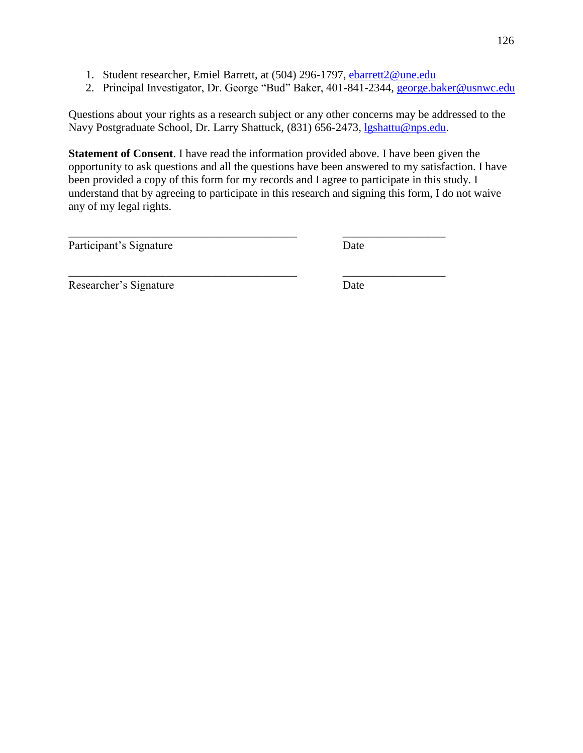1. Student researcher, Emiel Barrett, at (504) 296-1797, [ebarrett2@une.edu](mailto:ebarrett2@une.edu)

\_\_\_\_\_\_\_\_\_\_\_\_\_\_\_\_\_\_\_\_\_\_\_\_\_\_\_\_\_\_\_\_\_\_\_\_\_\_\_\_ \_\_\_\_\_\_\_\_\_\_\_\_\_\_\_\_\_\_

\_\_\_\_\_\_\_\_\_\_\_\_\_\_\_\_\_\_\_\_\_\_\_\_\_\_\_\_\_\_\_\_\_\_\_\_\_\_\_\_ \_\_\_\_\_\_\_\_\_\_\_\_\_\_\_\_\_\_

2. Principal Investigator, Dr. George "Bud" Baker, 401-841-2344*,* [george.baker@usnwc.edu](mailto:george.baker@usnwc.edu)

Questions about your rights as a research subject or any other concerns may be addressed to the Navy Postgraduate School, Dr. Larry Shattuck, (831) 656-2473, [lgshattu@nps.edu.](mailto:lgshattu@nps.edu)

**Statement of Consent**. I have read the information provided above. I have been given the opportunity to ask questions and all the questions have been answered to my satisfaction. I have been provided a copy of this form for my records and I agree to participate in this study. I understand that by agreeing to participate in this research and signing this form, I do not waive any of my legal rights.

Participant's Signature Date

Researcher's Signature Date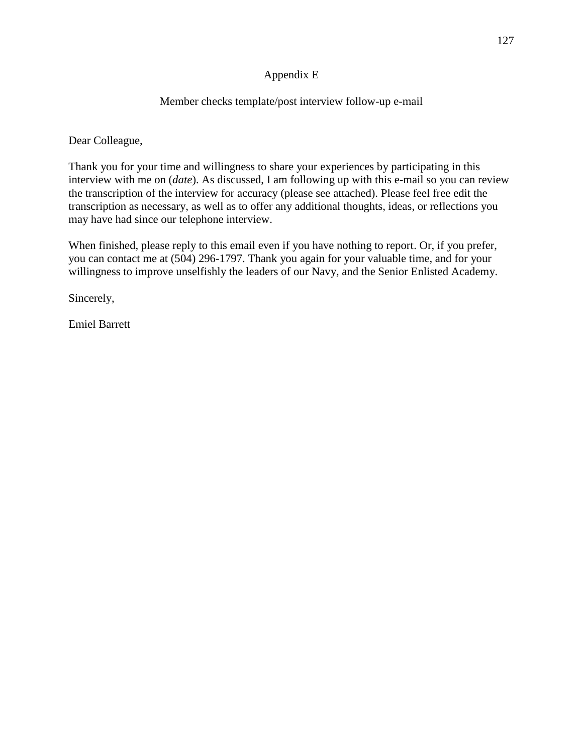# Appendix E

# Member checks template/post interview follow-up e-mail

Dear Colleague,

Thank you for your time and willingness to share your experiences by participating in this interview with me on (*date*). As discussed, I am following up with this e-mail so you can review the transcription of the interview for accuracy (please see attached). Please feel free edit the transcription as necessary, as well as to offer any additional thoughts, ideas, or reflections you may have had since our telephone interview.

When finished, please reply to this email even if you have nothing to report. Or, if you prefer, you can contact me at (504) 296-1797. Thank you again for your valuable time, and for your willingness to improve unselfishly the leaders of our Navy, and the Senior Enlisted Academy.

Sincerely,

Emiel Barrett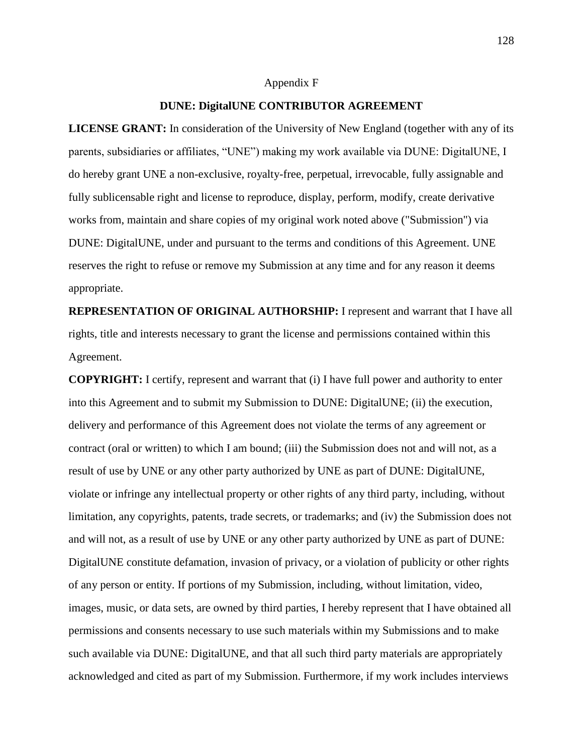#### Appendix F

### **DUNE: DigitalUNE CONTRIBUTOR AGREEMENT**

**LICENSE GRANT:** In consideration of the University of New England (together with any of its parents, subsidiaries or affiliates, "UNE") making my work available via DUNE: DigitalUNE, I do hereby grant UNE a non-exclusive, royalty-free, perpetual, irrevocable, fully assignable and fully sublicensable right and license to reproduce, display, perform, modify, create derivative works from, maintain and share copies of my original work noted above ("Submission") via DUNE: DigitalUNE, under and pursuant to the terms and conditions of this Agreement. UNE reserves the right to refuse or remove my Submission at any time and for any reason it deems appropriate.

**REPRESENTATION OF ORIGINAL AUTHORSHIP:** I represent and warrant that I have all rights, title and interests necessary to grant the license and permissions contained within this Agreement.

**COPYRIGHT:** I certify, represent and warrant that (i) I have full power and authority to enter into this Agreement and to submit my Submission to DUNE: DigitalUNE; (ii) the execution, delivery and performance of this Agreement does not violate the terms of any agreement or contract (oral or written) to which I am bound; (iii) the Submission does not and will not, as a result of use by UNE or any other party authorized by UNE as part of DUNE: DigitalUNE, violate or infringe any intellectual property or other rights of any third party, including, without limitation, any copyrights, patents, trade secrets, or trademarks; and (iv) the Submission does not and will not, as a result of use by UNE or any other party authorized by UNE as part of DUNE: DigitalUNE constitute defamation, invasion of privacy, or a violation of publicity or other rights of any person or entity. If portions of my Submission, including, without limitation, video, images, music, or data sets, are owned by third parties, I hereby represent that I have obtained all permissions and consents necessary to use such materials within my Submissions and to make such available via DUNE: DigitalUNE, and that all such third party materials are appropriately acknowledged and cited as part of my Submission. Furthermore, if my work includes interviews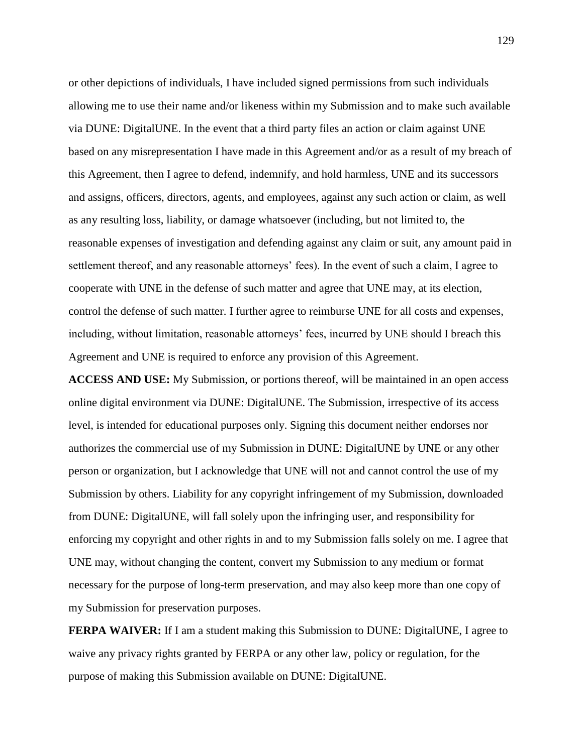or other depictions of individuals, I have included signed permissions from such individuals allowing me to use their name and/or likeness within my Submission and to make such available via DUNE: DigitalUNE. In the event that a third party files an action or claim against UNE based on any misrepresentation I have made in this Agreement and/or as a result of my breach of this Agreement, then I agree to defend, indemnify, and hold harmless, UNE and its successors and assigns, officers, directors, agents, and employees, against any such action or claim, as well as any resulting loss, liability, or damage whatsoever (including, but not limited to, the reasonable expenses of investigation and defending against any claim or suit, any amount paid in settlement thereof, and any reasonable attorneys' fees). In the event of such a claim, I agree to cooperate with UNE in the defense of such matter and agree that UNE may, at its election, control the defense of such matter. I further agree to reimburse UNE for all costs and expenses, including, without limitation, reasonable attorneys' fees, incurred by UNE should I breach this Agreement and UNE is required to enforce any provision of this Agreement.

**ACCESS AND USE:** My Submission, or portions thereof, will be maintained in an open access online digital environment via DUNE: DigitalUNE. The Submission, irrespective of its access level, is intended for educational purposes only. Signing this document neither endorses nor authorizes the commercial use of my Submission in DUNE: DigitalUNE by UNE or any other person or organization, but I acknowledge that UNE will not and cannot control the use of my Submission by others. Liability for any copyright infringement of my Submission, downloaded from DUNE: DigitalUNE, will fall solely upon the infringing user, and responsibility for enforcing my copyright and other rights in and to my Submission falls solely on me. I agree that UNE may, without changing the content, convert my Submission to any medium or format necessary for the purpose of long-term preservation, and may also keep more than one copy of my Submission for preservation purposes.

**FERPA WAIVER:** If I am a student making this Submission to DUNE: DigitalUNE, I agree to waive any privacy rights granted by FERPA or any other law, policy or regulation, for the purpose of making this Submission available on DUNE: DigitalUNE.